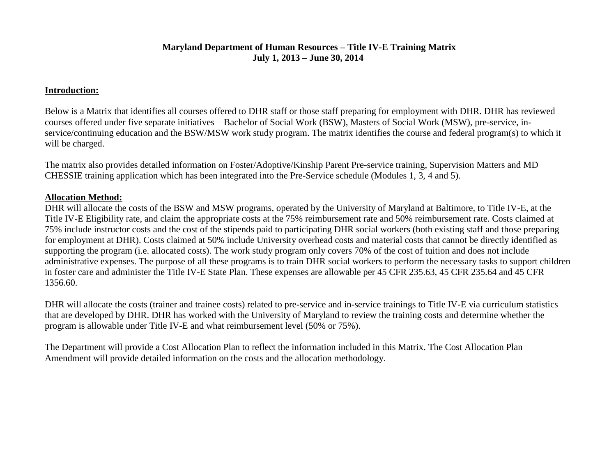## **Maryland Department of Human Resources – Title IV-E Training Matrix July 1, 2013 – June 30, 2014**

## **Introduction:**

Below is a Matrix that identifies all courses offered to DHR staff or those staff preparing for employment with DHR. DHR has reviewed courses offered under five separate initiatives – Bachelor of Social Work (BSW), Masters of Social Work (MSW), pre-service, inservice/continuing education and the BSW/MSW work study program. The matrix identifies the course and federal program(s) to which it will be charged.

The matrix also provides detailed information on Foster/Adoptive/Kinship Parent Pre-service training, Supervision Matters and MD CHESSIE training application which has been integrated into the Pre-Service schedule (Modules 1, 3, 4 and 5).

## **Allocation Method:**

DHR will allocate the costs of the BSW and MSW programs, operated by the University of Maryland at Baltimore, to Title IV-E, at the Title IV-E Eligibility rate, and claim the appropriate costs at the 75% reimbursement rate and 50% reimbursement rate. Costs claimed at 75% include instructor costs and the cost of the stipends paid to participating DHR social workers (both existing staff and those preparing for employment at DHR). Costs claimed at 50% include University overhead costs and material costs that cannot be directly identified as supporting the program (i.e. allocated costs). The work study program only covers 70% of the cost of tuition and does not include administrative expenses. The purpose of all these programs is to train DHR social workers to perform the necessary tasks to support children in foster care and administer the Title IV-E State Plan. These expenses are allowable per 45 CFR 235.63, 45 CFR 235.64 and 45 CFR 1356.60.

DHR will allocate the costs (trainer and trainee costs) related to pre-service and in-service trainings to Title IV-E via curriculum statistics that are developed by DHR. DHR has worked with the University of Maryland to review the training costs and determine whether the program is allowable under Title IV-E and what reimbursement level (50% or 75%).

The Department will provide a Cost Allocation Plan to reflect the information included in this Matrix. The Cost Allocation Plan Amendment will provide detailed information on the costs and the allocation methodology.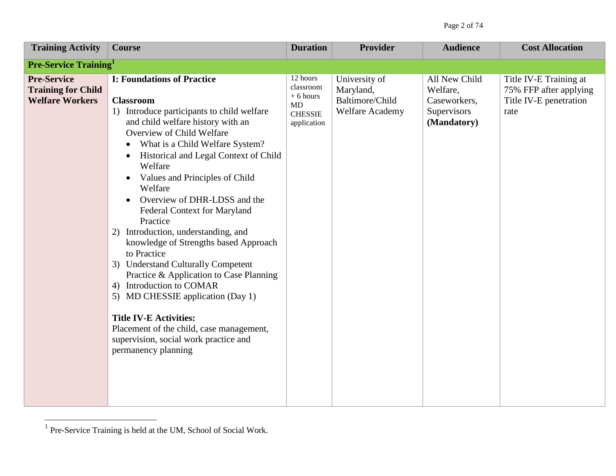## Page 2 of 74

| <b>Training Activity</b>                                                  | <b>Course</b>                                                                                                                                                                                                                                                                                                                                                                                                                                                                                                                                                                                                                                                                                                                                                                                                                     | <b>Duration</b>                                                            | Provider                                                         | <b>Audience</b>                                                         | <b>Cost Allocation</b>                                                             |
|---------------------------------------------------------------------------|-----------------------------------------------------------------------------------------------------------------------------------------------------------------------------------------------------------------------------------------------------------------------------------------------------------------------------------------------------------------------------------------------------------------------------------------------------------------------------------------------------------------------------------------------------------------------------------------------------------------------------------------------------------------------------------------------------------------------------------------------------------------------------------------------------------------------------------|----------------------------------------------------------------------------|------------------------------------------------------------------|-------------------------------------------------------------------------|------------------------------------------------------------------------------------|
| <b>Pre-Service Training</b>                                               |                                                                                                                                                                                                                                                                                                                                                                                                                                                                                                                                                                                                                                                                                                                                                                                                                                   |                                                                            |                                                                  |                                                                         |                                                                                    |
| <b>Pre-Service</b><br><b>Training for Child</b><br><b>Welfare Workers</b> | <b>I: Foundations of Practice</b><br><b>Classroom</b><br>1) Introduce participants to child welfare<br>and child welfare history with an<br>Overview of Child Welfare<br>What is a Child Welfare System?<br>Historical and Legal Context of Child<br>$\bullet$<br>Welfare<br>Values and Principles of Child<br>$\bullet$<br>Welfare<br>Overview of DHR-LDSS and the<br>$\bullet$<br><b>Federal Context for Maryland</b><br>Practice<br>2) Introduction, understanding, and<br>knowledge of Strengths based Approach<br>to Practice<br>3) Understand Culturally Competent<br>Practice & Application to Case Planning<br>4) Introduction to COMAR<br>5) MD CHESSIE application (Day 1)<br><b>Title IV-E Activities:</b><br>Placement of the child, case management,<br>supervision, social work practice and<br>permanency planning | 12 hours<br>classroom<br>$+6$ hours<br>MD<br><b>CHESSIE</b><br>application | University of<br>Maryland,<br>Baltimore/Child<br>Welfare Academy | All New Child<br>Welfare,<br>Caseworkers,<br>Supervisors<br>(Mandatory) | Title IV-E Training at<br>75% FFP after applying<br>Title IV-E penetration<br>rate |

 1 Pre-Service Training is held at the UM, School of Social Work.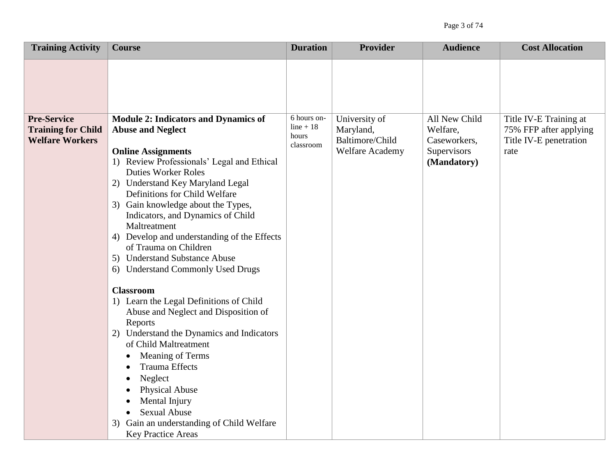| <b>Training Activity</b>                                                  | <b>Course</b>                                                                                                                                                                                                                                                                                                                                                                                                                                                                                                                                                                                                                                                                                                                                                                                                                                                                                                          | <b>Duration</b>                                  | Provider                                                                | <b>Audience</b>                                                         | <b>Cost Allocation</b>                                                             |
|---------------------------------------------------------------------------|------------------------------------------------------------------------------------------------------------------------------------------------------------------------------------------------------------------------------------------------------------------------------------------------------------------------------------------------------------------------------------------------------------------------------------------------------------------------------------------------------------------------------------------------------------------------------------------------------------------------------------------------------------------------------------------------------------------------------------------------------------------------------------------------------------------------------------------------------------------------------------------------------------------------|--------------------------------------------------|-------------------------------------------------------------------------|-------------------------------------------------------------------------|------------------------------------------------------------------------------------|
|                                                                           |                                                                                                                                                                                                                                                                                                                                                                                                                                                                                                                                                                                                                                                                                                                                                                                                                                                                                                                        |                                                  |                                                                         |                                                                         |                                                                                    |
| <b>Pre-Service</b><br><b>Training for Child</b><br><b>Welfare Workers</b> | <b>Module 2: Indicators and Dynamics of</b><br><b>Abuse and Neglect</b><br><b>Online Assignments</b><br>1) Review Professionals' Legal and Ethical<br><b>Duties Worker Roles</b><br>2) Understand Key Maryland Legal<br>Definitions for Child Welfare<br>3) Gain knowledge about the Types,<br>Indicators, and Dynamics of Child<br>Maltreatment<br>4) Develop and understanding of the Effects<br>of Trauma on Children<br>5) Understand Substance Abuse<br>6) Understand Commonly Used Drugs<br><b>Classroom</b><br>1) Learn the Legal Definitions of Child<br>Abuse and Neglect and Disposition of<br>Reports<br>2) Understand the Dynamics and Indicators<br>of Child Maltreatment<br>Meaning of Terms<br>$\bullet$<br><b>Trauma Effects</b><br>Neglect<br><b>Physical Abuse</b><br>Mental Injury<br><b>Sexual Abuse</b><br>$\bullet$<br>Gain an understanding of Child Welfare<br>3)<br><b>Key Practice Areas</b> | 6 hours on-<br>$line + 18$<br>hours<br>classroom | University of<br>Maryland,<br>Baltimore/Child<br><b>Welfare Academy</b> | All New Child<br>Welfare,<br>Caseworkers,<br>Supervisors<br>(Mandatory) | Title IV-E Training at<br>75% FFP after applying<br>Title IV-E penetration<br>rate |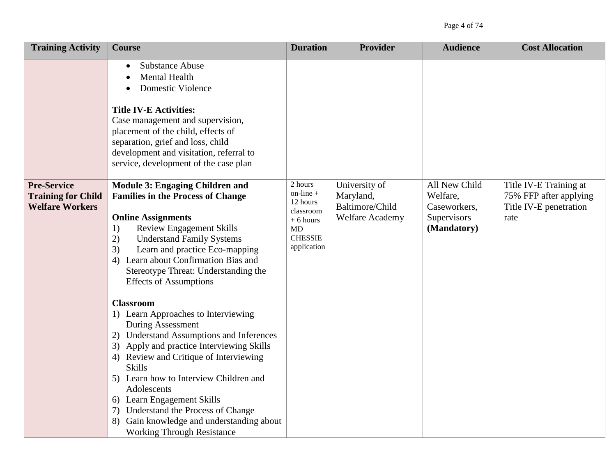| <b>Training Activity</b>                                                  | <b>Course</b>                                                                                                                                                                                                                                                                                                                                                                                                                                                                                                                                                                                                                                                                                                                                                                                                         | <b>Duration</b>                                                                                         | <b>Provider</b>                                                         | <b>Audience</b>                                                         | <b>Cost Allocation</b>                                                             |
|---------------------------------------------------------------------------|-----------------------------------------------------------------------------------------------------------------------------------------------------------------------------------------------------------------------------------------------------------------------------------------------------------------------------------------------------------------------------------------------------------------------------------------------------------------------------------------------------------------------------------------------------------------------------------------------------------------------------------------------------------------------------------------------------------------------------------------------------------------------------------------------------------------------|---------------------------------------------------------------------------------------------------------|-------------------------------------------------------------------------|-------------------------------------------------------------------------|------------------------------------------------------------------------------------|
|                                                                           | <b>Substance Abuse</b><br>$\bullet$<br><b>Mental Health</b><br><b>Domestic Violence</b><br><b>Title IV-E Activities:</b><br>Case management and supervision,<br>placement of the child, effects of<br>separation, grief and loss, child<br>development and visitation, referral to<br>service, development of the case plan                                                                                                                                                                                                                                                                                                                                                                                                                                                                                           |                                                                                                         |                                                                         |                                                                         |                                                                                    |
| <b>Pre-Service</b><br><b>Training for Child</b><br><b>Welfare Workers</b> | <b>Module 3: Engaging Children and</b><br><b>Families in the Process of Change</b><br><b>Online Assignments</b><br><b>Review Engagement Skills</b><br>1)<br>2)<br><b>Understand Family Systems</b><br>3)<br>Learn and practice Eco-mapping<br>Learn about Confirmation Bias and<br>4)<br>Stereotype Threat: Understanding the<br><b>Effects of Assumptions</b><br><b>Classroom</b><br>1) Learn Approaches to Interviewing<br>During Assessment<br>2) Understand Assumptions and Inferences<br>3) Apply and practice Interviewing Skills<br>4) Review and Critique of Interviewing<br><b>Skills</b><br>5) Learn how to Interview Children and<br>Adolescents<br>6) Learn Engagement Skills<br>7) Understand the Process of Change<br>Gain knowledge and understanding about<br>8)<br><b>Working Through Resistance</b> | 2 hours<br>$on$ -line $+$<br>12 hours<br>classroom<br>$+6$ hours<br>MD<br><b>CHESSIE</b><br>application | University of<br>Maryland,<br>Baltimore/Child<br><b>Welfare Academy</b> | All New Child<br>Welfare,<br>Caseworkers,<br>Supervisors<br>(Mandatory) | Title IV-E Training at<br>75% FFP after applying<br>Title IV-E penetration<br>rate |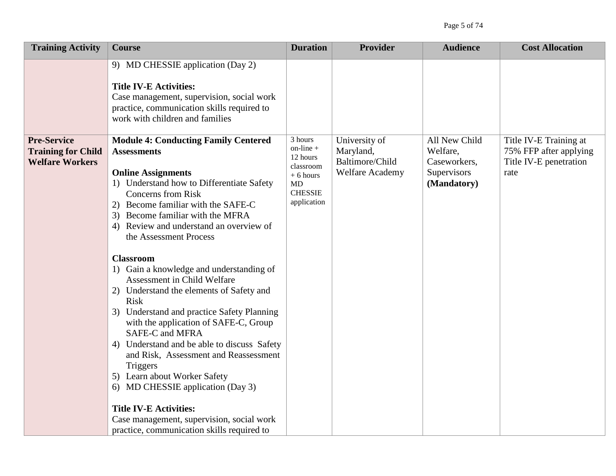| <b>Training Activity</b>                                                  | <b>Course</b>                                                                                                                                                                                                                                                                                                                                                                                                                                                                                                                                                                                                                                                                                                                                                                                                                                                                                           | <b>Duration</b>                                                                                       | <b>Provider</b>                                                         | <b>Audience</b>                                                         | <b>Cost Allocation</b>                                                             |
|---------------------------------------------------------------------------|---------------------------------------------------------------------------------------------------------------------------------------------------------------------------------------------------------------------------------------------------------------------------------------------------------------------------------------------------------------------------------------------------------------------------------------------------------------------------------------------------------------------------------------------------------------------------------------------------------------------------------------------------------------------------------------------------------------------------------------------------------------------------------------------------------------------------------------------------------------------------------------------------------|-------------------------------------------------------------------------------------------------------|-------------------------------------------------------------------------|-------------------------------------------------------------------------|------------------------------------------------------------------------------------|
|                                                                           | 9) MD CHESSIE application (Day 2)<br><b>Title IV-E Activities:</b><br>Case management, supervision, social work<br>practice, communication skills required to<br>work with children and families                                                                                                                                                                                                                                                                                                                                                                                                                                                                                                                                                                                                                                                                                                        |                                                                                                       |                                                                         |                                                                         |                                                                                    |
| <b>Pre-Service</b><br><b>Training for Child</b><br><b>Welfare Workers</b> | <b>Module 4: Conducting Family Centered</b><br><b>Assessments</b><br><b>Online Assignments</b><br>1) Understand how to Differentiate Safety<br>Concerns from Risk<br>2) Become familiar with the SAFE-C<br>3) Become familiar with the MFRA<br>4) Review and understand an overview of<br>the Assessment Process<br><b>Classroom</b><br>1) Gain a knowledge and understanding of<br>Assessment in Child Welfare<br>2) Understand the elements of Safety and<br><b>Risk</b><br>3) Understand and practice Safety Planning<br>with the application of SAFE-C, Group<br><b>SAFE-C and MFRA</b><br>4) Understand and be able to discuss Safety<br>and Risk, Assessment and Reassessment<br><b>Triggers</b><br>5) Learn about Worker Safety<br>6) MD CHESSIE application (Day 3)<br><b>Title IV-E Activities:</b><br>Case management, supervision, social work<br>practice, communication skills required to | 3 hours<br>$on$ -line +<br>12 hours<br>classroom<br>$+6$ hours<br>MD<br><b>CHESSIE</b><br>application | University of<br>Maryland,<br>Baltimore/Child<br><b>Welfare Academy</b> | All New Child<br>Welfare,<br>Caseworkers,<br>Supervisors<br>(Mandatory) | Title IV-E Training at<br>75% FFP after applying<br>Title IV-E penetration<br>rate |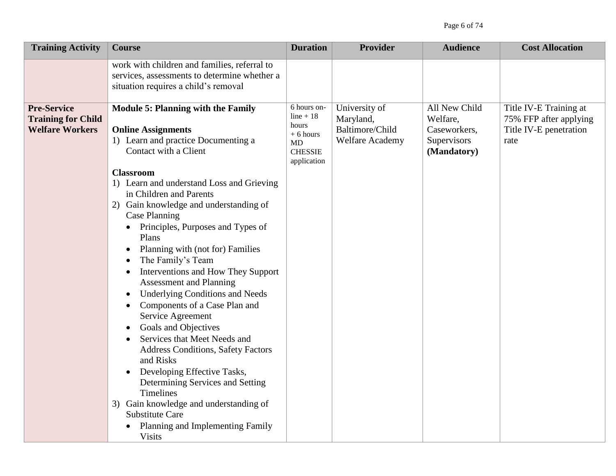| <b>Training Activity</b>                                                  | <b>Course</b>                                                                                                                                                                                                                                                                                                                                                                                                                                                                                                                                                                                                                                                                                                                                                                                                                                                                                                                                                            | <b>Duration</b>                                                                          | <b>Provider</b>                                                         | <b>Audience</b>                                                         | <b>Cost Allocation</b>                                                             |
|---------------------------------------------------------------------------|--------------------------------------------------------------------------------------------------------------------------------------------------------------------------------------------------------------------------------------------------------------------------------------------------------------------------------------------------------------------------------------------------------------------------------------------------------------------------------------------------------------------------------------------------------------------------------------------------------------------------------------------------------------------------------------------------------------------------------------------------------------------------------------------------------------------------------------------------------------------------------------------------------------------------------------------------------------------------|------------------------------------------------------------------------------------------|-------------------------------------------------------------------------|-------------------------------------------------------------------------|------------------------------------------------------------------------------------|
|                                                                           | work with children and families, referral to<br>services, assessments to determine whether a<br>situation requires a child's removal                                                                                                                                                                                                                                                                                                                                                                                                                                                                                                                                                                                                                                                                                                                                                                                                                                     |                                                                                          |                                                                         |                                                                         |                                                                                    |
| <b>Pre-Service</b><br><b>Training for Child</b><br><b>Welfare Workers</b> | <b>Module 5: Planning with the Family</b><br><b>Online Assignments</b><br>1) Learn and practice Documenting a<br>Contact with a Client<br><b>Classroom</b><br>1) Learn and understand Loss and Grieving<br>in Children and Parents<br>2) Gain knowledge and understanding of<br>Case Planning<br>Principles, Purposes and Types of<br>Plans<br>Planning with (not for) Families<br>$\bullet$<br>The Family's Team<br>$\bullet$<br>Interventions and How They Support<br>$\bullet$<br><b>Assessment and Planning</b><br><b>Underlying Conditions and Needs</b><br>Components of a Case Plan and<br>$\bullet$<br>Service Agreement<br>Goals and Objectives<br>$\bullet$<br>Services that Meet Needs and<br><b>Address Conditions, Safety Factors</b><br>and Risks<br>Developing Effective Tasks,<br>Determining Services and Setting<br>Timelines<br>3) Gain knowledge and understanding of<br><b>Substitute Care</b><br>Planning and Implementing Family<br><b>Visits</b> | 6 hours on-<br>$line + 18$<br>hours<br>$+6$ hours<br>MD<br><b>CHESSIE</b><br>application | University of<br>Maryland,<br>Baltimore/Child<br><b>Welfare Academy</b> | All New Child<br>Welfare,<br>Caseworkers,<br>Supervisors<br>(Mandatory) | Title IV-E Training at<br>75% FFP after applying<br>Title IV-E penetration<br>rate |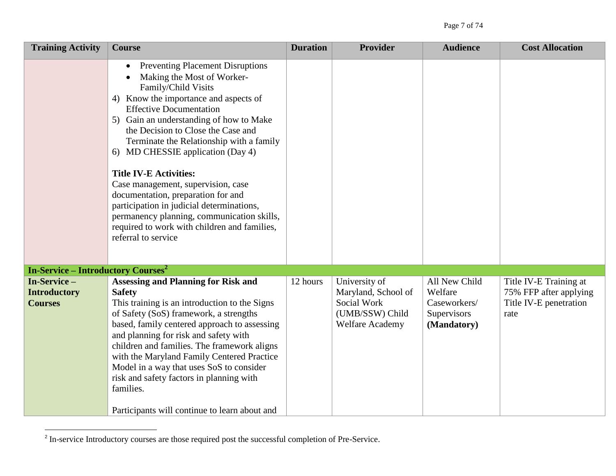| <b>Training Activity</b>                             | <b>Course</b>                                                                                                                                                                                                                                                                                                                                                                                                                                                                                                                                                                                                                         | <b>Duration</b> | <b>Provider</b>                                                                           | <b>Audience</b>                                                        | <b>Cost Allocation</b>                                                             |
|------------------------------------------------------|---------------------------------------------------------------------------------------------------------------------------------------------------------------------------------------------------------------------------------------------------------------------------------------------------------------------------------------------------------------------------------------------------------------------------------------------------------------------------------------------------------------------------------------------------------------------------------------------------------------------------------------|-----------------|-------------------------------------------------------------------------------------------|------------------------------------------------------------------------|------------------------------------------------------------------------------------|
|                                                      | <b>Preventing Placement Disruptions</b><br>$\bullet$<br>Making the Most of Worker-<br>Family/Child Visits<br>4) Know the importance and aspects of<br><b>Effective Documentation</b><br>5) Gain an understanding of how to Make<br>the Decision to Close the Case and<br>Terminate the Relationship with a family<br>6) MD CHESSIE application (Day 4)<br><b>Title IV-E Activities:</b><br>Case management, supervision, case<br>documentation, preparation for and<br>participation in judicial determinations,<br>permanency planning, communication skills,<br>required to work with children and families,<br>referral to service |                 |                                                                                           |                                                                        |                                                                                    |
| <b>In-Service – Introductory Courses<sup>2</sup></b> |                                                                                                                                                                                                                                                                                                                                                                                                                                                                                                                                                                                                                                       |                 |                                                                                           |                                                                        |                                                                                    |
| In-Service-<br><b>Introductory</b><br><b>Courses</b> | <b>Assessing and Planning for Risk and</b><br><b>Safety</b><br>This training is an introduction to the Signs<br>of Safety (SoS) framework, a strengths<br>based, family centered approach to assessing<br>and planning for risk and safety with<br>children and families. The framework aligns<br>with the Maryland Family Centered Practice<br>Model in a way that uses SoS to consider<br>risk and safety factors in planning with<br>families.<br>Participants will continue to learn about and                                                                                                                                    | 12 hours        | University of<br>Maryland, School of<br>Social Work<br>(UMB/SSW) Child<br>Welfare Academy | All New Child<br>Welfare<br>Caseworkers/<br>Supervisors<br>(Mandatory) | Title IV-E Training at<br>75% FFP after applying<br>Title IV-E penetration<br>rate |

<sup>&</sup>lt;sup>2</sup> In-service Introductory courses are those required post the successful completion of Pre-Service.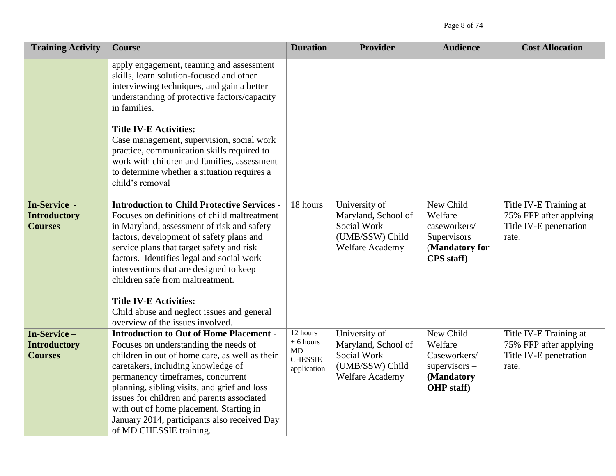| <b>Training Activity</b>                              | <b>Course</b>                                                                                                                                                                                                                                                                                                                                                                                                                                                                            | <b>Duration</b>                                               | <b>Provider</b>                                                                                  | <b>Audience</b>                                                                            | <b>Cost Allocation</b>                                                              |
|-------------------------------------------------------|------------------------------------------------------------------------------------------------------------------------------------------------------------------------------------------------------------------------------------------------------------------------------------------------------------------------------------------------------------------------------------------------------------------------------------------------------------------------------------------|---------------------------------------------------------------|--------------------------------------------------------------------------------------------------|--------------------------------------------------------------------------------------------|-------------------------------------------------------------------------------------|
|                                                       | apply engagement, teaming and assessment<br>skills, learn solution-focused and other<br>interviewing techniques, and gain a better<br>understanding of protective factors/capacity<br>in families.<br><b>Title IV-E Activities:</b><br>Case management, supervision, social work<br>practice, communication skills required to<br>work with children and families, assessment<br>to determine whether a situation requires a<br>child's removal                                          |                                                               |                                                                                                  |                                                                                            |                                                                                     |
| In-Service -<br><b>Introductory</b><br><b>Courses</b> | <b>Introduction to Child Protective Services -</b><br>Focuses on definitions of child maltreatment<br>in Maryland, assessment of risk and safety<br>factors, development of safety plans and<br>service plans that target safety and risk<br>factors. Identifies legal and social work<br>interventions that are designed to keep<br>children safe from maltreatment.<br><b>Title IV-E Activities:</b><br>Child abuse and neglect issues and general<br>overview of the issues involved. | 18 hours                                                      | University of<br>Maryland, School of<br>Social Work<br>(UMB/SSW) Child<br><b>Welfare Academy</b> | New Child<br>Welfare<br>caseworkers/<br>Supervisors<br>(Mandatory for<br><b>CPS</b> staff) | Title IV-E Training at<br>75% FFP after applying<br>Title IV-E penetration<br>rate. |
| In-Service-<br><b>Introductory</b><br><b>Courses</b>  | <b>Introduction to Out of Home Placement -</b><br>Focuses on understanding the needs of<br>children in out of home care, as well as their<br>caretakers, including knowledge of<br>permanency timeframes, concurrent<br>planning, sibling visits, and grief and loss<br>issues for children and parents associated<br>with out of home placement. Starting in<br>January 2014, participants also received Day<br>of MD CHESSIE training.                                                 | 12 hours<br>$+6$ hours<br>MD<br><b>CHESSIE</b><br>application | University of<br>Maryland, School of<br>Social Work<br>(UMB/SSW) Child<br><b>Welfare Academy</b> | New Child<br>Welfare<br>Caseworkers/<br>$supervisors -$<br>(Mandatory<br>OHP staff)        | Title IV-E Training at<br>75% FFP after applying<br>Title IV-E penetration<br>rate. |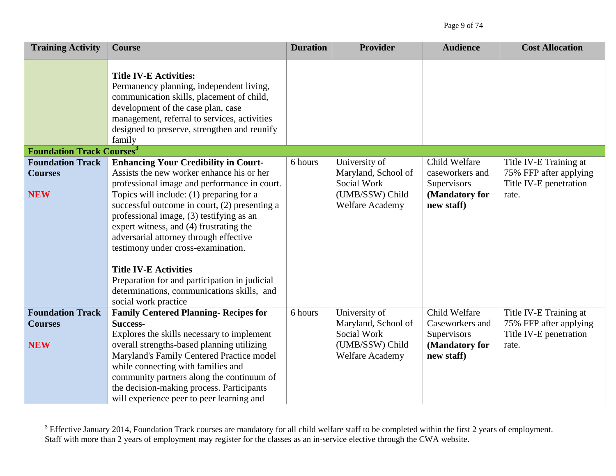| <b>Training Activity</b>                    | <b>Course</b>                                                                                                                                                                                                                                                                                                                                                                                                                                                                                                          | <b>Duration</b> | Provider                                                                 | <b>Audience</b>                                                | <b>Cost Allocation</b>                                    |
|---------------------------------------------|------------------------------------------------------------------------------------------------------------------------------------------------------------------------------------------------------------------------------------------------------------------------------------------------------------------------------------------------------------------------------------------------------------------------------------------------------------------------------------------------------------------------|-----------------|--------------------------------------------------------------------------|----------------------------------------------------------------|-----------------------------------------------------------|
| <b>Foundation Track Courses<sup>3</sup></b> | <b>Title IV-E Activities:</b><br>Permanency planning, independent living,<br>communication skills, placement of child,<br>development of the case plan, case<br>management, referral to services, activities<br>designed to preserve, strengthen and reunify<br>family                                                                                                                                                                                                                                                 |                 |                                                                          |                                                                |                                                           |
| <b>Foundation Track</b>                     | <b>Enhancing Your Credibility in Court-</b>                                                                                                                                                                                                                                                                                                                                                                                                                                                                            | 6 hours         | University of                                                            | Child Welfare                                                  | Title IV-E Training at                                    |
| <b>Courses</b><br><b>NEW</b>                | Assists the new worker enhance his or her<br>professional image and performance in court.<br>Topics will include: $(1)$ preparing for a<br>successful outcome in court, (2) presenting a<br>professional image, (3) testifying as an<br>expert witness, and (4) frustrating the<br>adversarial attorney through effective<br>testimony under cross-examination.<br><b>Title IV-E Activities</b><br>Preparation for and participation in judicial<br>determinations, communications skills, and<br>social work practice |                 | Maryland, School of<br>Social Work<br>(UMB/SSW) Child<br>Welfare Academy | caseworkers and<br>Supervisors<br>(Mandatory for<br>new staff) | 75% FFP after applying<br>Title IV-E penetration<br>rate. |
| <b>Foundation Track</b>                     | <b>Family Centered Planning- Recipes for</b>                                                                                                                                                                                                                                                                                                                                                                                                                                                                           | 6 hours         | University of                                                            | Child Welfare                                                  | Title IV-E Training at                                    |
| <b>Courses</b><br><b>NEW</b>                | <b>Success-</b><br>Explores the skills necessary to implement<br>overall strengths-based planning utilizing<br>Maryland's Family Centered Practice model<br>while connecting with families and<br>community partners along the continuum of<br>the decision-making process. Participants<br>will experience peer to peer learning and                                                                                                                                                                                  |                 | Maryland, School of<br>Social Work<br>(UMB/SSW) Child<br>Welfare Academy | Caseworkers and<br>Supervisors<br>(Mandatory for<br>new staff) | 75% FFP after applying<br>Title IV-E penetration<br>rate. |

 $3$  Effective January 2014, Foundation Track courses are mandatory for all child welfare staff to be completed within the first 2 years of employment. Staff with more than 2 years of employment may register for the classes as an in-service elective through the CWA website.

 $\overline{a}$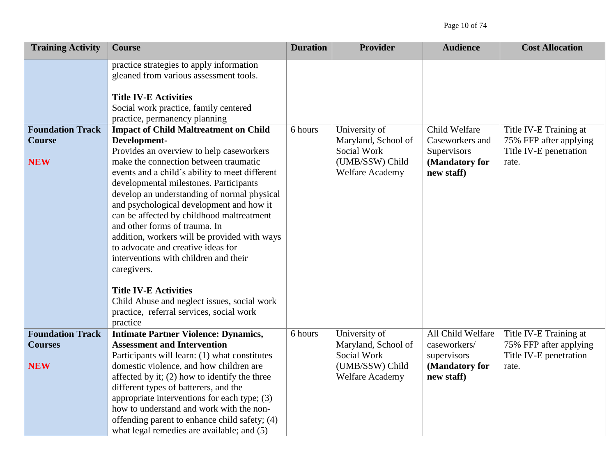| <b>Training Activity</b>                                | <b>Course</b>                                                                                                                                                                                                                                                                                                                                                                                                                                                                                                                                                        | <b>Duration</b> | <b>Provider</b>                                                                                  | <b>Audience</b>                                                                  | <b>Cost Allocation</b>                                                              |
|---------------------------------------------------------|----------------------------------------------------------------------------------------------------------------------------------------------------------------------------------------------------------------------------------------------------------------------------------------------------------------------------------------------------------------------------------------------------------------------------------------------------------------------------------------------------------------------------------------------------------------------|-----------------|--------------------------------------------------------------------------------------------------|----------------------------------------------------------------------------------|-------------------------------------------------------------------------------------|
|                                                         | practice strategies to apply information<br>gleaned from various assessment tools.<br><b>Title IV-E Activities</b><br>Social work practice, family centered<br>practice, permanency planning                                                                                                                                                                                                                                                                                                                                                                         |                 |                                                                                                  |                                                                                  |                                                                                     |
| <b>Foundation Track</b><br><b>Course</b><br><b>NEW</b>  | <b>Impact of Child Maltreatment on Child</b><br>Development-<br>Provides an overview to help caseworkers<br>make the connection between traumatic<br>events and a child's ability to meet different<br>developmental milestones. Participants<br>develop an understanding of normal physical<br>and psychological development and how it<br>can be affected by childhood maltreatment<br>and other forms of trauma. In<br>addition, workers will be provided with ways<br>to advocate and creative ideas for<br>interventions with children and their<br>caregivers. | 6 hours         | University of<br>Maryland, School of<br>Social Work<br>(UMB/SSW) Child<br><b>Welfare Academy</b> | Child Welfare<br>Caseworkers and<br>Supervisors<br>(Mandatory for<br>new staff)  | Title IV-E Training at<br>75% FFP after applying<br>Title IV-E penetration<br>rate. |
|                                                         | <b>Title IV-E Activities</b><br>Child Abuse and neglect issues, social work<br>practice, referral services, social work<br>practice                                                                                                                                                                                                                                                                                                                                                                                                                                  |                 |                                                                                                  |                                                                                  |                                                                                     |
| <b>Foundation Track</b><br><b>Courses</b><br><b>NEW</b> | <b>Intimate Partner Violence: Dynamics,</b><br><b>Assessment and Intervention</b><br>Participants will learn: (1) what constitutes<br>domestic violence, and how children are<br>affected by it; (2) how to identify the three<br>different types of batterers, and the<br>appropriate interventions for each type; (3)<br>how to understand and work with the non-<br>offending parent to enhance child safety; (4)<br>what legal remedies are available; and (5)                                                                                                   | 6 hours         | University of<br>Maryland, School of<br>Social Work<br>(UMB/SSW) Child<br><b>Welfare Academy</b> | All Child Welfare<br>caseworkers/<br>supervisors<br>(Mandatory for<br>new staff) | Title IV-E Training at<br>75% FFP after applying<br>Title IV-E penetration<br>rate. |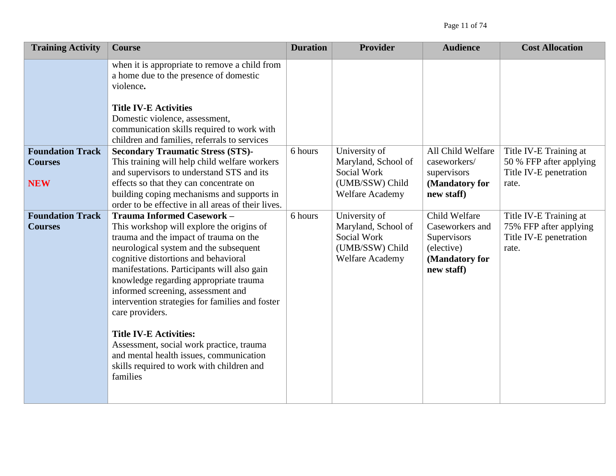| <b>Training Activity</b>                                | <b>Course</b>                                                                                                                                                                                                                                                                                                                                                                                                                                                                                                                                                                             | <b>Duration</b> | <b>Provider</b>                                                                                  | <b>Audience</b>                                                                               | <b>Cost Allocation</b>                                                               |
|---------------------------------------------------------|-------------------------------------------------------------------------------------------------------------------------------------------------------------------------------------------------------------------------------------------------------------------------------------------------------------------------------------------------------------------------------------------------------------------------------------------------------------------------------------------------------------------------------------------------------------------------------------------|-----------------|--------------------------------------------------------------------------------------------------|-----------------------------------------------------------------------------------------------|--------------------------------------------------------------------------------------|
|                                                         | when it is appropriate to remove a child from<br>a home due to the presence of domestic<br>violence.<br><b>Title IV-E Activities</b><br>Domestic violence, assessment,<br>communication skills required to work with                                                                                                                                                                                                                                                                                                                                                                      |                 |                                                                                                  |                                                                                               |                                                                                      |
|                                                         | children and families, referrals to services                                                                                                                                                                                                                                                                                                                                                                                                                                                                                                                                              |                 |                                                                                                  |                                                                                               |                                                                                      |
| <b>Foundation Track</b><br><b>Courses</b><br><b>NEW</b> | <b>Secondary Traumatic Stress (STS)-</b><br>This training will help child welfare workers<br>and supervisors to understand STS and its<br>effects so that they can concentrate on<br>building coping mechanisms and supports in                                                                                                                                                                                                                                                                                                                                                           | 6 hours         | University of<br>Maryland, School of<br>Social Work<br>(UMB/SSW) Child<br><b>Welfare Academy</b> | All Child Welfare<br>caseworkers/<br>supervisors<br>(Mandatory for<br>new staff)              | Title IV-E Training at<br>50 % FFP after applying<br>Title IV-E penetration<br>rate. |
|                                                         | order to be effective in all areas of their lives.                                                                                                                                                                                                                                                                                                                                                                                                                                                                                                                                        |                 |                                                                                                  |                                                                                               |                                                                                      |
| <b>Foundation Track</b><br><b>Courses</b>               | Trauma Informed Casework -<br>This workshop will explore the origins of<br>trauma and the impact of trauma on the<br>neurological system and the subsequent<br>cognitive distortions and behavioral<br>manifestations. Participants will also gain<br>knowledge regarding appropriate trauma<br>informed screening, assessment and<br>intervention strategies for families and foster<br>care providers.<br><b>Title IV-E Activities:</b><br>Assessment, social work practice, trauma<br>and mental health issues, communication<br>skills required to work with children and<br>families | 6 hours         | University of<br>Maryland, School of<br>Social Work<br>(UMB/SSW) Child<br>Welfare Academy        | Child Welfare<br>Caseworkers and<br>Supervisors<br>(elective)<br>(Mandatory for<br>new staff) | Title IV-E Training at<br>75% FFP after applying<br>Title IV-E penetration<br>rate.  |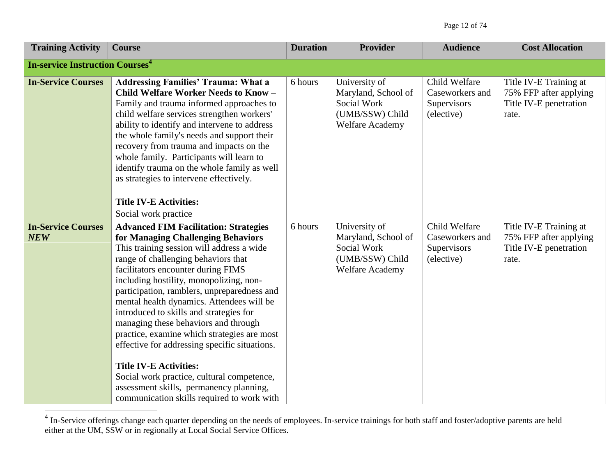| <b>Training Activity</b>                          | <b>Course</b>                                                                                                                                                                                                                                                                                                                                                                                                                                                                                                                                                                                                         | <b>Duration</b> | <b>Provider</b>                                                                                  | <b>Audience</b>                                               | <b>Cost Allocation</b>                                                              |
|---------------------------------------------------|-----------------------------------------------------------------------------------------------------------------------------------------------------------------------------------------------------------------------------------------------------------------------------------------------------------------------------------------------------------------------------------------------------------------------------------------------------------------------------------------------------------------------------------------------------------------------------------------------------------------------|-----------------|--------------------------------------------------------------------------------------------------|---------------------------------------------------------------|-------------------------------------------------------------------------------------|
| <b>In-service Instruction Courses<sup>4</sup></b> |                                                                                                                                                                                                                                                                                                                                                                                                                                                                                                                                                                                                                       |                 |                                                                                                  |                                                               |                                                                                     |
| <b>In-Service Courses</b>                         | <b>Addressing Families' Trauma: What a</b><br>Child Welfare Worker Needs to Know -<br>Family and trauma informed approaches to<br>child welfare services strengthen workers'<br>ability to identify and intervene to address<br>the whole family's needs and support their<br>recovery from trauma and impacts on the<br>whole family. Participants will learn to<br>identify trauma on the whole family as well<br>as strategies to intervene effectively.<br><b>Title IV-E Activities:</b>                                                                                                                          | 6 hours         | University of<br>Maryland, School of<br>Social Work<br>(UMB/SSW) Child<br><b>Welfare Academy</b> | Child Welfare<br>Caseworkers and<br>Supervisors<br>(elective) | Title IV-E Training at<br>75% FFP after applying<br>Title IV-E penetration<br>rate. |
|                                                   | Social work practice                                                                                                                                                                                                                                                                                                                                                                                                                                                                                                                                                                                                  |                 |                                                                                                  |                                                               |                                                                                     |
| <b>In-Service Courses</b><br><b>NEW</b>           | <b>Advanced FIM Facilitation: Strategies</b><br>for Managing Challenging Behaviors<br>This training session will address a wide<br>range of challenging behaviors that<br>facilitators encounter during FIMS<br>including hostility, monopolizing, non-<br>participation, ramblers, unpreparedness and<br>mental health dynamics. Attendees will be<br>introduced to skills and strategies for<br>managing these behaviors and through<br>practice, examine which strategies are most<br>effective for addressing specific situations.<br><b>Title IV-E Activities:</b><br>Social work practice, cultural competence, | 6 hours         | University of<br>Maryland, School of<br>Social Work<br>(UMB/SSW) Child<br><b>Welfare Academy</b> | Child Welfare<br>Caseworkers and<br>Supervisors<br>(elective) | Title IV-E Training at<br>75% FFP after applying<br>Title IV-E penetration<br>rate. |
|                                                   | assessment skills, permanency planning,<br>communication skills required to work with                                                                                                                                                                                                                                                                                                                                                                                                                                                                                                                                 |                 |                                                                                                  |                                                               |                                                                                     |

<sup>&</sup>lt;sup>4</sup> In-Service offerings change each quarter depending on the needs of employees. In-service trainings for both staff and foster/adoptive parents are held  $\frac{1}{2}$ either at the UM, SSW or in regionally at Local Social Service Offices.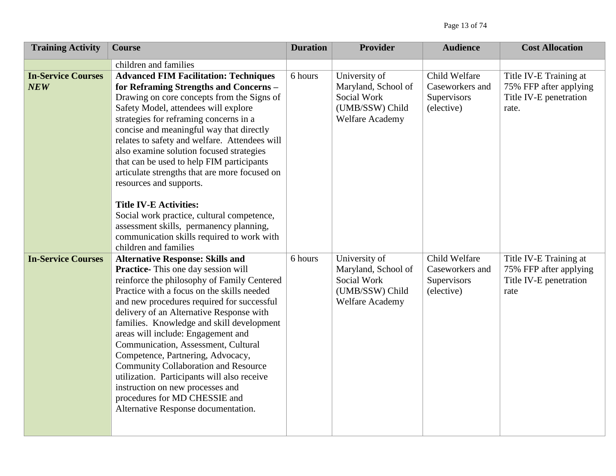| <b>Training Activity</b>         | <b>Course</b>                                                                                                                                                                                                                                                                                                                                                                                                                                                                                                                                                                                                                                  | <b>Duration</b> | <b>Provider</b>                                                                           | <b>Audience</b>                                               | <b>Cost Allocation</b>                                                              |
|----------------------------------|------------------------------------------------------------------------------------------------------------------------------------------------------------------------------------------------------------------------------------------------------------------------------------------------------------------------------------------------------------------------------------------------------------------------------------------------------------------------------------------------------------------------------------------------------------------------------------------------------------------------------------------------|-----------------|-------------------------------------------------------------------------------------------|---------------------------------------------------------------|-------------------------------------------------------------------------------------|
|                                  | children and families                                                                                                                                                                                                                                                                                                                                                                                                                                                                                                                                                                                                                          |                 |                                                                                           |                                                               |                                                                                     |
| <b>In-Service Courses</b><br>NEW | <b>Advanced FIM Facilitation: Techniques</b><br>for Reframing Strengths and Concerns -<br>Drawing on core concepts from the Signs of<br>Safety Model, attendees will explore<br>strategies for reframing concerns in a<br>concise and meaningful way that directly<br>relates to safety and welfare. Attendees will<br>also examine solution focused strategies<br>that can be used to help FIM participants<br>articulate strengths that are more focused on<br>resources and supports.<br><b>Title IV-E Activities:</b>                                                                                                                      | 6 hours         | University of<br>Maryland, School of<br>Social Work<br>(UMB/SSW) Child<br>Welfare Academy | Child Welfare<br>Caseworkers and<br>Supervisors<br>(elective) | Title IV-E Training at<br>75% FFP after applying<br>Title IV-E penetration<br>rate. |
|                                  | Social work practice, cultural competence,<br>assessment skills, permanency planning,<br>communication skills required to work with<br>children and families                                                                                                                                                                                                                                                                                                                                                                                                                                                                                   |                 |                                                                                           |                                                               |                                                                                     |
| <b>In-Service Courses</b>        | <b>Alternative Response: Skills and</b><br>Practice- This one day session will<br>reinforce the philosophy of Family Centered<br>Practice with a focus on the skills needed<br>and new procedures required for successful<br>delivery of an Alternative Response with<br>families. Knowledge and skill development<br>areas will include: Engagement and<br>Communication, Assessment, Cultural<br>Competence, Partnering, Advocacy,<br><b>Community Collaboration and Resource</b><br>utilization. Participants will also receive<br>instruction on new processes and<br>procedures for MD CHESSIE and<br>Alternative Response documentation. | 6 hours         | University of<br>Maryland, School of<br>Social Work<br>(UMB/SSW) Child<br>Welfare Academy | Child Welfare<br>Caseworkers and<br>Supervisors<br>(elective) | Title IV-E Training at<br>75% FFP after applying<br>Title IV-E penetration<br>rate  |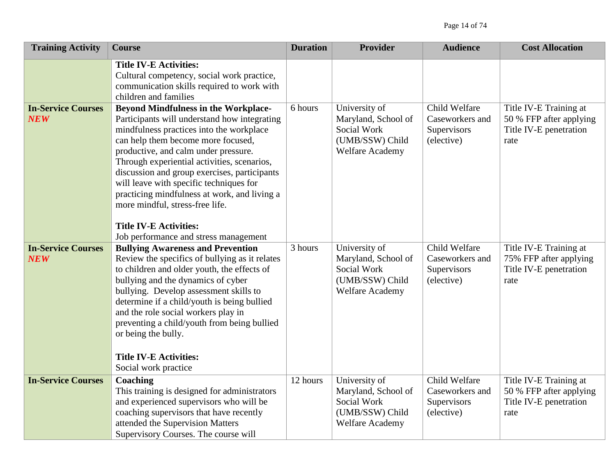| <b>Training Activity</b>                | <b>Course</b>                                                                                                                                                                                                                                                                                                                                                                                                                                                                                                                | <b>Duration</b> | <b>Provider</b>                                                                                  | <b>Audience</b>                                               | <b>Cost Allocation</b>                                                              |
|-----------------------------------------|------------------------------------------------------------------------------------------------------------------------------------------------------------------------------------------------------------------------------------------------------------------------------------------------------------------------------------------------------------------------------------------------------------------------------------------------------------------------------------------------------------------------------|-----------------|--------------------------------------------------------------------------------------------------|---------------------------------------------------------------|-------------------------------------------------------------------------------------|
|                                         | <b>Title IV-E Activities:</b><br>Cultural competency, social work practice,<br>communication skills required to work with<br>children and families                                                                                                                                                                                                                                                                                                                                                                           |                 |                                                                                                  |                                                               |                                                                                     |
| <b>In-Service Courses</b><br><b>NEW</b> | <b>Beyond Mindfulness in the Workplace-</b><br>Participants will understand how integrating<br>mindfulness practices into the workplace<br>can help them become more focused,<br>productive, and calm under pressure.<br>Through experiential activities, scenarios,<br>discussion and group exercises, participants<br>will leave with specific techniques for<br>practicing mindfulness at work, and living a<br>more mindful, stress-free life.<br><b>Title IV-E Activities:</b><br>Job performance and stress management | 6 hours         | University of<br>Maryland, School of<br>Social Work<br>(UMB/SSW) Child<br><b>Welfare Academy</b> | Child Welfare<br>Caseworkers and<br>Supervisors<br>(elective) | Title IV-E Training at<br>50 % FFP after applying<br>Title IV-E penetration<br>rate |
| <b>In-Service Courses</b><br><b>NEW</b> | <b>Bullying Awareness and Prevention</b><br>Review the specifics of bullying as it relates<br>to children and older youth, the effects of<br>bullying and the dynamics of cyber<br>bullying. Develop assessment skills to<br>determine if a child/youth is being bullied<br>and the role social workers play in<br>preventing a child/youth from being bullied<br>or being the bully.<br><b>Title IV-E Activities:</b><br>Social work practice                                                                               | 3 hours         | University of<br>Maryland, School of<br>Social Work<br>(UMB/SSW) Child<br><b>Welfare Academy</b> | Child Welfare<br>Caseworkers and<br>Supervisors<br>(elective) | Title IV-E Training at<br>75% FFP after applying<br>Title IV-E penetration<br>rate  |
| <b>In-Service Courses</b>               | Coaching<br>This training is designed for administrators<br>and experienced supervisors who will be<br>coaching supervisors that have recently<br>attended the Supervision Matters<br>Supervisory Courses. The course will                                                                                                                                                                                                                                                                                                   | 12 hours        | University of<br>Maryland, School of<br>Social Work<br>(UMB/SSW) Child<br>Welfare Academy        | Child Welfare<br>Caseworkers and<br>Supervisors<br>(elective) | Title IV-E Training at<br>50 % FFP after applying<br>Title IV-E penetration<br>rate |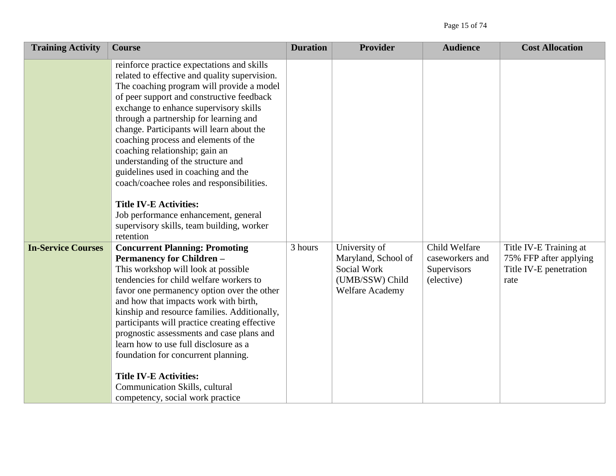| <b>Training Activity</b>  | <b>Course</b>                                                                                                                                                                                                                                                                                                                                                                                                                                                                                                                                                                                                                                                 | <b>Duration</b> | <b>Provider</b>                                                                           | <b>Audience</b>                                               | <b>Cost Allocation</b>                                                             |
|---------------------------|---------------------------------------------------------------------------------------------------------------------------------------------------------------------------------------------------------------------------------------------------------------------------------------------------------------------------------------------------------------------------------------------------------------------------------------------------------------------------------------------------------------------------------------------------------------------------------------------------------------------------------------------------------------|-----------------|-------------------------------------------------------------------------------------------|---------------------------------------------------------------|------------------------------------------------------------------------------------|
|                           | reinforce practice expectations and skills<br>related to effective and quality supervision.<br>The coaching program will provide a model<br>of peer support and constructive feedback<br>exchange to enhance supervisory skills<br>through a partnership for learning and<br>change. Participants will learn about the<br>coaching process and elements of the<br>coaching relationship; gain an<br>understanding of the structure and<br>guidelines used in coaching and the<br>coach/coachee roles and responsibilities.<br><b>Title IV-E Activities:</b><br>Job performance enhancement, general<br>supervisory skills, team building, worker<br>retention |                 |                                                                                           |                                                               |                                                                                    |
| <b>In-Service Courses</b> | <b>Concurrent Planning: Promoting</b><br><b>Permanency for Children -</b><br>This workshop will look at possible<br>tendencies for child welfare workers to<br>favor one permanency option over the other<br>and how that impacts work with birth,<br>kinship and resource families. Additionally,<br>participants will practice creating effective<br>prognostic assessments and case plans and<br>learn how to use full disclosure as a<br>foundation for concurrent planning.<br><b>Title IV-E Activities:</b><br>Communication Skills, cultural<br>competency, social work practice                                                                       | 3 hours         | University of<br>Maryland, School of<br>Social Work<br>(UMB/SSW) Child<br>Welfare Academy | Child Welfare<br>caseworkers and<br>Supervisors<br>(elective) | Title IV-E Training at<br>75% FFP after applying<br>Title IV-E penetration<br>rate |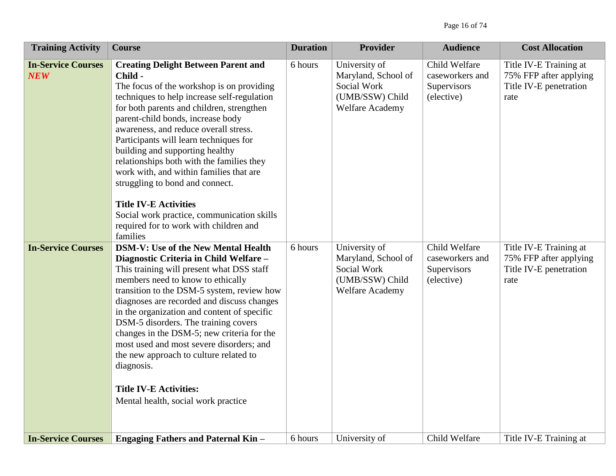| <b>Training Activity</b>                | <b>Course</b>                                                                                                                                                                                                                                                                                                                                                                                                                                                                                                                                                                                                            | <b>Duration</b> | <b>Provider</b>                                                                                  | <b>Audience</b>                                               | <b>Cost Allocation</b>                                                             |
|-----------------------------------------|--------------------------------------------------------------------------------------------------------------------------------------------------------------------------------------------------------------------------------------------------------------------------------------------------------------------------------------------------------------------------------------------------------------------------------------------------------------------------------------------------------------------------------------------------------------------------------------------------------------------------|-----------------|--------------------------------------------------------------------------------------------------|---------------------------------------------------------------|------------------------------------------------------------------------------------|
| <b>In-Service Courses</b><br><b>NEW</b> | <b>Creating Delight Between Parent and</b><br>Child -<br>The focus of the workshop is on providing<br>techniques to help increase self-regulation<br>for both parents and children, strengthen<br>parent-child bonds, increase body<br>awareness, and reduce overall stress.<br>Participants will learn techniques for<br>building and supporting healthy<br>relationships both with the families they<br>work with, and within families that are<br>struggling to bond and connect.<br><b>Title IV-E Activities</b><br>Social work practice, communication skills<br>required for to work with children and<br>families | 6 hours         | University of<br>Maryland, School of<br>Social Work<br>(UMB/SSW) Child<br><b>Welfare Academy</b> | Child Welfare<br>caseworkers and<br>Supervisors<br>(elective) | Title IV-E Training at<br>75% FFP after applying<br>Title IV-E penetration<br>rate |
| <b>In-Service Courses</b>               | <b>DSM-V: Use of the New Mental Health</b><br>Diagnostic Criteria in Child Welfare -<br>This training will present what DSS staff<br>members need to know to ethically<br>transition to the DSM-5 system, review how<br>diagnoses are recorded and discuss changes<br>in the organization and content of specific<br>DSM-5 disorders. The training covers<br>changes in the DSM-5; new criteria for the<br>most used and most severe disorders; and<br>the new approach to culture related to<br>diagnosis.<br><b>Title IV-E Activities:</b><br>Mental health, social work practice                                      | 6 hours         | University of<br>Maryland, School of<br>Social Work<br>(UMB/SSW) Child<br><b>Welfare Academy</b> | Child Welfare<br>caseworkers and<br>Supervisors<br>(elective) | Title IV-E Training at<br>75% FFP after applying<br>Title IV-E penetration<br>rate |
| <b>In-Service Courses</b>               | <b>Engaging Fathers and Paternal Kin -</b>                                                                                                                                                                                                                                                                                                                                                                                                                                                                                                                                                                               | 6 hours         | University of                                                                                    | Child Welfare                                                 | Title IV-E Training at                                                             |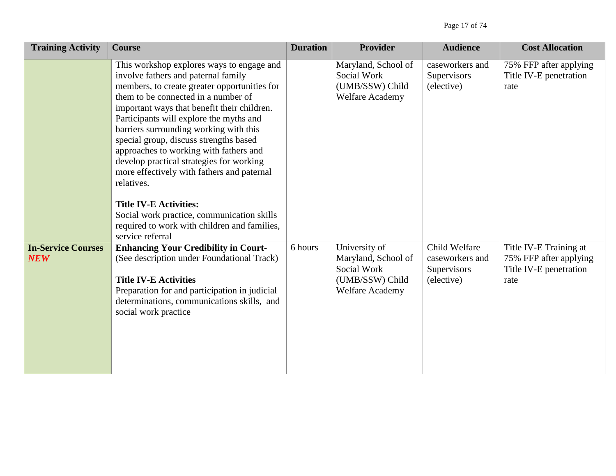| <b>Training Activity</b>                | <b>Course</b>                                                                                                                                                                                                                                                                                                                                                                                                                                                                                                                                                                                                                          | <b>Duration</b> | <b>Provider</b>                                                                           | <b>Audience</b>                                               | <b>Cost Allocation</b>                                                             |
|-----------------------------------------|----------------------------------------------------------------------------------------------------------------------------------------------------------------------------------------------------------------------------------------------------------------------------------------------------------------------------------------------------------------------------------------------------------------------------------------------------------------------------------------------------------------------------------------------------------------------------------------------------------------------------------------|-----------------|-------------------------------------------------------------------------------------------|---------------------------------------------------------------|------------------------------------------------------------------------------------|
|                                         | This workshop explores ways to engage and<br>involve fathers and paternal family<br>members, to create greater opportunities for<br>them to be connected in a number of<br>important ways that benefit their children.<br>Participants will explore the myths and<br>barriers surrounding working with this<br>special group, discuss strengths based<br>approaches to working with fathers and<br>develop practical strategies for working<br>more effectively with fathers and paternal<br>relatives.<br><b>Title IV-E Activities:</b><br>Social work practice, communication skills<br>required to work with children and families, |                 | Maryland, School of<br>Social Work<br>(UMB/SSW) Child<br>Welfare Academy                  | caseworkers and<br>Supervisors<br>(elective)                  | 75% FFP after applying<br>Title IV-E penetration<br>rate                           |
| <b>In-Service Courses</b><br><b>NEW</b> | service referral<br><b>Enhancing Your Credibility in Court-</b><br>(See description under Foundational Track)<br><b>Title IV-E Activities</b><br>Preparation for and participation in judicial<br>determinations, communications skills, and<br>social work practice                                                                                                                                                                                                                                                                                                                                                                   | 6 hours         | University of<br>Maryland, School of<br>Social Work<br>(UMB/SSW) Child<br>Welfare Academy | Child Welfare<br>caseworkers and<br>Supervisors<br>(elective) | Title IV-E Training at<br>75% FFP after applying<br>Title IV-E penetration<br>rate |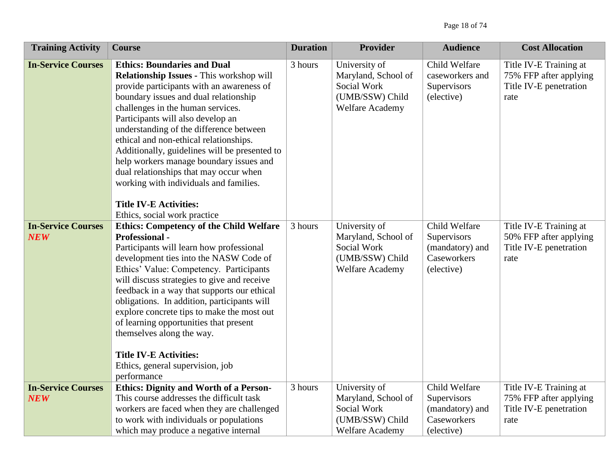| <b>Training Activity</b>                | <b>Course</b>                                                                                                                                                                                                                                                                                                                                                                                                                                                                                                                                                                        | <b>Duration</b> | <b>Provider</b>                                                                           | <b>Audience</b>                                                              | <b>Cost Allocation</b>                                                             |
|-----------------------------------------|--------------------------------------------------------------------------------------------------------------------------------------------------------------------------------------------------------------------------------------------------------------------------------------------------------------------------------------------------------------------------------------------------------------------------------------------------------------------------------------------------------------------------------------------------------------------------------------|-----------------|-------------------------------------------------------------------------------------------|------------------------------------------------------------------------------|------------------------------------------------------------------------------------|
| <b>In-Service Courses</b>               | <b>Ethics: Boundaries and Dual</b><br>Relationship Issues - This workshop will<br>provide participants with an awareness of<br>boundary issues and dual relationship<br>challenges in the human services.<br>Participants will also develop an<br>understanding of the difference between<br>ethical and non-ethical relationships.<br>Additionally, guidelines will be presented to<br>help workers manage boundary issues and<br>dual relationships that may occur when<br>working with individuals and families.<br><b>Title IV-E Activities:</b><br>Ethics, social work practice | 3 hours         | University of<br>Maryland, School of<br>Social Work<br>(UMB/SSW) Child<br>Welfare Academy | Child Welfare<br>caseworkers and<br>Supervisors<br>(elective)                | Title IV-E Training at<br>75% FFP after applying<br>Title IV-E penetration<br>rate |
| <b>In-Service Courses</b><br><b>NEW</b> | <b>Ethics: Competency of the Child Welfare</b><br><b>Professional -</b><br>Participants will learn how professional<br>development ties into the NASW Code of<br>Ethics' Value: Competency. Participants<br>will discuss strategies to give and receive<br>feedback in a way that supports our ethical<br>obligations. In addition, participants will<br>explore concrete tips to make the most out<br>of learning opportunities that present<br>themselves along the way.<br><b>Title IV-E Activities:</b><br>Ethics, general supervision, job<br>performance                       | 3 hours         | University of<br>Maryland, School of<br>Social Work<br>(UMB/SSW) Child<br>Welfare Academy | Child Welfare<br>Supervisors<br>(mandatory) and<br>Caseworkers<br>(elective) | Title IV-E Training at<br>50% FFP after applying<br>Title IV-E penetration<br>rate |
| <b>In-Service Courses</b><br><b>NEW</b> | <b>Ethics: Dignity and Worth of a Person-</b><br>This course addresses the difficult task<br>workers are faced when they are challenged<br>to work with individuals or populations<br>which may produce a negative internal                                                                                                                                                                                                                                                                                                                                                          | 3 hours         | University of<br>Maryland, School of<br>Social Work<br>(UMB/SSW) Child<br>Welfare Academy | Child Welfare<br>Supervisors<br>(mandatory) and<br>Caseworkers<br>(elective) | Title IV-E Training at<br>75% FFP after applying<br>Title IV-E penetration<br>rate |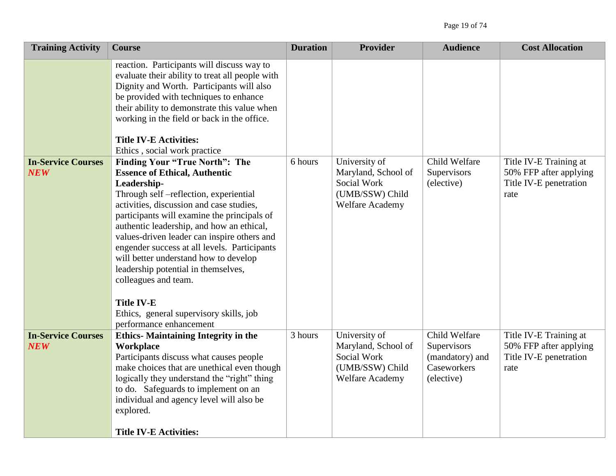| <b>Training Activity</b>                | <b>Course</b>                                                                                                                                                                                                                                                                                                                                                                                                                                                                                                                           | <b>Duration</b> | <b>Provider</b>                                                                           | <b>Audience</b>                                                              | <b>Cost Allocation</b>                                                             |
|-----------------------------------------|-----------------------------------------------------------------------------------------------------------------------------------------------------------------------------------------------------------------------------------------------------------------------------------------------------------------------------------------------------------------------------------------------------------------------------------------------------------------------------------------------------------------------------------------|-----------------|-------------------------------------------------------------------------------------------|------------------------------------------------------------------------------|------------------------------------------------------------------------------------|
| <b>In-Service Courses</b>               | reaction. Participants will discuss way to<br>evaluate their ability to treat all people with<br>Dignity and Worth. Participants will also<br>be provided with techniques to enhance<br>their ability to demonstrate this value when<br>working in the field or back in the office.<br><b>Title IV-E Activities:</b><br>Ethics, social work practice<br><b>Finding Your "True North": The</b>                                                                                                                                           | 6 hours         | University of                                                                             | Child Welfare                                                                | Title IV-E Training at                                                             |
| <b>NEW</b>                              | <b>Essence of Ethical, Authentic</b><br>Leadership-<br>Through self -reflection, experiential<br>activities, discussion and case studies,<br>participants will examine the principals of<br>authentic leadership, and how an ethical,<br>values-driven leader can inspire others and<br>engender success at all levels. Participants<br>will better understand how to develop<br>leadership potential in themselves,<br>colleagues and team.<br><b>Title IV-E</b><br>Ethics, general supervisory skills, job<br>performance enhancement |                 | Maryland, School of<br>Social Work<br>(UMB/SSW) Child<br>Welfare Academy                  | Supervisors<br>(elective)                                                    | 50% FFP after applying<br>Title IV-E penetration<br>rate                           |
| <b>In-Service Courses</b><br><b>NEW</b> | <b>Ethics-Maintaining Integrity in the</b><br><b>Workplace</b><br>Participants discuss what causes people<br>make choices that are unethical even though<br>logically they understand the "right" thing<br>to do. Safeguards to implement on an<br>individual and agency level will also be<br>explored.<br><b>Title IV-E Activities:</b>                                                                                                                                                                                               | 3 hours         | University of<br>Maryland, School of<br>Social Work<br>(UMB/SSW) Child<br>Welfare Academy | Child Welfare<br>Supervisors<br>(mandatory) and<br>Caseworkers<br>(elective) | Title IV-E Training at<br>50% FFP after applying<br>Title IV-E penetration<br>rate |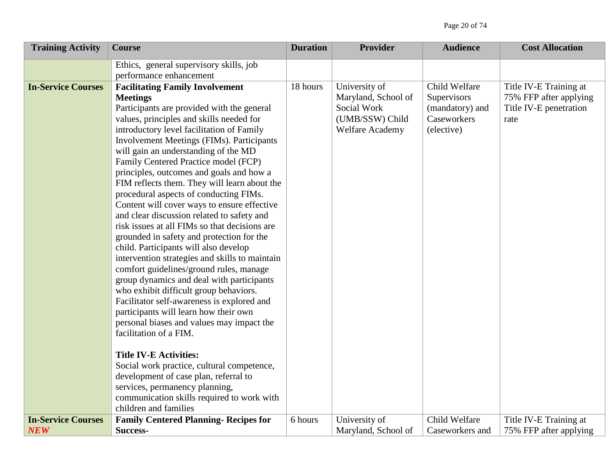| <b>Training Activity</b>  | <b>Course</b>                                                       | <b>Duration</b> | <b>Provider</b>        | <b>Audience</b> | <b>Cost Allocation</b> |
|---------------------------|---------------------------------------------------------------------|-----------------|------------------------|-----------------|------------------------|
|                           | Ethics, general supervisory skills, job                             |                 |                        |                 |                        |
|                           | performance enhancement                                             |                 |                        |                 |                        |
| <b>In-Service Courses</b> | <b>Facilitating Family Involvement</b>                              | 18 hours        | University of          | Child Welfare   | Title IV-E Training at |
|                           | <b>Meetings</b>                                                     |                 | Maryland, School of    | Supervisors     | 75% FFP after applying |
|                           | Participants are provided with the general                          |                 | Social Work            | (mandatory) and | Title IV-E penetration |
|                           | values, principles and skills needed for                            |                 | (UMB/SSW) Child        | Caseworkers     | rate                   |
|                           | introductory level facilitation of Family                           |                 | <b>Welfare Academy</b> | (elective)      |                        |
|                           | Involvement Meetings (FIMs). Participants                           |                 |                        |                 |                        |
|                           | will gain an understanding of the MD                                |                 |                        |                 |                        |
|                           | Family Centered Practice model (FCP)                                |                 |                        |                 |                        |
|                           | principles, outcomes and goals and how a                            |                 |                        |                 |                        |
|                           | FIM reflects them. They will learn about the                        |                 |                        |                 |                        |
|                           | procedural aspects of conducting FIMs.                              |                 |                        |                 |                        |
|                           | Content will cover ways to ensure effective                         |                 |                        |                 |                        |
|                           | and clear discussion related to safety and                          |                 |                        |                 |                        |
|                           | risk issues at all FIMs so that decisions are                       |                 |                        |                 |                        |
|                           | grounded in safety and protection for the                           |                 |                        |                 |                        |
|                           | child. Participants will also develop                               |                 |                        |                 |                        |
|                           | intervention strategies and skills to maintain                      |                 |                        |                 |                        |
|                           | comfort guidelines/ground rules, manage                             |                 |                        |                 |                        |
|                           | group dynamics and deal with participants                           |                 |                        |                 |                        |
|                           | who exhibit difficult group behaviors.                              |                 |                        |                 |                        |
|                           | Facilitator self-awareness is explored and                          |                 |                        |                 |                        |
|                           | participants will learn how their own                               |                 |                        |                 |                        |
|                           |                                                                     |                 |                        |                 |                        |
|                           | personal biases and values may impact the<br>facilitation of a FIM. |                 |                        |                 |                        |
|                           |                                                                     |                 |                        |                 |                        |
|                           | <b>Title IV-E Activities:</b>                                       |                 |                        |                 |                        |
|                           | Social work practice, cultural competence,                          |                 |                        |                 |                        |
|                           | development of case plan, referral to                               |                 |                        |                 |                        |
|                           | services, permanency planning,                                      |                 |                        |                 |                        |
|                           | communication skills required to work with                          |                 |                        |                 |                        |
|                           | children and families                                               |                 |                        |                 |                        |
| <b>In-Service Courses</b> | <b>Family Centered Planning- Recipes for</b>                        | 6 hours         | University of          | Child Welfare   | Title IV-E Training at |
| <b>NEW</b>                | Success-                                                            |                 | Maryland, School of    | Caseworkers and | 75% FFP after applying |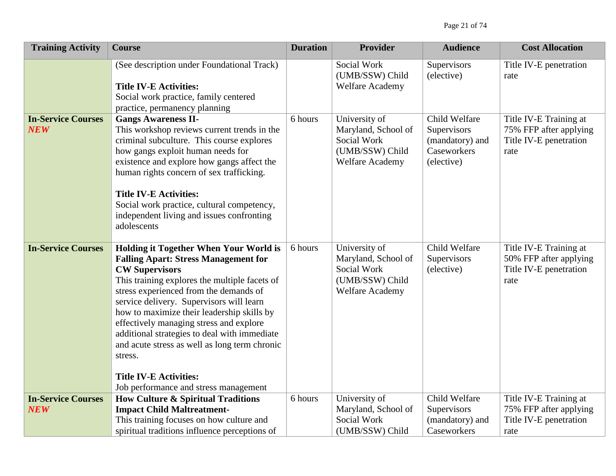| <b>Training Activity</b>                | <b>Course</b>                                                                                                                                                                                                                                                                                                                                                                                                                                                                                                                        | <b>Duration</b> | <b>Provider</b>                                                                                  | <b>Audience</b>                                                              | <b>Cost Allocation</b>                                                             |
|-----------------------------------------|--------------------------------------------------------------------------------------------------------------------------------------------------------------------------------------------------------------------------------------------------------------------------------------------------------------------------------------------------------------------------------------------------------------------------------------------------------------------------------------------------------------------------------------|-----------------|--------------------------------------------------------------------------------------------------|------------------------------------------------------------------------------|------------------------------------------------------------------------------------|
|                                         | (See description under Foundational Track)<br><b>Title IV-E Activities:</b><br>Social work practice, family centered<br>practice, permanency planning                                                                                                                                                                                                                                                                                                                                                                                |                 | Social Work<br>(UMB/SSW) Child<br><b>Welfare Academy</b>                                         | Supervisors<br>(elective)                                                    | Title IV-E penetration<br>rate                                                     |
| <b>In-Service Courses</b><br><b>NEW</b> | <b>Gangs Awareness II-</b><br>This workshop reviews current trends in the<br>criminal subculture. This course explores<br>how gangs exploit human needs for<br>existence and explore how gangs affect the<br>human rights concern of sex trafficking.<br><b>Title IV-E Activities:</b><br>Social work practice, cultural competency,<br>independent living and issues confronting<br>adolescents                                                                                                                                     | 6 hours         | University of<br>Maryland, School of<br>Social Work<br>(UMB/SSW) Child<br><b>Welfare Academy</b> | Child Welfare<br>Supervisors<br>(mandatory) and<br>Caseworkers<br>(elective) | Title IV-E Training at<br>75% FFP after applying<br>Title IV-E penetration<br>rate |
| <b>In-Service Courses</b>               | Holding it Together When Your World is<br><b>Falling Apart: Stress Management for</b><br><b>CW Supervisors</b><br>This training explores the multiple facets of<br>stress experienced from the demands of<br>service delivery. Supervisors will learn<br>how to maximize their leadership skills by<br>effectively managing stress and explore<br>additional strategies to deal with immediate<br>and acute stress as well as long term chronic<br>stress.<br><b>Title IV-E Activities:</b><br>Job performance and stress management | 6 hours         | University of<br>Maryland, School of<br>Social Work<br>(UMB/SSW) Child<br>Welfare Academy        | Child Welfare<br>Supervisors<br>(elective)                                   | Title IV-E Training at<br>50% FFP after applying<br>Title IV-E penetration<br>rate |
| <b>In-Service Courses</b><br><b>NEW</b> | <b>How Culture &amp; Spiritual Traditions</b><br><b>Impact Child Maltreatment-</b><br>This training focuses on how culture and<br>spiritual traditions influence perceptions of                                                                                                                                                                                                                                                                                                                                                      | 6 hours         | University of<br>Maryland, School of<br>Social Work<br>(UMB/SSW) Child                           | Child Welfare<br>Supervisors<br>(mandatory) and<br>Caseworkers               | Title IV-E Training at<br>75% FFP after applying<br>Title IV-E penetration<br>rate |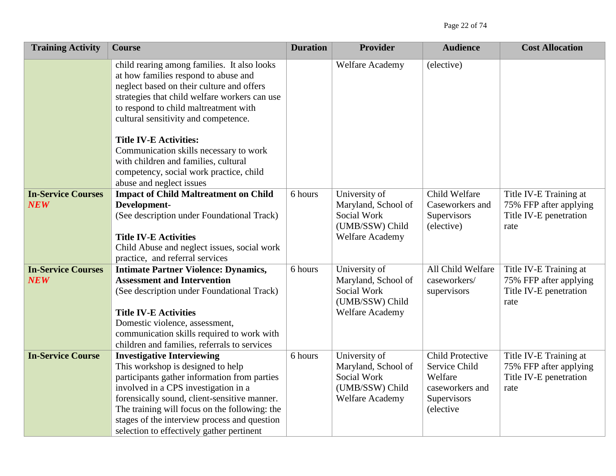| <b>Training Activity</b>                | <b>Course</b>                                                                                                                                                                                                                                                                                                                                                                                                                                                | <b>Duration</b> | <b>Provider</b>                                                                                  | <b>Audience</b>                                                                                    | <b>Cost Allocation</b>                                                             |
|-----------------------------------------|--------------------------------------------------------------------------------------------------------------------------------------------------------------------------------------------------------------------------------------------------------------------------------------------------------------------------------------------------------------------------------------------------------------------------------------------------------------|-----------------|--------------------------------------------------------------------------------------------------|----------------------------------------------------------------------------------------------------|------------------------------------------------------------------------------------|
|                                         | child rearing among families. It also looks<br>at how families respond to abuse and<br>neglect based on their culture and offers<br>strategies that child welfare workers can use<br>to respond to child maltreatment with<br>cultural sensitivity and competence.<br><b>Title IV-E Activities:</b><br>Communication skills necessary to work<br>with children and families, cultural<br>competency, social work practice, child<br>abuse and neglect issues |                 | Welfare Academy                                                                                  | (elective)                                                                                         |                                                                                    |
| <b>In-Service Courses</b><br><b>NEW</b> | <b>Impact of Child Maltreatment on Child</b><br>Development-<br>(See description under Foundational Track)<br><b>Title IV-E Activities</b><br>Child Abuse and neglect issues, social work<br>practice, and referral services                                                                                                                                                                                                                                 | 6 hours         | University of<br>Maryland, School of<br>Social Work<br>(UMB/SSW) Child<br>Welfare Academy        | Child Welfare<br>Caseworkers and<br>Supervisors<br>(elective)                                      | Title IV-E Training at<br>75% FFP after applying<br>Title IV-E penetration<br>rate |
| <b>In-Service Courses</b><br><b>NEW</b> | <b>Intimate Partner Violence: Dynamics,</b><br><b>Assessment and Intervention</b><br>(See description under Foundational Track)<br><b>Title IV-E Activities</b><br>Domestic violence, assessment,<br>communication skills required to work with<br>children and families, referrals to services                                                                                                                                                              | 6 hours         | University of<br>Maryland, School of<br>Social Work<br>(UMB/SSW) Child<br><b>Welfare Academy</b> | All Child Welfare<br>caseworkers/<br>supervisors                                                   | Title IV-E Training at<br>75% FFP after applying<br>Title IV-E penetration<br>rate |
| <b>In-Service Course</b>                | <b>Investigative Interviewing</b><br>This workshop is designed to help<br>participants gather information from parties<br>involved in a CPS investigation in a<br>forensically sound, client-sensitive manner.<br>The training will focus on the following: the<br>stages of the interview process and question<br>selection to effectively gather pertinent                                                                                                 | 6 hours         | University of<br>Maryland, School of<br>Social Work<br>(UMB/SSW) Child<br><b>Welfare Academy</b> | <b>Child Protective</b><br>Service Child<br>Welfare<br>caseworkers and<br>Supervisors<br>(elective | Title IV-E Training at<br>75% FFP after applying<br>Title IV-E penetration<br>rate |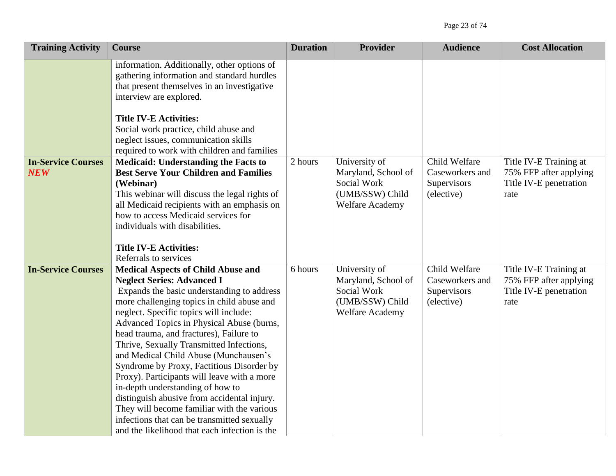| <b>Training Activity</b>                | <b>Course</b>                                                                                                                                                                                                                                                                                                                                                                                                                                                                                                                                                                                                                                                                                                                  | <b>Duration</b> | <b>Provider</b>                                                                                  | <b>Audience</b>                                               | <b>Cost Allocation</b>                                                             |
|-----------------------------------------|--------------------------------------------------------------------------------------------------------------------------------------------------------------------------------------------------------------------------------------------------------------------------------------------------------------------------------------------------------------------------------------------------------------------------------------------------------------------------------------------------------------------------------------------------------------------------------------------------------------------------------------------------------------------------------------------------------------------------------|-----------------|--------------------------------------------------------------------------------------------------|---------------------------------------------------------------|------------------------------------------------------------------------------------|
|                                         | information. Additionally, other options of<br>gathering information and standard hurdles<br>that present themselves in an investigative<br>interview are explored.<br><b>Title IV-E Activities:</b><br>Social work practice, child abuse and<br>neglect issues, communication skills<br>required to work with children and families                                                                                                                                                                                                                                                                                                                                                                                           |                 |                                                                                                  |                                                               |                                                                                    |
| <b>In-Service Courses</b><br><b>NEW</b> | <b>Medicaid: Understanding the Facts to</b><br><b>Best Serve Your Children and Families</b><br>(Webinar)<br>This webinar will discuss the legal rights of<br>all Medicaid recipients with an emphasis on<br>how to access Medicaid services for<br>individuals with disabilities.<br><b>Title IV-E Activities:</b><br>Referrals to services                                                                                                                                                                                                                                                                                                                                                                                    | 2 hours         | University of<br>Maryland, School of<br>Social Work<br>(UMB/SSW) Child<br>Welfare Academy        | Child Welfare<br>Caseworkers and<br>Supervisors<br>(elective) | Title IV-E Training at<br>75% FFP after applying<br>Title IV-E penetration<br>rate |
| <b>In-Service Courses</b>               | <b>Medical Aspects of Child Abuse and</b><br><b>Neglect Series: Advanced I</b><br>Expands the basic understanding to address<br>more challenging topics in child abuse and<br>neglect. Specific topics will include:<br>Advanced Topics in Physical Abuse (burns,<br>head trauma, and fractures), Failure to<br>Thrive, Sexually Transmitted Infections,<br>and Medical Child Abuse (Munchausen's<br>Syndrome by Proxy, Factitious Disorder by<br>Proxy). Participants will leave with a more<br>in-depth understanding of how to<br>distinguish abusive from accidental injury.<br>They will become familiar with the various<br>infections that can be transmitted sexually<br>and the likelihood that each infection is the | 6 hours         | University of<br>Maryland, School of<br>Social Work<br>(UMB/SSW) Child<br><b>Welfare Academy</b> | Child Welfare<br>Caseworkers and<br>Supervisors<br>(elective) | Title IV-E Training at<br>75% FFP after applying<br>Title IV-E penetration<br>rate |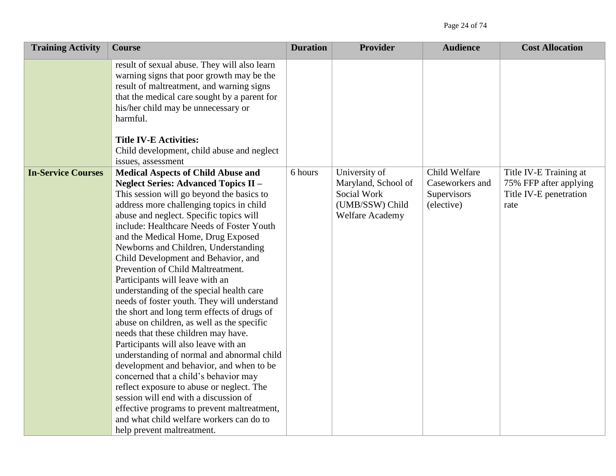| <b>Training Activity</b>  | <b>Course</b>                                                                                                                                                                                                                                                                                                                                                                                                                                                                                                                                                                                                                                                                                                                                                                                                                                                                                                                                                                                                                                                                            | <b>Duration</b> | Provider                                                                                  | <b>Audience</b>                                               | <b>Cost Allocation</b>                                                             |
|---------------------------|------------------------------------------------------------------------------------------------------------------------------------------------------------------------------------------------------------------------------------------------------------------------------------------------------------------------------------------------------------------------------------------------------------------------------------------------------------------------------------------------------------------------------------------------------------------------------------------------------------------------------------------------------------------------------------------------------------------------------------------------------------------------------------------------------------------------------------------------------------------------------------------------------------------------------------------------------------------------------------------------------------------------------------------------------------------------------------------|-----------------|-------------------------------------------------------------------------------------------|---------------------------------------------------------------|------------------------------------------------------------------------------------|
|                           | result of sexual abuse. They will also learn<br>warning signs that poor growth may be the<br>result of maltreatment, and warning signs<br>that the medical care sought by a parent for<br>his/her child may be unnecessary or<br>harmful.<br><b>Title IV-E Activities:</b><br>Child development, child abuse and neglect                                                                                                                                                                                                                                                                                                                                                                                                                                                                                                                                                                                                                                                                                                                                                                 |                 |                                                                                           |                                                               |                                                                                    |
|                           | issues, assessment                                                                                                                                                                                                                                                                                                                                                                                                                                                                                                                                                                                                                                                                                                                                                                                                                                                                                                                                                                                                                                                                       |                 |                                                                                           |                                                               |                                                                                    |
| <b>In-Service Courses</b> | <b>Medical Aspects of Child Abuse and</b><br>Neglect Series: Advanced Topics II -<br>This session will go beyond the basics to<br>address more challenging topics in child<br>abuse and neglect. Specific topics will<br>include: Healthcare Needs of Foster Youth<br>and the Medical Home, Drug Exposed<br>Newborns and Children, Understanding<br>Child Development and Behavior, and<br>Prevention of Child Maltreatment.<br>Participants will leave with an<br>understanding of the special health care<br>needs of foster youth. They will understand<br>the short and long term effects of drugs of<br>abuse on children, as well as the specific<br>needs that these children may have.<br>Participants will also leave with an<br>understanding of normal and abnormal child<br>development and behavior, and when to be<br>concerned that a child's behavior may<br>reflect exposure to abuse or neglect. The<br>session will end with a discussion of<br>effective programs to prevent maltreatment,<br>and what child welfare workers can do to<br>help prevent maltreatment. | 6 hours         | University of<br>Maryland, School of<br>Social Work<br>(UMB/SSW) Child<br>Welfare Academy | Child Welfare<br>Caseworkers and<br>Supervisors<br>(elective) | Title IV-E Training at<br>75% FFP after applying<br>Title IV-E penetration<br>rate |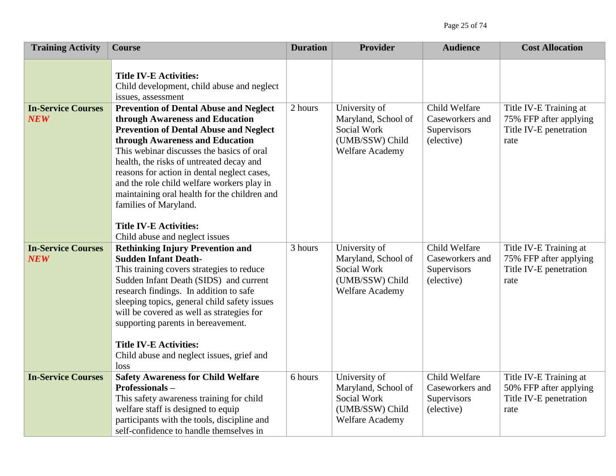| <b>Training Activity</b>                | <b>Course</b>                                                                                                                                                                                                                                                                                                                                                                                                                                                                                          | <b>Duration</b> | <b>Provider</b>                                                                           | <b>Audience</b>                                               | <b>Cost Allocation</b>                                                             |
|-----------------------------------------|--------------------------------------------------------------------------------------------------------------------------------------------------------------------------------------------------------------------------------------------------------------------------------------------------------------------------------------------------------------------------------------------------------------------------------------------------------------------------------------------------------|-----------------|-------------------------------------------------------------------------------------------|---------------------------------------------------------------|------------------------------------------------------------------------------------|
|                                         | <b>Title IV-E Activities:</b><br>Child development, child abuse and neglect<br>issues, assessment                                                                                                                                                                                                                                                                                                                                                                                                      |                 |                                                                                           |                                                               |                                                                                    |
| <b>In-Service Courses</b><br><b>NEW</b> | <b>Prevention of Dental Abuse and Neglect</b><br>through Awareness and Education<br><b>Prevention of Dental Abuse and Neglect</b><br>through Awareness and Education<br>This webinar discusses the basics of oral<br>health, the risks of untreated decay and<br>reasons for action in dental neglect cases,<br>and the role child welfare workers play in<br>maintaining oral health for the children and<br>families of Maryland.<br><b>Title IV-E Activities:</b><br>Child abuse and neglect issues | 2 hours         | University of<br>Maryland, School of<br>Social Work<br>(UMB/SSW) Child<br>Welfare Academy | Child Welfare<br>Caseworkers and<br>Supervisors<br>(elective) | Title IV-E Training at<br>75% FFP after applying<br>Title IV-E penetration<br>rate |
| <b>In-Service Courses</b><br><b>NEW</b> | <b>Rethinking Injury Prevention and</b><br><b>Sudden Infant Death-</b><br>This training covers strategies to reduce<br>Sudden Infant Death (SIDS) and current<br>research findings. In addition to safe<br>sleeping topics, general child safety issues<br>will be covered as well as strategies for<br>supporting parents in bereavement.<br><b>Title IV-E Activities:</b><br>Child abuse and neglect issues, grief and<br>loss                                                                       | 3 hours         | University of<br>Maryland, School of<br>Social Work<br>(UMB/SSW) Child<br>Welfare Academy | Child Welfare<br>Caseworkers and<br>Supervisors<br>(elective) | Title IV-E Training at<br>75% FFP after applying<br>Title IV-E penetration<br>rate |
| <b>In-Service Courses</b>               | <b>Safety Awareness for Child Welfare</b><br><b>Professionals-</b><br>This safety awareness training for child<br>welfare staff is designed to equip<br>participants with the tools, discipline and<br>self-confidence to handle themselves in                                                                                                                                                                                                                                                         | 6 hours         | University of<br>Maryland, School of<br>Social Work<br>(UMB/SSW) Child<br>Welfare Academy | Child Welfare<br>Caseworkers and<br>Supervisors<br>(elective) | Title IV-E Training at<br>50% FFP after applying<br>Title IV-E penetration<br>rate |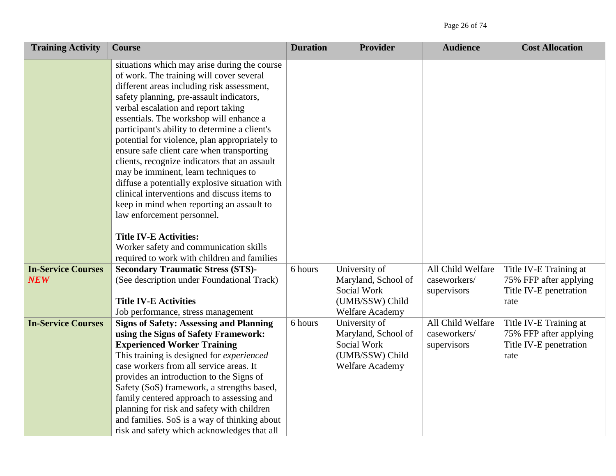| <b>Training Activity</b>  | <b>Course</b>                                                                                                                                                                                                                                                                                                                                                                                                                                                                                                                                                                                                                                                                                                                                                       | <b>Duration</b> | <b>Provider</b>                                                                           | <b>Audience</b>                                  | <b>Cost Allocation</b>                                                             |
|---------------------------|---------------------------------------------------------------------------------------------------------------------------------------------------------------------------------------------------------------------------------------------------------------------------------------------------------------------------------------------------------------------------------------------------------------------------------------------------------------------------------------------------------------------------------------------------------------------------------------------------------------------------------------------------------------------------------------------------------------------------------------------------------------------|-----------------|-------------------------------------------------------------------------------------------|--------------------------------------------------|------------------------------------------------------------------------------------|
|                           | situations which may arise during the course<br>of work. The training will cover several<br>different areas including risk assessment,<br>safety planning, pre-assault indicators,<br>verbal escalation and report taking<br>essentials. The workshop will enhance a<br>participant's ability to determine a client's<br>potential for violence, plan appropriately to<br>ensure safe client care when transporting<br>clients, recognize indicators that an assault<br>may be imminent, learn techniques to<br>diffuse a potentially explosive situation with<br>clinical interventions and discuss items to<br>keep in mind when reporting an assault to<br>law enforcement personnel.<br><b>Title IV-E Activities:</b><br>Worker safety and communication skills |                 |                                                                                           |                                                  |                                                                                    |
| <b>In-Service Courses</b> | required to work with children and families<br><b>Secondary Traumatic Stress (STS)-</b>                                                                                                                                                                                                                                                                                                                                                                                                                                                                                                                                                                                                                                                                             | 6 hours         | University of                                                                             | All Child Welfare                                | Title IV-E Training at                                                             |
| <b>NEW</b>                | (See description under Foundational Track)                                                                                                                                                                                                                                                                                                                                                                                                                                                                                                                                                                                                                                                                                                                          |                 | Maryland, School of                                                                       | caseworkers/                                     | 75% FFP after applying                                                             |
|                           | <b>Title IV-E Activities</b>                                                                                                                                                                                                                                                                                                                                                                                                                                                                                                                                                                                                                                                                                                                                        |                 | Social Work<br>(UMB/SSW) Child                                                            | supervisors                                      | Title IV-E penetration<br>rate                                                     |
|                           | Job performance, stress management                                                                                                                                                                                                                                                                                                                                                                                                                                                                                                                                                                                                                                                                                                                                  |                 | Welfare Academy                                                                           |                                                  |                                                                                    |
| <b>In-Service Courses</b> | <b>Signs of Safety: Assessing and Planning</b><br>using the Signs of Safety Framework:<br><b>Experienced Worker Training</b><br>This training is designed for experienced<br>case workers from all service areas. It<br>provides an introduction to the Signs of<br>Safety (SoS) framework, a strengths based,<br>family centered approach to assessing and<br>planning for risk and safety with children<br>and families. SoS is a way of thinking about<br>risk and safety which acknowledges that all                                                                                                                                                                                                                                                            | 6 hours         | University of<br>Maryland, School of<br>Social Work<br>(UMB/SSW) Child<br>Welfare Academy | All Child Welfare<br>caseworkers/<br>supervisors | Title IV-E Training at<br>75% FFP after applying<br>Title IV-E penetration<br>rate |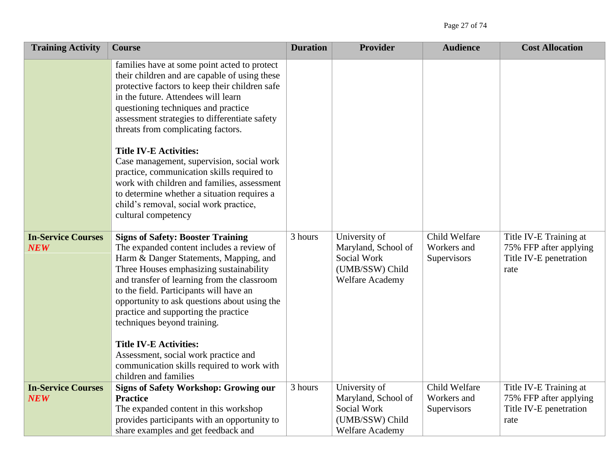| <b>Training Activity</b>                | <b>Course</b>                                                                                                                                                                                                                                                                                                                                                                                                                                                                                                                                                                                                   | <b>Duration</b> | <b>Provider</b>                                                                           | <b>Audience</b>                             | <b>Cost Allocation</b>                                                             |
|-----------------------------------------|-----------------------------------------------------------------------------------------------------------------------------------------------------------------------------------------------------------------------------------------------------------------------------------------------------------------------------------------------------------------------------------------------------------------------------------------------------------------------------------------------------------------------------------------------------------------------------------------------------------------|-----------------|-------------------------------------------------------------------------------------------|---------------------------------------------|------------------------------------------------------------------------------------|
|                                         | families have at some point acted to protect<br>their children and are capable of using these<br>protective factors to keep their children safe<br>in the future. Attendees will learn<br>questioning techniques and practice<br>assessment strategies to differentiate safety<br>threats from complicating factors.<br><b>Title IV-E Activities:</b><br>Case management, supervision, social work<br>practice, communication skills required to<br>work with children and families, assessment<br>to determine whether a situation requires a<br>child's removal, social work practice,<br>cultural competency |                 |                                                                                           |                                             |                                                                                    |
| <b>In-Service Courses</b><br><b>NEW</b> | <b>Signs of Safety: Booster Training</b><br>The expanded content includes a review of<br>Harm & Danger Statements, Mapping, and<br>Three Houses emphasizing sustainability<br>and transfer of learning from the classroom<br>to the field. Participants will have an<br>opportunity to ask questions about using the<br>practice and supporting the practice<br>techniques beyond training.<br><b>Title IV-E Activities:</b><br>Assessment, social work practice and<br>communication skills required to work with<br>children and families                                                                     | 3 hours         | University of<br>Maryland, School of<br>Social Work<br>(UMB/SSW) Child<br>Welfare Academy | Child Welfare<br>Workers and<br>Supervisors | Title IV-E Training at<br>75% FFP after applying<br>Title IV-E penetration<br>rate |
| <b>In-Service Courses</b><br><b>NEW</b> | <b>Signs of Safety Workshop: Growing our</b><br><b>Practice</b><br>The expanded content in this workshop<br>provides participants with an opportunity to<br>share examples and get feedback and                                                                                                                                                                                                                                                                                                                                                                                                                 | 3 hours         | University of<br>Maryland, School of<br>Social Work<br>(UMB/SSW) Child<br>Welfare Academy | Child Welfare<br>Workers and<br>Supervisors | Title IV-E Training at<br>75% FFP after applying<br>Title IV-E penetration<br>rate |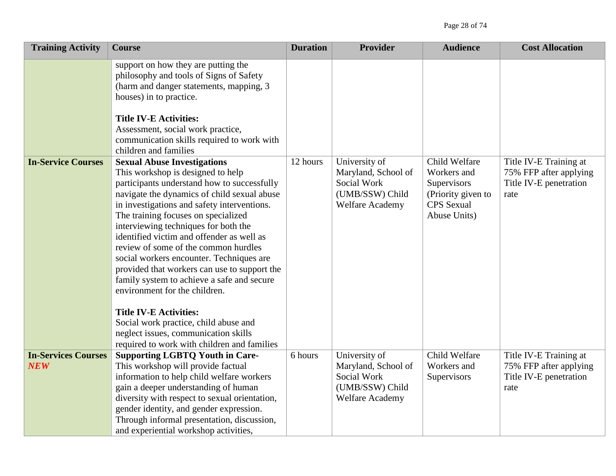| <b>Training Activity</b>                 | <b>Course</b>                                                                                                                                                                                                                                                                                                                                                                                                                                                                                                                                                                                                                                                                                                                                                                                                                                                                                             | <b>Duration</b> | Provider                                                                                  | <b>Audience</b>                                                                                        | <b>Cost Allocation</b>                                                             |
|------------------------------------------|-----------------------------------------------------------------------------------------------------------------------------------------------------------------------------------------------------------------------------------------------------------------------------------------------------------------------------------------------------------------------------------------------------------------------------------------------------------------------------------------------------------------------------------------------------------------------------------------------------------------------------------------------------------------------------------------------------------------------------------------------------------------------------------------------------------------------------------------------------------------------------------------------------------|-----------------|-------------------------------------------------------------------------------------------|--------------------------------------------------------------------------------------------------------|------------------------------------------------------------------------------------|
| <b>In-Service Courses</b>                | support on how they are putting the<br>philosophy and tools of Signs of Safety<br>(harm and danger statements, mapping, 3<br>houses) in to practice.<br><b>Title IV-E Activities:</b><br>Assessment, social work practice,<br>communication skills required to work with<br>children and families<br><b>Sexual Abuse Investigations</b><br>This workshop is designed to help<br>participants understand how to successfully<br>navigate the dynamics of child sexual abuse<br>in investigations and safety interventions.<br>The training focuses on specialized<br>interviewing techniques for both the<br>identified victim and offender as well as<br>review of some of the common hurdles<br>social workers encounter. Techniques are<br>provided that workers can use to support the<br>family system to achieve a safe and secure<br>environment for the children.<br><b>Title IV-E Activities:</b> | 12 hours        | University of<br>Maryland, School of<br>Social Work<br>(UMB/SSW) Child<br>Welfare Academy | Child Welfare<br>Workers and<br>Supervisors<br>(Priority given to<br><b>CPS</b> Sexual<br>Abuse Units) | Title IV-E Training at<br>75% FFP after applying<br>Title IV-E penetration<br>rate |
|                                          | Social work practice, child abuse and<br>neglect issues, communication skills<br>required to work with children and families                                                                                                                                                                                                                                                                                                                                                                                                                                                                                                                                                                                                                                                                                                                                                                              |                 |                                                                                           |                                                                                                        |                                                                                    |
| <b>In-Services Courses</b><br><b>NEW</b> | <b>Supporting LGBTQ Youth in Care-</b><br>This workshop will provide factual<br>information to help child welfare workers<br>gain a deeper understanding of human<br>diversity with respect to sexual orientation,<br>gender identity, and gender expression.<br>Through informal presentation, discussion,<br>and experiential workshop activities,                                                                                                                                                                                                                                                                                                                                                                                                                                                                                                                                                      | 6 hours         | University of<br>Maryland, School of<br>Social Work<br>(UMB/SSW) Child<br>Welfare Academy | Child Welfare<br>Workers and<br>Supervisors                                                            | Title IV-E Training at<br>75% FFP after applying<br>Title IV-E penetration<br>rate |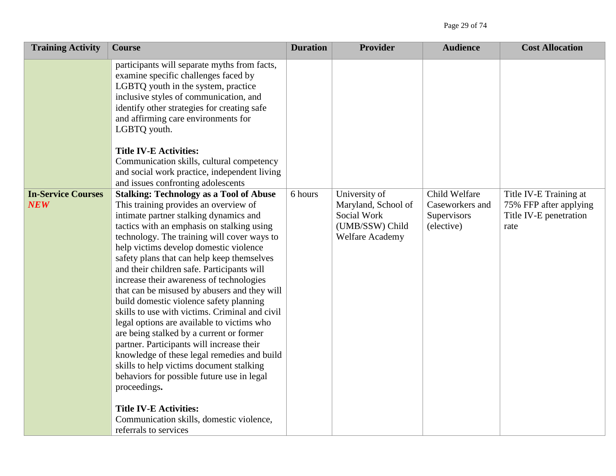| <b>Training Activity</b>                | <b>Course</b>                                                                                                                                                                                                                                                                                                                                                                                                                                                                                                                                                                                                                                                                                                                                                                                                                                                                                                                                                       | <b>Duration</b> | <b>Provider</b>                                                                           | <b>Audience</b>                                               | <b>Cost Allocation</b>                                                             |
|-----------------------------------------|---------------------------------------------------------------------------------------------------------------------------------------------------------------------------------------------------------------------------------------------------------------------------------------------------------------------------------------------------------------------------------------------------------------------------------------------------------------------------------------------------------------------------------------------------------------------------------------------------------------------------------------------------------------------------------------------------------------------------------------------------------------------------------------------------------------------------------------------------------------------------------------------------------------------------------------------------------------------|-----------------|-------------------------------------------------------------------------------------------|---------------------------------------------------------------|------------------------------------------------------------------------------------|
|                                         | participants will separate myths from facts,<br>examine specific challenges faced by<br>LGBTQ youth in the system, practice<br>inclusive styles of communication, and<br>identify other strategies for creating safe<br>and affirming care environments for<br>LGBTQ youth.<br><b>Title IV-E Activities:</b><br>Communication skills, cultural competency<br>and social work practice, independent living<br>and issues confronting adolescents                                                                                                                                                                                                                                                                                                                                                                                                                                                                                                                     |                 |                                                                                           |                                                               |                                                                                    |
| <b>In-Service Courses</b><br><b>NEW</b> | <b>Stalking: Technology as a Tool of Abuse</b><br>This training provides an overview of<br>intimate partner stalking dynamics and<br>tactics with an emphasis on stalking using<br>technology. The training will cover ways to<br>help victims develop domestic violence<br>safety plans that can help keep themselves<br>and their children safe. Participants will<br>increase their awareness of technologies<br>that can be misused by abusers and they will<br>build domestic violence safety planning<br>skills to use with victims. Criminal and civil<br>legal options are available to victims who<br>are being stalked by a current or former<br>partner. Participants will increase their<br>knowledge of these legal remedies and build<br>skills to help victims document stalking<br>behaviors for possible future use in legal<br>proceedings.<br><b>Title IV-E Activities:</b><br>Communication skills, domestic violence,<br>referrals to services | 6 hours         | University of<br>Maryland, School of<br>Social Work<br>(UMB/SSW) Child<br>Welfare Academy | Child Welfare<br>Caseworkers and<br>Supervisors<br>(elective) | Title IV-E Training at<br>75% FFP after applying<br>Title IV-E penetration<br>rate |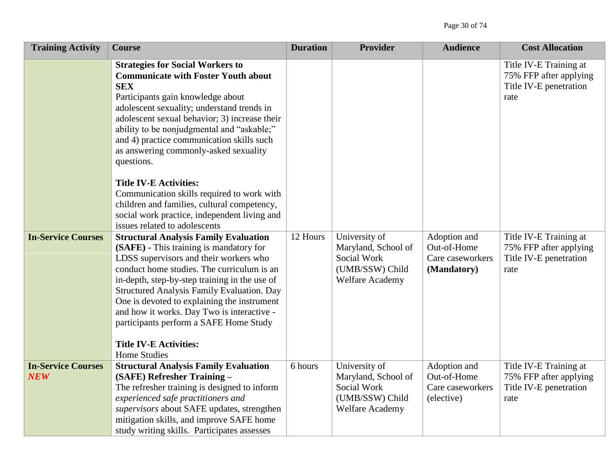| <b>Training Activity</b>                | <b>Course</b>                                                                                                                                                                                                                                                                                                                                                                                                                                                                                                                                                                                            | <b>Duration</b> | <b>Provider</b>                                                                                  | <b>Audience</b>                                                | <b>Cost Allocation</b>                                                             |
|-----------------------------------------|----------------------------------------------------------------------------------------------------------------------------------------------------------------------------------------------------------------------------------------------------------------------------------------------------------------------------------------------------------------------------------------------------------------------------------------------------------------------------------------------------------------------------------------------------------------------------------------------------------|-----------------|--------------------------------------------------------------------------------------------------|----------------------------------------------------------------|------------------------------------------------------------------------------------|
|                                         | <b>Strategies for Social Workers to</b><br><b>Communicate with Foster Youth about</b><br><b>SEX</b><br>Participants gain knowledge about<br>adolescent sexuality; understand trends in<br>adolescent sexual behavior; 3) increase their<br>ability to be nonjudgmental and "askable;"<br>and 4) practice communication skills such<br>as answering commonly-asked sexuality<br>questions.<br><b>Title IV-E Activities:</b><br>Communication skills required to work with<br>children and families, cultural competency,<br>social work practice, independent living and<br>issues related to adolescents |                 |                                                                                                  |                                                                | Title IV-E Training at<br>75% FFP after applying<br>Title IV-E penetration<br>rate |
| <b>In-Service Courses</b>               | <b>Structural Analysis Family Evaluation</b><br>(SAFE) - This training is mandatory for<br>LDSS supervisors and their workers who<br>conduct home studies. The curriculum is an<br>in-depth, step-by-step training in the use of<br>Structured Analysis Family Evaluation. Day<br>One is devoted to explaining the instrument<br>and how it works. Day Two is interactive -<br>participants perform a SAFE Home Study<br><b>Title IV-E Activities:</b><br>Home Studies                                                                                                                                   | 12 Hours        | University of<br>Maryland, School of<br>Social Work<br>(UMB/SSW) Child<br><b>Welfare Academy</b> | Adoption and<br>Out-of-Home<br>Care caseworkers<br>(Mandatory) | Title IV-E Training at<br>75% FFP after applying<br>Title IV-E penetration<br>rate |
| <b>In-Service Courses</b><br><b>NEW</b> | <b>Structural Analysis Family Evaluation</b><br>(SAFE) Refresher Training -<br>The refresher training is designed to inform<br>experienced safe practitioners and<br>supervisors about SAFE updates, strengthen<br>mitigation skills, and improve SAFE home<br>study writing skills. Participates assesses                                                                                                                                                                                                                                                                                               | 6 hours         | University of<br>Maryland, School of<br>Social Work<br>(UMB/SSW) Child<br><b>Welfare Academy</b> | Adoption and<br>Out-of-Home<br>Care caseworkers<br>(elective)  | Title IV-E Training at<br>75% FFP after applying<br>Title IV-E penetration<br>rate |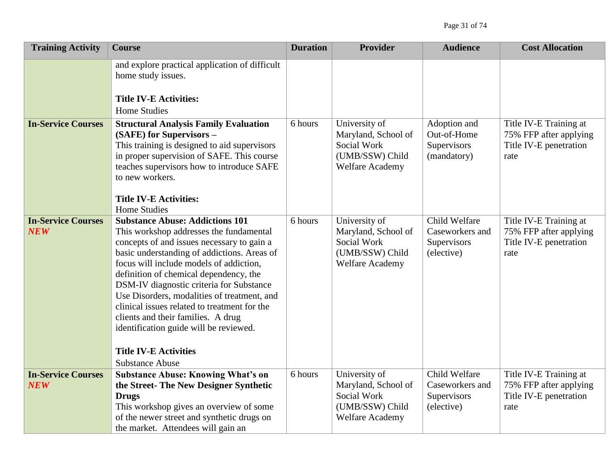| <b>Training Activity</b>                | <b>Course</b>                                                                                                                                                                                                                                                                                                                                                                                                                                                                                                                                            | <b>Duration</b> | <b>Provider</b>                                                                                  | <b>Audience</b>                                               | <b>Cost Allocation</b>                                                             |
|-----------------------------------------|----------------------------------------------------------------------------------------------------------------------------------------------------------------------------------------------------------------------------------------------------------------------------------------------------------------------------------------------------------------------------------------------------------------------------------------------------------------------------------------------------------------------------------------------------------|-----------------|--------------------------------------------------------------------------------------------------|---------------------------------------------------------------|------------------------------------------------------------------------------------|
|                                         | and explore practical application of difficult<br>home study issues.<br><b>Title IV-E Activities:</b><br><b>Home Studies</b>                                                                                                                                                                                                                                                                                                                                                                                                                             |                 |                                                                                                  |                                                               |                                                                                    |
| <b>In-Service Courses</b>               | <b>Structural Analysis Family Evaluation</b><br>(SAFE) for Supervisors -<br>This training is designed to aid supervisors<br>in proper supervision of SAFE. This course<br>teaches supervisors how to introduce SAFE<br>to new workers.<br><b>Title IV-E Activities:</b><br><b>Home Studies</b>                                                                                                                                                                                                                                                           | 6 hours         | University of<br>Maryland, School of<br>Social Work<br>(UMB/SSW) Child<br><b>Welfare Academy</b> | Adoption and<br>Out-of-Home<br>Supervisors<br>(mandatory)     | Title IV-E Training at<br>75% FFP after applying<br>Title IV-E penetration<br>rate |
| <b>In-Service Courses</b><br><b>NEW</b> | <b>Substance Abuse: Addictions 101</b><br>This workshop addresses the fundamental<br>concepts of and issues necessary to gain a<br>basic understanding of addictions. Areas of<br>focus will include models of addiction,<br>definition of chemical dependency, the<br>DSM-IV diagnostic criteria for Substance<br>Use Disorders, modalities of treatment, and<br>clinical issues related to treatment for the<br>clients and their families. A drug<br>identification guide will be reviewed.<br><b>Title IV-E Activities</b><br><b>Substance Abuse</b> | 6 hours         | University of<br>Maryland, School of<br>Social Work<br>(UMB/SSW) Child<br><b>Welfare Academy</b> | Child Welfare<br>Caseworkers and<br>Supervisors<br>(elective) | Title IV-E Training at<br>75% FFP after applying<br>Title IV-E penetration<br>rate |
| <b>In-Service Courses</b><br><b>NEW</b> | <b>Substance Abuse: Knowing What's on</b><br>the Street-The New Designer Synthetic<br><b>Drugs</b><br>This workshop gives an overview of some<br>of the newer street and synthetic drugs on<br>the market. Attendees will gain an                                                                                                                                                                                                                                                                                                                        | 6 hours         | University of<br>Maryland, School of<br>Social Work<br>(UMB/SSW) Child<br><b>Welfare Academy</b> | Child Welfare<br>Caseworkers and<br>Supervisors<br>(elective) | Title IV-E Training at<br>75% FFP after applying<br>Title IV-E penetration<br>rate |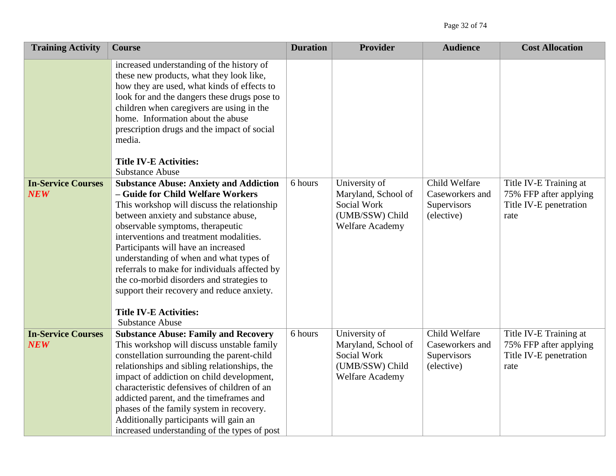| <b>Training Activity</b>                | <b>Course</b>                                                                                                                                                                                                                                                                                                                                                                                                                                                                                                                                     | <b>Duration</b> | <b>Provider</b>                                                                                  | <b>Audience</b>                                               | <b>Cost Allocation</b>                                                             |
|-----------------------------------------|---------------------------------------------------------------------------------------------------------------------------------------------------------------------------------------------------------------------------------------------------------------------------------------------------------------------------------------------------------------------------------------------------------------------------------------------------------------------------------------------------------------------------------------------------|-----------------|--------------------------------------------------------------------------------------------------|---------------------------------------------------------------|------------------------------------------------------------------------------------|
|                                         | increased understanding of the history of<br>these new products, what they look like,<br>how they are used, what kinds of effects to<br>look for and the dangers these drugs pose to<br>children when caregivers are using in the<br>home. Information about the abuse<br>prescription drugs and the impact of social<br>media.<br><b>Title IV-E Activities:</b><br><b>Substance Abuse</b>                                                                                                                                                        |                 |                                                                                                  |                                                               |                                                                                    |
| <b>In-Service Courses</b><br><b>NEW</b> | <b>Substance Abuse: Anxiety and Addiction</b><br>- Guide for Child Welfare Workers<br>This workshop will discuss the relationship<br>between anxiety and substance abuse,<br>observable symptoms, therapeutic<br>interventions and treatment modalities.<br>Participants will have an increased<br>understanding of when and what types of<br>referrals to make for individuals affected by<br>the co-morbid disorders and strategies to<br>support their recovery and reduce anxiety.<br><b>Title IV-E Activities:</b><br><b>Substance Abuse</b> | 6 hours         | University of<br>Maryland, School of<br>Social Work<br>(UMB/SSW) Child<br><b>Welfare Academy</b> | Child Welfare<br>Caseworkers and<br>Supervisors<br>(elective) | Title IV-E Training at<br>75% FFP after applying<br>Title IV-E penetration<br>rate |
| <b>In-Service Courses</b><br><b>NEW</b> | <b>Substance Abuse: Family and Recovery</b><br>This workshop will discuss unstable family<br>constellation surrounding the parent-child<br>relationships and sibling relationships, the<br>impact of addiction on child development,<br>characteristic defensives of children of an<br>addicted parent, and the timeframes and<br>phases of the family system in recovery.<br>Additionally participants will gain an<br>increased understanding of the types of post                                                                              | 6 hours         | University of<br>Maryland, School of<br>Social Work<br>(UMB/SSW) Child<br>Welfare Academy        | Child Welfare<br>Caseworkers and<br>Supervisors<br>(elective) | Title IV-E Training at<br>75% FFP after applying<br>Title IV-E penetration<br>rate |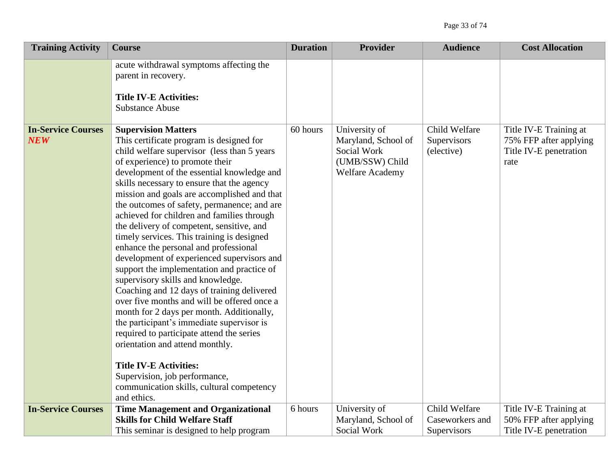| <b>Training Activity</b>                | <b>Course</b>                                                                                                                                                                                                                                                                                                                                                                                                                                                                                                                                                                                                                                                                                                                                                                                                                                                                                                                                                                                                                                                               | <b>Duration</b> | <b>Provider</b>                                                                                  | <b>Audience</b>                            | <b>Cost Allocation</b>                                                             |
|-----------------------------------------|-----------------------------------------------------------------------------------------------------------------------------------------------------------------------------------------------------------------------------------------------------------------------------------------------------------------------------------------------------------------------------------------------------------------------------------------------------------------------------------------------------------------------------------------------------------------------------------------------------------------------------------------------------------------------------------------------------------------------------------------------------------------------------------------------------------------------------------------------------------------------------------------------------------------------------------------------------------------------------------------------------------------------------------------------------------------------------|-----------------|--------------------------------------------------------------------------------------------------|--------------------------------------------|------------------------------------------------------------------------------------|
|                                         | acute withdrawal symptoms affecting the<br>parent in recovery.<br><b>Title IV-E Activities:</b><br><b>Substance Abuse</b>                                                                                                                                                                                                                                                                                                                                                                                                                                                                                                                                                                                                                                                                                                                                                                                                                                                                                                                                                   |                 |                                                                                                  |                                            |                                                                                    |
| <b>In-Service Courses</b><br><b>NEW</b> | <b>Supervision Matters</b><br>This certificate program is designed for<br>child welfare supervisor (less than 5 years)<br>of experience) to promote their<br>development of the essential knowledge and<br>skills necessary to ensure that the agency<br>mission and goals are accomplished and that<br>the outcomes of safety, permanence; and are<br>achieved for children and families through<br>the delivery of competent, sensitive, and<br>timely services. This training is designed<br>enhance the personal and professional<br>development of experienced supervisors and<br>support the implementation and practice of<br>supervisory skills and knowledge.<br>Coaching and 12 days of training delivered<br>over five months and will be offered once a<br>month for 2 days per month. Additionally,<br>the participant's immediate supervisor is<br>required to participate attend the series<br>orientation and attend monthly.<br><b>Title IV-E Activities:</b><br>Supervision, job performance,<br>communication skills, cultural competency<br>and ethics. | 60 hours        | University of<br>Maryland, School of<br>Social Work<br>(UMB/SSW) Child<br><b>Welfare Academy</b> | Child Welfare<br>Supervisors<br>(elective) | Title IV-E Training at<br>75% FFP after applying<br>Title IV-E penetration<br>rate |
| <b>In-Service Courses</b>               | <b>Time Management and Organizational</b><br><b>Skills for Child Welfare Staff</b>                                                                                                                                                                                                                                                                                                                                                                                                                                                                                                                                                                                                                                                                                                                                                                                                                                                                                                                                                                                          | 6 hours         | University of<br>Maryland, School of                                                             | Child Welfare<br>Caseworkers and           | Title IV-E Training at<br>50% FFP after applying                                   |
|                                         | This seminar is designed to help program                                                                                                                                                                                                                                                                                                                                                                                                                                                                                                                                                                                                                                                                                                                                                                                                                                                                                                                                                                                                                                    |                 | Social Work                                                                                      | Supervisors                                | Title IV-E penetration                                                             |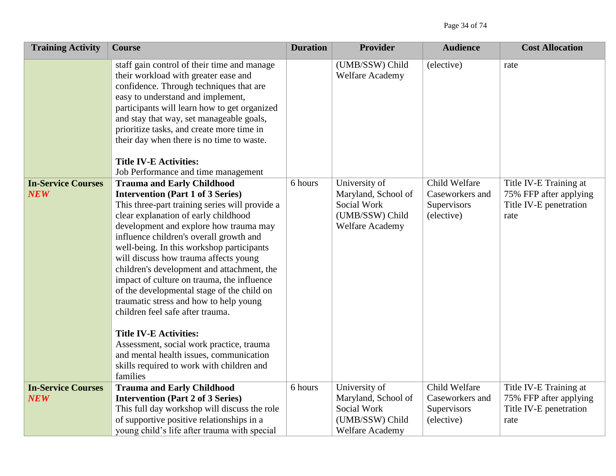| <b>Training Activity</b>                | <b>Course</b>                                                                                                                                                                                                                                                                                                                                                                                                                                                                                                                                                                                                                                                                                                                                   | <b>Duration</b> | <b>Provider</b>                                                                                  | <b>Audience</b>                                               | <b>Cost Allocation</b>                                                             |
|-----------------------------------------|-------------------------------------------------------------------------------------------------------------------------------------------------------------------------------------------------------------------------------------------------------------------------------------------------------------------------------------------------------------------------------------------------------------------------------------------------------------------------------------------------------------------------------------------------------------------------------------------------------------------------------------------------------------------------------------------------------------------------------------------------|-----------------|--------------------------------------------------------------------------------------------------|---------------------------------------------------------------|------------------------------------------------------------------------------------|
|                                         | staff gain control of their time and manage<br>their workload with greater ease and<br>confidence. Through techniques that are<br>easy to understand and implement,<br>participants will learn how to get organized<br>and stay that way, set manageable goals,<br>prioritize tasks, and create more time in<br>their day when there is no time to waste.<br><b>Title IV-E Activities:</b><br>Job Performance and time management                                                                                                                                                                                                                                                                                                               |                 | (UMB/SSW) Child<br>Welfare Academy                                                               | (elective)                                                    | rate                                                                               |
| <b>In-Service Courses</b><br><b>NEW</b> | <b>Trauma and Early Childhood</b><br><b>Intervention (Part 1 of 3 Series)</b><br>This three-part training series will provide a<br>clear explanation of early childhood<br>development and explore how trauma may<br>influence children's overall growth and<br>well-being. In this workshop participants<br>will discuss how trauma affects young<br>children's development and attachment, the<br>impact of culture on trauma, the influence<br>of the developmental stage of the child on<br>traumatic stress and how to help young<br>children feel safe after trauma.<br><b>Title IV-E Activities:</b><br>Assessment, social work practice, trauma<br>and mental health issues, communication<br>skills required to work with children and | 6 hours         | University of<br>Maryland, School of<br>Social Work<br>(UMB/SSW) Child<br><b>Welfare Academy</b> | Child Welfare<br>Caseworkers and<br>Supervisors<br>(elective) | Title IV-E Training at<br>75% FFP after applying<br>Title IV-E penetration<br>rate |
| <b>In-Service Courses</b><br><b>NEW</b> | families<br><b>Trauma and Early Childhood</b><br><b>Intervention (Part 2 of 3 Series)</b><br>This full day workshop will discuss the role<br>of supportive positive relationships in a<br>young child's life after trauma with special                                                                                                                                                                                                                                                                                                                                                                                                                                                                                                          | 6 hours         | University of<br>Maryland, School of<br>Social Work<br>(UMB/SSW) Child<br><b>Welfare Academy</b> | Child Welfare<br>Caseworkers and<br>Supervisors<br>(elective) | Title IV-E Training at<br>75% FFP after applying<br>Title IV-E penetration<br>rate |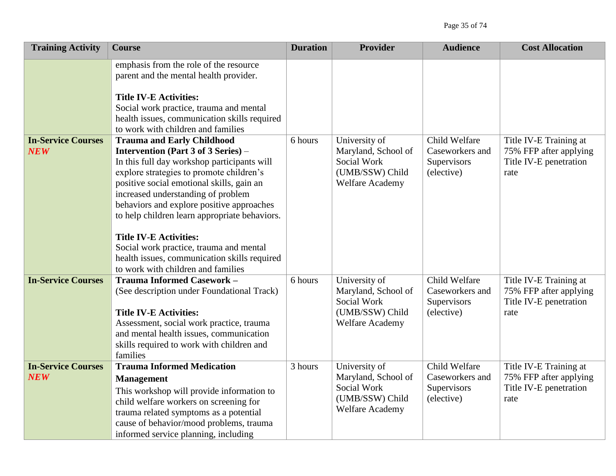| <b>Training Activity</b>                | <b>Course</b>                                                                                                                                                                                                                                                                                                                                                                                                                                                                                                          | <b>Duration</b> | <b>Provider</b>                                                                                  | <b>Audience</b>                                               | <b>Cost Allocation</b>                                                             |
|-----------------------------------------|------------------------------------------------------------------------------------------------------------------------------------------------------------------------------------------------------------------------------------------------------------------------------------------------------------------------------------------------------------------------------------------------------------------------------------------------------------------------------------------------------------------------|-----------------|--------------------------------------------------------------------------------------------------|---------------------------------------------------------------|------------------------------------------------------------------------------------|
|                                         | emphasis from the role of the resource<br>parent and the mental health provider.<br><b>Title IV-E Activities:</b><br>Social work practice, trauma and mental<br>health issues, communication skills required<br>to work with children and families                                                                                                                                                                                                                                                                     |                 |                                                                                                  |                                                               |                                                                                    |
| <b>In-Service Courses</b><br><b>NEW</b> | <b>Trauma and Early Childhood</b><br>Intervention (Part 3 of 3 Series) –<br>In this full day workshop participants will<br>explore strategies to promote children's<br>positive social emotional skills, gain an<br>increased understanding of problem<br>behaviors and explore positive approaches<br>to help children learn appropriate behaviors.<br><b>Title IV-E Activities:</b><br>Social work practice, trauma and mental<br>health issues, communication skills required<br>to work with children and families | 6 hours         | University of<br>Maryland, School of<br>Social Work<br>(UMB/SSW) Child<br><b>Welfare Academy</b> | Child Welfare<br>Caseworkers and<br>Supervisors<br>(elective) | Title IV-E Training at<br>75% FFP after applying<br>Title IV-E penetration<br>rate |
| <b>In-Service Courses</b>               | <b>Trauma Informed Casework -</b><br>(See description under Foundational Track)<br><b>Title IV-E Activities:</b><br>Assessment, social work practice, trauma<br>and mental health issues, communication<br>skills required to work with children and<br>families                                                                                                                                                                                                                                                       | 6 hours         | University of<br>Maryland, School of<br>Social Work<br>(UMB/SSW) Child<br>Welfare Academy        | Child Welfare<br>Caseworkers and<br>Supervisors<br>(elective) | Title IV-E Training at<br>75% FFP after applying<br>Title IV-E penetration<br>rate |
| <b>In-Service Courses</b><br><b>NEW</b> | <b>Trauma Informed Medication</b><br><b>Management</b><br>This workshop will provide information to<br>child welfare workers on screening for<br>trauma related symptoms as a potential<br>cause of behavior/mood problems, trauma<br>informed service planning, including                                                                                                                                                                                                                                             | 3 hours         | University of<br>Maryland, School of<br>Social Work<br>(UMB/SSW) Child<br><b>Welfare Academy</b> | Child Welfare<br>Caseworkers and<br>Supervisors<br>(elective) | Title IV-E Training at<br>75% FFP after applying<br>Title IV-E penetration<br>rate |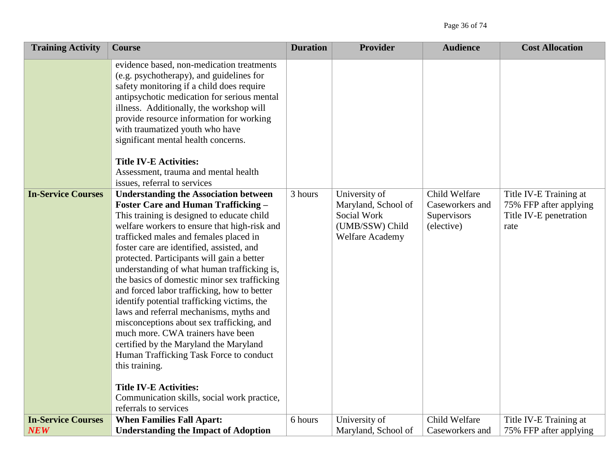| <b>Training Activity</b>                | <b>Course</b>                                                                                                                                                                                                                                                                                                                                                                                                                                                                                                                                                                                                                                                                                                                                                                                                                                                           | <b>Duration</b> | <b>Provider</b>                                                                                  | <b>Audience</b>                                               | <b>Cost Allocation</b>                                                             |
|-----------------------------------------|-------------------------------------------------------------------------------------------------------------------------------------------------------------------------------------------------------------------------------------------------------------------------------------------------------------------------------------------------------------------------------------------------------------------------------------------------------------------------------------------------------------------------------------------------------------------------------------------------------------------------------------------------------------------------------------------------------------------------------------------------------------------------------------------------------------------------------------------------------------------------|-----------------|--------------------------------------------------------------------------------------------------|---------------------------------------------------------------|------------------------------------------------------------------------------------|
|                                         | evidence based, non-medication treatments<br>(e.g. psychotherapy), and guidelines for<br>safety monitoring if a child does require<br>antipsychotic medication for serious mental<br>illness. Additionally, the workshop will<br>provide resource information for working<br>with traumatized youth who have<br>significant mental health concerns.<br><b>Title IV-E Activities:</b><br>Assessment, trauma and mental health<br>issues, referral to services                                                                                                                                                                                                                                                                                                                                                                                                            |                 |                                                                                                  |                                                               |                                                                                    |
| <b>In-Service Courses</b>               | <b>Understanding the Association between</b><br><b>Foster Care and Human Trafficking -</b><br>This training is designed to educate child<br>welfare workers to ensure that high-risk and<br>trafficked males and females placed in<br>foster care are identified, assisted, and<br>protected. Participants will gain a better<br>understanding of what human trafficking is,<br>the basics of domestic minor sex trafficking<br>and forced labor trafficking, how to better<br>identify potential trafficking victims, the<br>laws and referral mechanisms, myths and<br>misconceptions about sex trafficking, and<br>much more. CWA trainers have been<br>certified by the Maryland the Maryland<br>Human Trafficking Task Force to conduct<br>this training.<br><b>Title IV-E Activities:</b><br>Communication skills, social work practice,<br>referrals to services | 3 hours         | University of<br>Maryland, School of<br>Social Work<br>(UMB/SSW) Child<br><b>Welfare Academy</b> | Child Welfare<br>Caseworkers and<br>Supervisors<br>(elective) | Title IV-E Training at<br>75% FFP after applying<br>Title IV-E penetration<br>rate |
| <b>In-Service Courses</b><br><b>NEW</b> | <b>When Families Fall Apart:</b><br><b>Understanding the Impact of Adoption</b>                                                                                                                                                                                                                                                                                                                                                                                                                                                                                                                                                                                                                                                                                                                                                                                         | 6 hours         | University of<br>Maryland, School of                                                             | Child Welfare<br>Caseworkers and                              | Title IV-E Training at<br>75% FFP after applying                                   |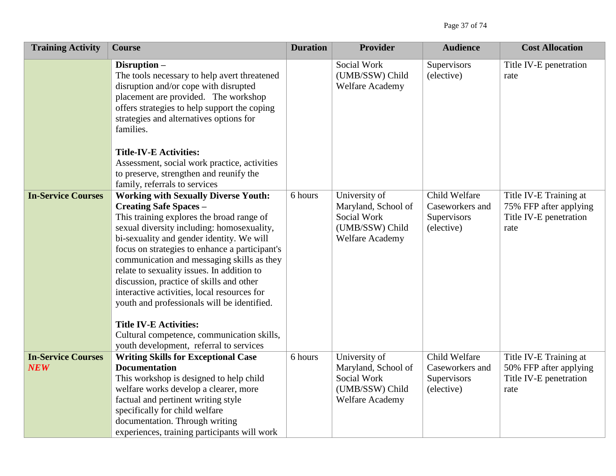| <b>Training Activity</b>                | <b>Course</b>                                                                                                                                                                                                                                                                                                                                                                                                                                                                                                                                                                                                                          | <b>Duration</b> | <b>Provider</b>                                                                                  | <b>Audience</b>                                               | <b>Cost Allocation</b>                                                             |
|-----------------------------------------|----------------------------------------------------------------------------------------------------------------------------------------------------------------------------------------------------------------------------------------------------------------------------------------------------------------------------------------------------------------------------------------------------------------------------------------------------------------------------------------------------------------------------------------------------------------------------------------------------------------------------------------|-----------------|--------------------------------------------------------------------------------------------------|---------------------------------------------------------------|------------------------------------------------------------------------------------|
|                                         | Disruption -<br>The tools necessary to help avert threatened<br>disruption and/or cope with disrupted<br>placement are provided. The workshop<br>offers strategies to help support the coping<br>strategies and alternatives options for<br>families.<br><b>Title-IV-E Activities:</b><br>Assessment, social work practice, activities<br>to preserve, strengthen and reunify the<br>family, referrals to services                                                                                                                                                                                                                     |                 | Social Work<br>(UMB/SSW) Child<br>Welfare Academy                                                | Supervisors<br>(elective)                                     | Title IV-E penetration<br>rate                                                     |
| <b>In-Service Courses</b>               | <b>Working with Sexually Diverse Youth:</b><br><b>Creating Safe Spaces -</b><br>This training explores the broad range of<br>sexual diversity including: homosexuality,<br>bi-sexuality and gender identity. We will<br>focus on strategies to enhance a participant's<br>communication and messaging skills as they<br>relate to sexuality issues. In addition to<br>discussion, practice of skills and other<br>interactive activities, local resources for<br>youth and professionals will be identified.<br><b>Title IV-E Activities:</b><br>Cultural competence, communication skills,<br>youth development, referral to services | 6 hours         | University of<br>Maryland, School of<br>Social Work<br>(UMB/SSW) Child<br><b>Welfare Academy</b> | Child Welfare<br>Caseworkers and<br>Supervisors<br>(elective) | Title IV-E Training at<br>75% FFP after applying<br>Title IV-E penetration<br>rate |
| <b>In-Service Courses</b><br><b>NEW</b> | <b>Writing Skills for Exceptional Case</b><br><b>Documentation</b><br>This workshop is designed to help child<br>welfare works develop a clearer, more<br>factual and pertinent writing style<br>specifically for child welfare<br>documentation. Through writing<br>experiences, training participants will work                                                                                                                                                                                                                                                                                                                      | 6 hours         | University of<br>Maryland, School of<br>Social Work<br>(UMB/SSW) Child<br>Welfare Academy        | Child Welfare<br>Caseworkers and<br>Supervisors<br>(elective) | Title IV-E Training at<br>50% FFP after applying<br>Title IV-E penetration<br>rate |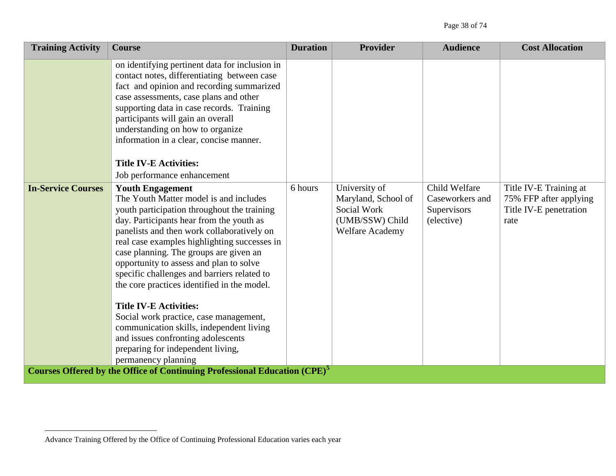| <b>Training Activity</b>  | <b>Course</b>                                                                                                                                                                                                                                                                                                                                                                                                                                                                                                                                                                                                                                                          | <b>Duration</b> | <b>Provider</b>                                                                           | <b>Audience</b>                                               | <b>Cost Allocation</b>                                                             |
|---------------------------|------------------------------------------------------------------------------------------------------------------------------------------------------------------------------------------------------------------------------------------------------------------------------------------------------------------------------------------------------------------------------------------------------------------------------------------------------------------------------------------------------------------------------------------------------------------------------------------------------------------------------------------------------------------------|-----------------|-------------------------------------------------------------------------------------------|---------------------------------------------------------------|------------------------------------------------------------------------------------|
|                           | on identifying pertinent data for inclusion in<br>contact notes, differentiating between case<br>fact and opinion and recording summarized<br>case assessments, case plans and other<br>supporting data in case records. Training<br>participants will gain an overall<br>understanding on how to organize<br>information in a clear, concise manner.<br><b>Title IV-E Activities:</b><br>Job performance enhancement                                                                                                                                                                                                                                                  |                 |                                                                                           |                                                               |                                                                                    |
| <b>In-Service Courses</b> | <b>Youth Engagement</b><br>The Youth Matter model is and includes<br>youth participation throughout the training<br>day. Participants hear from the youth as<br>panelists and then work collaboratively on<br>real case examples highlighting successes in<br>case planning. The groups are given an<br>opportunity to assess and plan to solve<br>specific challenges and barriers related to<br>the core practices identified in the model.<br><b>Title IV-E Activities:</b><br>Social work practice, case management,<br>communication skills, independent living<br>and issues confronting adolescents<br>preparing for independent living,<br>permanency planning | 6 hours         | University of<br>Maryland, School of<br>Social Work<br>(UMB/SSW) Child<br>Welfare Academy | Child Welfare<br>Caseworkers and<br>Supervisors<br>(elective) | Title IV-E Training at<br>75% FFP after applying<br>Title IV-E penetration<br>rate |
|                           | Courses Offered by the Office of Continuing Professional Education (CPE) <sup>5</sup>                                                                                                                                                                                                                                                                                                                                                                                                                                                                                                                                                                                  |                 |                                                                                           |                                                               |                                                                                    |

 $\overline{a}$ 

Advance Training Offered by the Office of Continuing Professional Education varies each year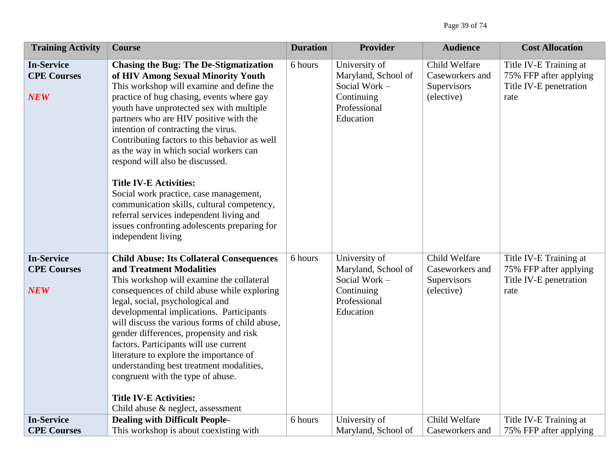| <b>Training Activity</b>                              | <b>Course</b>                                                                                                                                                                                                                                                                                                                                                                                                                                                                                                                                                                                                                                                                       | <b>Duration</b> | <b>Provider</b>                                                                                  | <b>Audience</b>                                               | <b>Cost Allocation</b>                                                             |
|-------------------------------------------------------|-------------------------------------------------------------------------------------------------------------------------------------------------------------------------------------------------------------------------------------------------------------------------------------------------------------------------------------------------------------------------------------------------------------------------------------------------------------------------------------------------------------------------------------------------------------------------------------------------------------------------------------------------------------------------------------|-----------------|--------------------------------------------------------------------------------------------------|---------------------------------------------------------------|------------------------------------------------------------------------------------|
| <b>In-Service</b><br><b>CPE Courses</b><br><b>NEW</b> | <b>Chasing the Bug: The De-Stigmatization</b><br>of HIV Among Sexual Minority Youth<br>This workshop will examine and define the<br>practice of bug chasing, events where gay<br>youth have unprotected sex with multiple<br>partners who are HIV positive with the<br>intention of contracting the virus.<br>Contributing factors to this behavior as well<br>as the way in which social workers can<br>respond will also be discussed.<br><b>Title IV-E Activities:</b><br>Social work practice, case management,<br>communication skills, cultural competency,<br>referral services independent living and<br>issues confronting adolescents preparing for<br>independent living | 6 hours         | University of<br>Maryland, School of<br>Social Work -<br>Continuing<br>Professional<br>Education | Child Welfare<br>Caseworkers and<br>Supervisors<br>(elective) | Title IV-E Training at<br>75% FFP after applying<br>Title IV-E penetration<br>rate |
| <b>In-Service</b><br><b>CPE Courses</b><br><b>NEW</b> | <b>Child Abuse: Its Collateral Consequences</b><br>and Treatment Modalities<br>This workshop will examine the collateral<br>consequences of child abuse while exploring<br>legal, social, psychological and<br>developmental implications. Participants<br>will discuss the various forms of child abuse.<br>gender differences, propensity and risk<br>factors. Participants will use current<br>literature to explore the importance of<br>understanding best treatment modalities,<br>congruent with the type of abuse.<br><b>Title IV-E Activities:</b><br>Child abuse & neglect, assessment                                                                                    | 6 hours         | University of<br>Maryland, School of<br>Social Work -<br>Continuing<br>Professional<br>Education | Child Welfare<br>Caseworkers and<br>Supervisors<br>(elective) | Title IV-E Training at<br>75% FFP after applying<br>Title IV-E penetration<br>rate |
| <b>In-Service</b><br><b>CPE Courses</b>               | <b>Dealing with Difficult People-</b><br>This workshop is about coexisting with                                                                                                                                                                                                                                                                                                                                                                                                                                                                                                                                                                                                     | 6 hours         | University of<br>Maryland, School of                                                             | Child Welfare<br>Caseworkers and                              | Title IV-E Training at<br>75% FFP after applying                                   |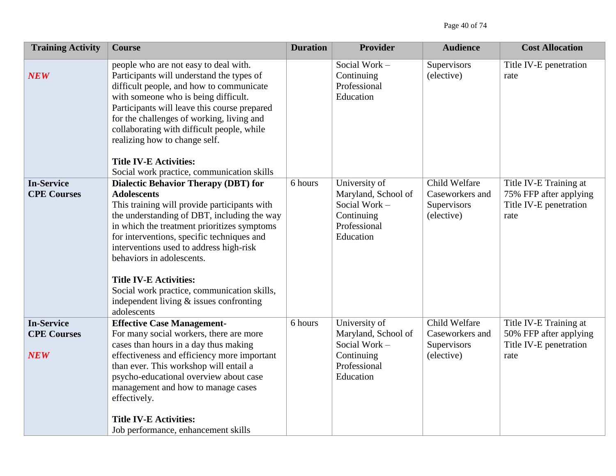| <b>Training Activity</b>                              | <b>Course</b>                                                                                                                                                                                                                                                                                                                                                                                                                                                                                                                   | <b>Duration</b> | <b>Provider</b>                                                                                  | <b>Audience</b>                                               | <b>Cost Allocation</b>                                                             |
|-------------------------------------------------------|---------------------------------------------------------------------------------------------------------------------------------------------------------------------------------------------------------------------------------------------------------------------------------------------------------------------------------------------------------------------------------------------------------------------------------------------------------------------------------------------------------------------------------|-----------------|--------------------------------------------------------------------------------------------------|---------------------------------------------------------------|------------------------------------------------------------------------------------|
| <b>NEW</b>                                            | people who are not easy to deal with.<br>Participants will understand the types of<br>difficult people, and how to communicate<br>with someone who is being difficult.<br>Participants will leave this course prepared<br>for the challenges of working, living and<br>collaborating with difficult people, while<br>realizing how to change self.<br><b>Title IV-E Activities:</b>                                                                                                                                             |                 | Social Work -<br>Continuing<br>Professional<br>Education                                         | Supervisors<br>(elective)                                     | Title IV-E penetration<br>rate                                                     |
| <b>In-Service</b><br><b>CPE Courses</b>               | Social work practice, communication skills<br><b>Dialectic Behavior Therapy (DBT) for</b><br><b>Adolescents</b><br>This training will provide participants with<br>the understanding of DBT, including the way<br>in which the treatment prioritizes symptoms<br>for interventions, specific techniques and<br>interventions used to address high-risk<br>behaviors in adolescents.<br><b>Title IV-E Activities:</b><br>Social work practice, communication skills,<br>independent living $&$ issues confronting<br>adolescents | 6 hours         | University of<br>Maryland, School of<br>Social Work -<br>Continuing<br>Professional<br>Education | Child Welfare<br>Caseworkers and<br>Supervisors<br>(elective) | Title IV-E Training at<br>75% FFP after applying<br>Title IV-E penetration<br>rate |
| <b>In-Service</b><br><b>CPE Courses</b><br><b>NEW</b> | <b>Effective Case Management-</b><br>For many social workers, there are more<br>cases than hours in a day thus making<br>effectiveness and efficiency more important<br>than ever. This workshop will entail a<br>psycho-educational overview about case<br>management and how to manage cases<br>effectively.<br><b>Title IV-E Activities:</b><br>Job performance, enhancement skills                                                                                                                                          | 6 hours         | University of<br>Maryland, School of<br>Social Work -<br>Continuing<br>Professional<br>Education | Child Welfare<br>Caseworkers and<br>Supervisors<br>(elective) | Title IV-E Training at<br>50% FFP after applying<br>Title IV-E penetration<br>rate |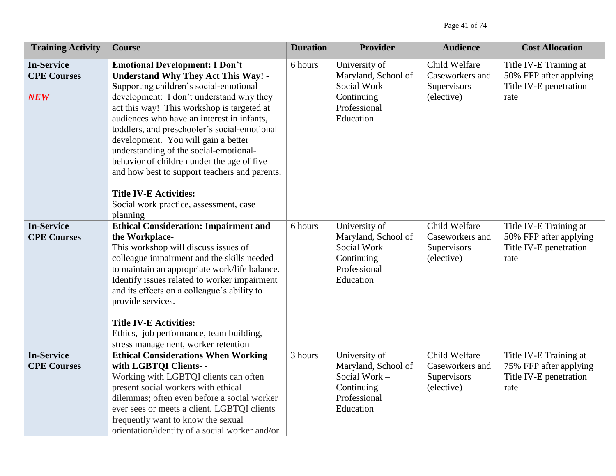| <b>Training Activity</b>                              | <b>Course</b>                                                                                                                                                                                                                                                                                                                                                                                                                                                                                                                                                                                | <b>Duration</b> | <b>Provider</b>                                                                                  | <b>Audience</b>                                               | <b>Cost Allocation</b>                                                             |
|-------------------------------------------------------|----------------------------------------------------------------------------------------------------------------------------------------------------------------------------------------------------------------------------------------------------------------------------------------------------------------------------------------------------------------------------------------------------------------------------------------------------------------------------------------------------------------------------------------------------------------------------------------------|-----------------|--------------------------------------------------------------------------------------------------|---------------------------------------------------------------|------------------------------------------------------------------------------------|
| <b>In-Service</b><br><b>CPE Courses</b><br><b>NEW</b> | <b>Emotional Development: I Don't</b><br><b>Understand Why They Act This Way! -</b><br>Supporting children's social-emotional<br>development: I don't understand why they<br>act this way! This workshop is targeted at<br>audiences who have an interest in infants,<br>toddlers, and preschooler's social-emotional<br>development. You will gain a better<br>understanding of the social-emotional-<br>behavior of children under the age of five<br>and how best to support teachers and parents.<br><b>Title IV-E Activities:</b><br>Social work practice, assessment, case<br>planning | 6 hours         | University of<br>Maryland, School of<br>Social Work -<br>Continuing<br>Professional<br>Education | Child Welfare<br>Caseworkers and<br>Supervisors<br>(elective) | Title IV-E Training at<br>50% FFP after applying<br>Title IV-E penetration<br>rate |
| <b>In-Service</b><br><b>CPE Courses</b>               | <b>Ethical Consideration: Impairment and</b><br>the Workplace-<br>This workshop will discuss issues of<br>colleague impairment and the skills needed<br>to maintain an appropriate work/life balance.<br>Identify issues related to worker impairment<br>and its effects on a colleague's ability to<br>provide services.<br><b>Title IV-E Activities:</b><br>Ethics, job performance, team building,<br>stress management, worker retention                                                                                                                                                 | 6 hours         | University of<br>Maryland, School of<br>Social Work -<br>Continuing<br>Professional<br>Education | Child Welfare<br>Caseworkers and<br>Supervisors<br>(elective) | Title IV-E Training at<br>50% FFP after applying<br>Title IV-E penetration<br>rate |
| <b>In-Service</b><br><b>CPE Courses</b>               | <b>Ethical Considerations When Working</b><br>with LGBTQI Clients- -<br>Working with LGBTQI clients can often<br>present social workers with ethical<br>dilemmas; often even before a social worker<br>ever sees or meets a client. LGBTQI clients<br>frequently want to know the sexual<br>orientation/identity of a social worker and/or                                                                                                                                                                                                                                                   | 3 hours         | University of<br>Maryland, School of<br>Social Work -<br>Continuing<br>Professional<br>Education | Child Welfare<br>Caseworkers and<br>Supervisors<br>(elective) | Title IV-E Training at<br>75% FFP after applying<br>Title IV-E penetration<br>rate |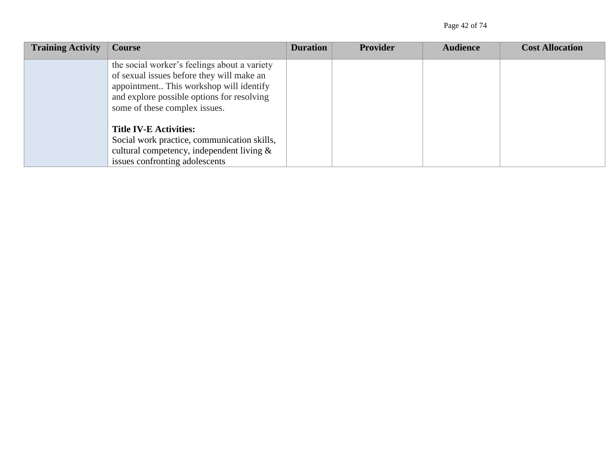| <b>Training Activity</b> | Course                                                                                                                                                                                                              | <b>Duration</b> | <b>Provider</b> | <b>Audience</b> | <b>Cost Allocation</b> |
|--------------------------|---------------------------------------------------------------------------------------------------------------------------------------------------------------------------------------------------------------------|-----------------|-----------------|-----------------|------------------------|
|                          | the social worker's feelings about a variety<br>of sexual issues before they will make an<br>appointment This workshop will identify<br>and explore possible options for resolving<br>some of these complex issues. |                 |                 |                 |                        |
|                          | <b>Title IV-E Activities:</b><br>Social work practice, communication skills,<br>cultural competency, independent living $\&$<br>issues confronting adolescents                                                      |                 |                 |                 |                        |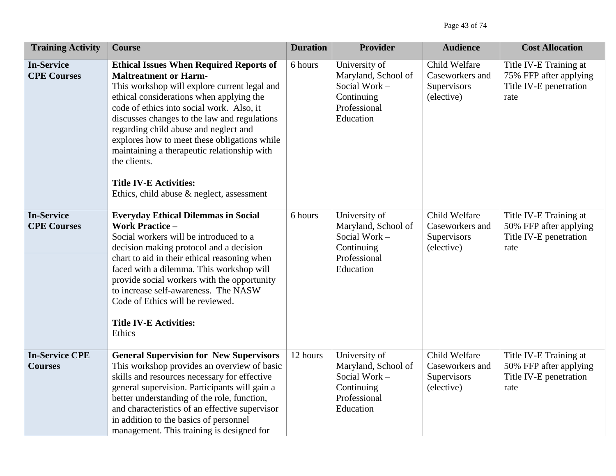| <b>Training Activity</b>                | <b>Course</b>                                                                                                                                                                                                                                                                                                                                                                                                                                                                                                 | <b>Duration</b> | <b>Provider</b>                                                                                  | <b>Audience</b>                                               | <b>Cost Allocation</b>                                                             |
|-----------------------------------------|---------------------------------------------------------------------------------------------------------------------------------------------------------------------------------------------------------------------------------------------------------------------------------------------------------------------------------------------------------------------------------------------------------------------------------------------------------------------------------------------------------------|-----------------|--------------------------------------------------------------------------------------------------|---------------------------------------------------------------|------------------------------------------------------------------------------------|
| <b>In-Service</b><br><b>CPE Courses</b> | <b>Ethical Issues When Required Reports of</b><br><b>Maltreatment or Harm-</b><br>This workshop will explore current legal and<br>ethical considerations when applying the<br>code of ethics into social work. Also, it<br>discusses changes to the law and regulations<br>regarding child abuse and neglect and<br>explores how to meet these obligations while<br>maintaining a therapeutic relationship with<br>the clients.<br><b>Title IV-E Activities:</b><br>Ethics, child abuse & neglect, assessment | 6 hours         | University of<br>Maryland, School of<br>Social Work -<br>Continuing<br>Professional<br>Education | Child Welfare<br>Caseworkers and<br>Supervisors<br>(elective) | Title IV-E Training at<br>75% FFP after applying<br>Title IV-E penetration<br>rate |
| <b>In-Service</b><br><b>CPE Courses</b> | <b>Everyday Ethical Dilemmas in Social</b><br><b>Work Practice -</b><br>Social workers will be introduced to a<br>decision making protocol and a decision<br>chart to aid in their ethical reasoning when<br>faced with a dilemma. This workshop will<br>provide social workers with the opportunity<br>to increase self-awareness. The NASW<br>Code of Ethics will be reviewed.<br><b>Title IV-E Activities:</b><br>Ethics                                                                                   | 6 hours         | University of<br>Maryland, School of<br>Social Work -<br>Continuing<br>Professional<br>Education | Child Welfare<br>Caseworkers and<br>Supervisors<br>(elective) | Title IV-E Training at<br>50% FFP after applying<br>Title IV-E penetration<br>rate |
| <b>In-Service CPE</b><br><b>Courses</b> | <b>General Supervision for New Supervisors</b><br>This workshop provides an overview of basic<br>skills and resources necessary for effective<br>general supervision. Participants will gain a<br>better understanding of the role, function,<br>and characteristics of an effective supervisor<br>in addition to the basics of personnel<br>management. This training is designed for                                                                                                                        | 12 hours        | University of<br>Maryland, School of<br>Social Work -<br>Continuing<br>Professional<br>Education | Child Welfare<br>Caseworkers and<br>Supervisors<br>(elective) | Title IV-E Training at<br>50% FFP after applying<br>Title IV-E penetration<br>rate |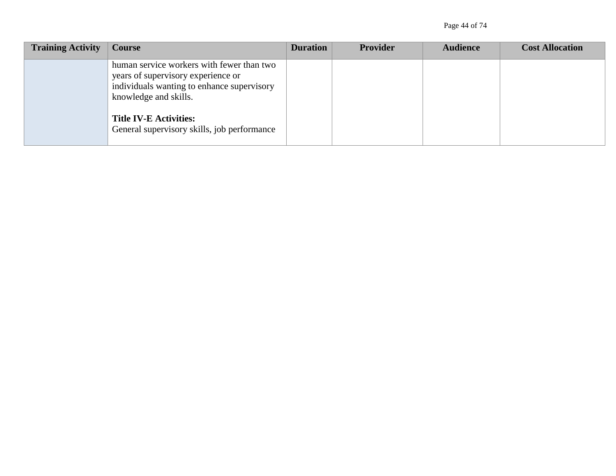| <b>Training Activity</b> | Course                                                                                                                                                 | <b>Duration</b> | <b>Provider</b> | <b>Audience</b> | <b>Cost Allocation</b> |
|--------------------------|--------------------------------------------------------------------------------------------------------------------------------------------------------|-----------------|-----------------|-----------------|------------------------|
|                          | human service workers with fewer than two<br>years of supervisory experience or<br>individuals wanting to enhance supervisory<br>knowledge and skills. |                 |                 |                 |                        |
|                          | <b>Title IV-E Activities:</b><br>General supervisory skills, job performance                                                                           |                 |                 |                 |                        |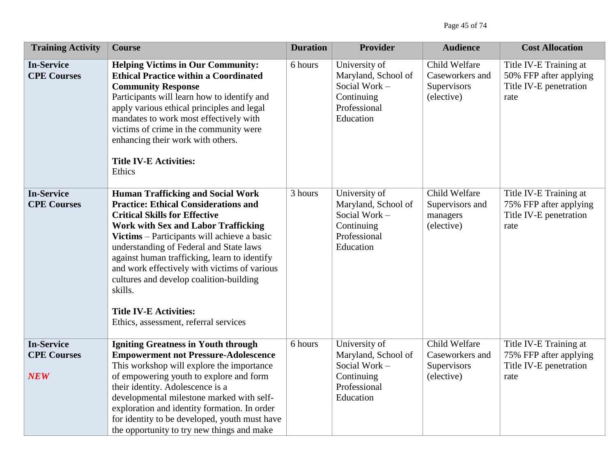| <b>Training Activity</b>                              | <b>Course</b>                                                                                                                                                                                                                                                                                                                                                                                                                                                                                           | <b>Duration</b> | <b>Provider</b>                                                                                 | <b>Audience</b>                                               | <b>Cost Allocation</b>                                                             |
|-------------------------------------------------------|---------------------------------------------------------------------------------------------------------------------------------------------------------------------------------------------------------------------------------------------------------------------------------------------------------------------------------------------------------------------------------------------------------------------------------------------------------------------------------------------------------|-----------------|-------------------------------------------------------------------------------------------------|---------------------------------------------------------------|------------------------------------------------------------------------------------|
| <b>In-Service</b><br><b>CPE Courses</b>               | <b>Helping Victims in Our Community:</b><br><b>Ethical Practice within a Coordinated</b><br><b>Community Response</b><br>Participants will learn how to identify and<br>apply various ethical principles and legal<br>mandates to work most effectively with<br>victims of crime in the community were<br>enhancing their work with others.<br><b>Title IV-E Activities:</b><br>Ethics                                                                                                                  | 6 hours         | University of<br>Maryland, School of<br>Social Work-<br>Continuing<br>Professional<br>Education | Child Welfare<br>Caseworkers and<br>Supervisors<br>(elective) | Title IV-E Training at<br>50% FFP after applying<br>Title IV-E penetration<br>rate |
| <b>In-Service</b><br><b>CPE Courses</b>               | <b>Human Trafficking and Social Work</b><br><b>Practice: Ethical Considerations and</b><br><b>Critical Skills for Effective</b><br><b>Work with Sex and Labor Trafficking</b><br>Victims - Participants will achieve a basic<br>understanding of Federal and State laws<br>against human trafficking, learn to identify<br>and work effectively with victims of various<br>cultures and develop coalition-building<br>skills.<br><b>Title IV-E Activities:</b><br>Ethics, assessment, referral services | 3 hours         | University of<br>Maryland, School of<br>Social Work-<br>Continuing<br>Professional<br>Education | Child Welfare<br>Supervisors and<br>managers<br>(elective)    | Title IV-E Training at<br>75% FFP after applying<br>Title IV-E penetration<br>rate |
| <b>In-Service</b><br><b>CPE Courses</b><br><b>NEW</b> | <b>Igniting Greatness in Youth through</b><br><b>Empowerment not Pressure-Adolescence</b><br>This workshop will explore the importance<br>of empowering youth to explore and form<br>their identity. Adolescence is a<br>developmental milestone marked with self-<br>exploration and identity formation. In order<br>for identity to be developed, youth must have<br>the opportunity to try new things and make                                                                                       | 6 hours         | University of<br>Maryland, School of<br>Social Work-<br>Continuing<br>Professional<br>Education | Child Welfare<br>Caseworkers and<br>Supervisors<br>(elective) | Title IV-E Training at<br>75% FFP after applying<br>Title IV-E penetration<br>rate |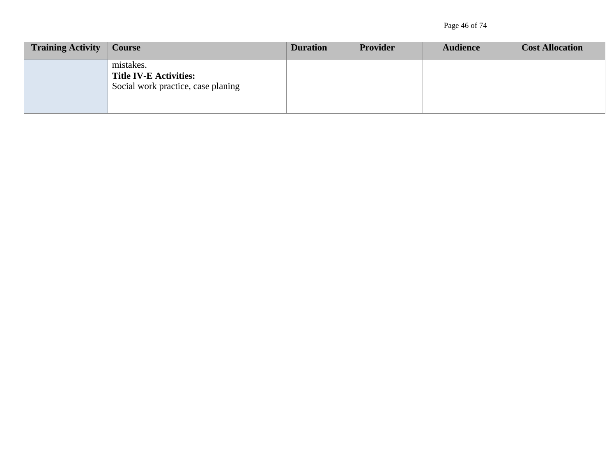| <b>Training Activity</b> | <b>Course</b>                                                                    | <b>Duration</b> | <b>Provider</b> | <b>Audience</b> | <b>Cost Allocation</b> |
|--------------------------|----------------------------------------------------------------------------------|-----------------|-----------------|-----------------|------------------------|
|                          | mistakes.<br><b>Title IV-E Activities:</b><br>Social work practice, case planing |                 |                 |                 |                        |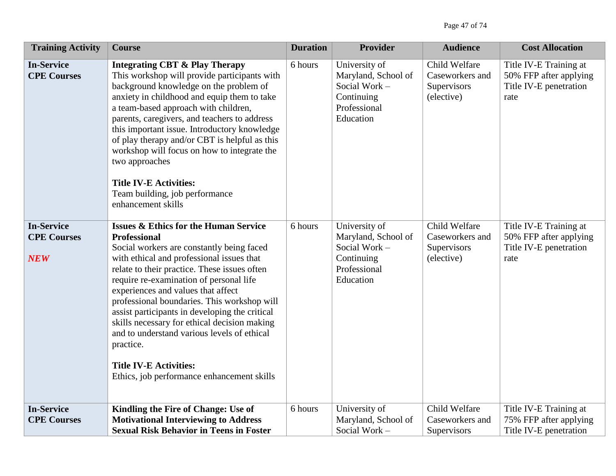| <b>Training Activity</b>                              | <b>Course</b>                                                                                                                                                                                                                                                                                                                                                                                                                                                                                                                                                                                  | <b>Duration</b> | <b>Provider</b>                                                                                  | <b>Audience</b>                                               | <b>Cost Allocation</b>                                                             |
|-------------------------------------------------------|------------------------------------------------------------------------------------------------------------------------------------------------------------------------------------------------------------------------------------------------------------------------------------------------------------------------------------------------------------------------------------------------------------------------------------------------------------------------------------------------------------------------------------------------------------------------------------------------|-----------------|--------------------------------------------------------------------------------------------------|---------------------------------------------------------------|------------------------------------------------------------------------------------|
| <b>In-Service</b><br><b>CPE Courses</b>               | <b>Integrating CBT &amp; Play Therapy</b><br>This workshop will provide participants with<br>background knowledge on the problem of<br>anxiety in childhood and equip them to take<br>a team-based approach with children,<br>parents, caregivers, and teachers to address<br>this important issue. Introductory knowledge<br>of play therapy and/or CBT is helpful as this<br>workshop will focus on how to integrate the<br>two approaches<br><b>Title IV-E Activities:</b><br>Team building, job performance<br>enhancement skills                                                          | 6 hours         | University of<br>Maryland, School of<br>Social Work -<br>Continuing<br>Professional<br>Education | Child Welfare<br>Caseworkers and<br>Supervisors<br>(elective) | Title IV-E Training at<br>50% FFP after applying<br>Title IV-E penetration<br>rate |
| <b>In-Service</b><br><b>CPE Courses</b><br><b>NEW</b> | <b>Issues &amp; Ethics for the Human Service</b><br><b>Professional</b><br>Social workers are constantly being faced<br>with ethical and professional issues that<br>relate to their practice. These issues often<br>require re-examination of personal life<br>experiences and values that affect<br>professional boundaries. This workshop will<br>assist participants in developing the critical<br>skills necessary for ethical decision making<br>and to understand various levels of ethical<br>practice.<br><b>Title IV-E Activities:</b><br>Ethics, job performance enhancement skills | 6 hours         | University of<br>Maryland, School of<br>Social Work-<br>Continuing<br>Professional<br>Education  | Child Welfare<br>Caseworkers and<br>Supervisors<br>(elective) | Title IV-E Training at<br>50% FFP after applying<br>Title IV-E penetration<br>rate |
| <b>In-Service</b><br><b>CPE Courses</b>               | Kindling the Fire of Change: Use of<br><b>Motivational Interviewing to Address</b><br><b>Sexual Risk Behavior in Teens in Foster</b>                                                                                                                                                                                                                                                                                                                                                                                                                                                           | 6 hours         | University of<br>Maryland, School of<br>Social Work -                                            | Child Welfare<br>Caseworkers and<br>Supervisors               | Title IV-E Training at<br>75% FFP after applying<br>Title IV-E penetration         |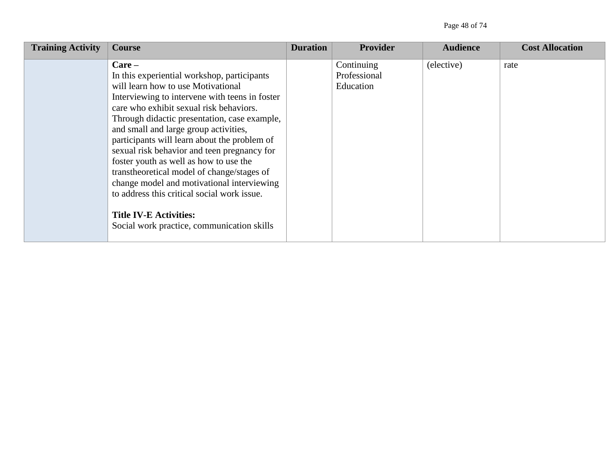Page 48 of 74

| <b>Training Activity</b> | <b>Course</b>                                                                                                                                                                                                                                                                                                                                                                                                                                                                                                                                                           | <b>Duration</b> | <b>Provider</b>                         | <b>Audience</b> | <b>Cost Allocation</b> |
|--------------------------|-------------------------------------------------------------------------------------------------------------------------------------------------------------------------------------------------------------------------------------------------------------------------------------------------------------------------------------------------------------------------------------------------------------------------------------------------------------------------------------------------------------------------------------------------------------------------|-----------------|-----------------------------------------|-----------------|------------------------|
|                          | $Care -$<br>In this experiential workshop, participants<br>will learn how to use Motivational<br>Interviewing to intervene with teens in foster<br>care who exhibit sexual risk behaviors.<br>Through didactic presentation, case example,<br>and small and large group activities,<br>participants will learn about the problem of<br>sexual risk behavior and teen pregnancy for<br>foster youth as well as how to use the<br>transtheoretical model of change/stages of<br>change model and motivational interviewing<br>to address this critical social work issue. |                 | Continuing<br>Professional<br>Education | (elective)      | rate                   |
|                          | <b>Title IV-E Activities:</b><br>Social work practice, communication skills                                                                                                                                                                                                                                                                                                                                                                                                                                                                                             |                 |                                         |                 |                        |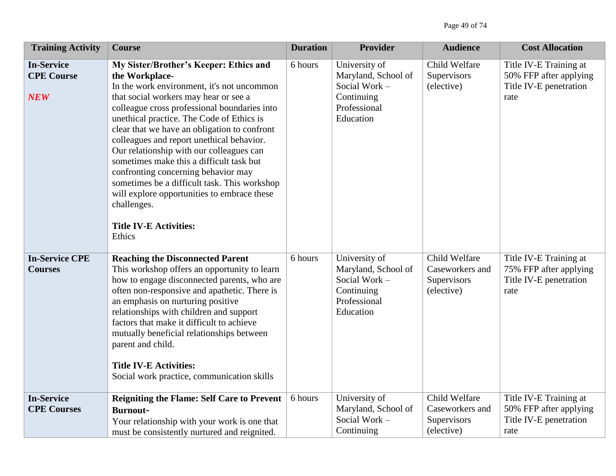| <b>Training Activity</b>                             | <b>Course</b>                                                                                                                                                                                                                                                                                                                                                                                                                                                                                                                                                                                                                     | <b>Duration</b> | <b>Provider</b>                                                                                  | <b>Audience</b>                                               | <b>Cost Allocation</b>                                                             |
|------------------------------------------------------|-----------------------------------------------------------------------------------------------------------------------------------------------------------------------------------------------------------------------------------------------------------------------------------------------------------------------------------------------------------------------------------------------------------------------------------------------------------------------------------------------------------------------------------------------------------------------------------------------------------------------------------|-----------------|--------------------------------------------------------------------------------------------------|---------------------------------------------------------------|------------------------------------------------------------------------------------|
| <b>In-Service</b><br><b>CPE Course</b><br><b>NEW</b> | My Sister/Brother's Keeper: Ethics and<br>the Workplace-<br>In the work environment, it's not uncommon<br>that social workers may hear or see a<br>colleague cross professional boundaries into<br>unethical practice. The Code of Ethics is<br>clear that we have an obligation to confront<br>colleagues and report unethical behavior.<br>Our relationship with our colleagues can<br>sometimes make this a difficult task but<br>confronting concerning behavior may<br>sometimes be a difficult task. This workshop<br>will explore opportunities to embrace these<br>challenges.<br><b>Title IV-E Activities:</b><br>Ethics | 6 hours         | University of<br>Maryland, School of<br>Social Work -<br>Continuing<br>Professional<br>Education | Child Welfare<br>Supervisors<br>(elective)                    | Title IV-E Training at<br>50% FFP after applying<br>Title IV-E penetration<br>rate |
| <b>In-Service CPE</b><br><b>Courses</b>              | <b>Reaching the Disconnected Parent</b><br>This workshop offers an opportunity to learn<br>how to engage disconnected parents, who are<br>often non-responsive and apathetic. There is<br>an emphasis on nurturing positive<br>relationships with children and support<br>factors that make it difficult to achieve<br>mutually beneficial relationships between<br>parent and child.<br><b>Title IV-E Activities:</b><br>Social work practice, communication skills                                                                                                                                                              | 6 hours         | University of<br>Maryland, School of<br>Social Work -<br>Continuing<br>Professional<br>Education | Child Welfare<br>Caseworkers and<br>Supervisors<br>(elective) | Title IV-E Training at<br>75% FFP after applying<br>Title IV-E penetration<br>rate |
| <b>In-Service</b><br><b>CPE Courses</b>              | <b>Reigniting the Flame: Self Care to Prevent</b><br><b>Burnout-</b><br>Your relationship with your work is one that<br>must be consistently nurtured and reignited.                                                                                                                                                                                                                                                                                                                                                                                                                                                              | 6 hours         | University of<br>Maryland, School of<br>Social Work -<br>Continuing                              | Child Welfare<br>Caseworkers and<br>Supervisors<br>(elective) | Title IV-E Training at<br>50% FFP after applying<br>Title IV-E penetration<br>rate |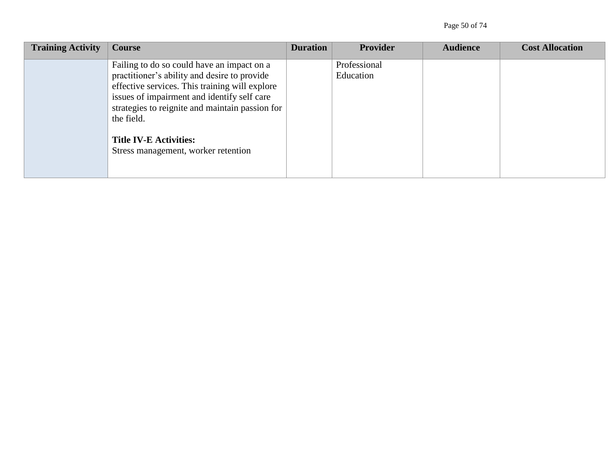Page 50 of 74

| <b>Training Activity</b> | <b>Course</b>                                                                                                                                                                                                                                                                                                                        | <b>Duration</b> | <b>Provider</b>           | <b>Audience</b> | <b>Cost Allocation</b> |
|--------------------------|--------------------------------------------------------------------------------------------------------------------------------------------------------------------------------------------------------------------------------------------------------------------------------------------------------------------------------------|-----------------|---------------------------|-----------------|------------------------|
|                          | Failing to do so could have an impact on a<br>practitioner's ability and desire to provide<br>effective services. This training will explore<br>issues of impairment and identify self care<br>strategies to reignite and maintain passion for<br>the field.<br><b>Title IV-E Activities:</b><br>Stress management, worker retention |                 | Professional<br>Education |                 |                        |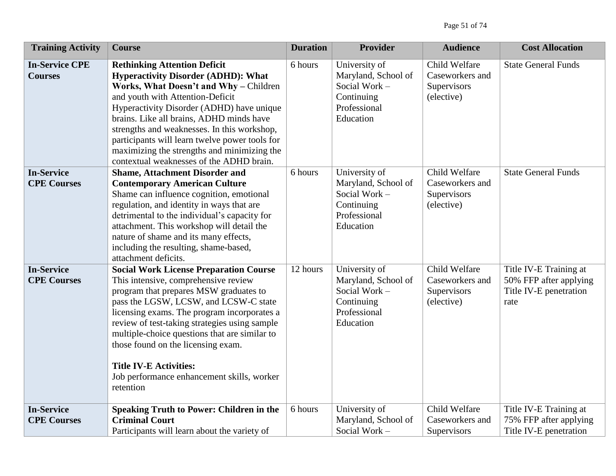| <b>Training Activity</b>                | <b>Course</b>                                                                                                                                                                                                                                                                                                                                                                                                                                               | <b>Duration</b> | <b>Provider</b>                                                                                  | <b>Audience</b>                                               | <b>Cost Allocation</b>                                                             |
|-----------------------------------------|-------------------------------------------------------------------------------------------------------------------------------------------------------------------------------------------------------------------------------------------------------------------------------------------------------------------------------------------------------------------------------------------------------------------------------------------------------------|-----------------|--------------------------------------------------------------------------------------------------|---------------------------------------------------------------|------------------------------------------------------------------------------------|
| <b>In-Service CPE</b><br><b>Courses</b> | <b>Rethinking Attention Deficit</b><br><b>Hyperactivity Disorder (ADHD): What</b><br>Works, What Doesn't and Why - Children<br>and youth with Attention-Deficit<br>Hyperactivity Disorder (ADHD) have unique<br>brains. Like all brains, ADHD minds have<br>strengths and weaknesses. In this workshop,<br>participants will learn twelve power tools for<br>maximizing the strengths and minimizing the<br>contextual weaknesses of the ADHD brain.        | 6 hours         | University of<br>Maryland, School of<br>Social Work-<br>Continuing<br>Professional<br>Education  | Child Welfare<br>Caseworkers and<br>Supervisors<br>(elective) | <b>State General Funds</b>                                                         |
| <b>In-Service</b><br><b>CPE Courses</b> | <b>Shame, Attachment Disorder and</b><br><b>Contemporary American Culture</b><br>Shame can influence cognition, emotional<br>regulation, and identity in ways that are<br>detrimental to the individual's capacity for<br>attachment. This workshop will detail the<br>nature of shame and its many effects,<br>including the resulting, shame-based,<br>attachment deficits.                                                                               | 6 hours         | University of<br>Maryland, School of<br>Social Work -<br>Continuing<br>Professional<br>Education | Child Welfare<br>Caseworkers and<br>Supervisors<br>(elective) | <b>State General Funds</b>                                                         |
| <b>In-Service</b><br><b>CPE Courses</b> | <b>Social Work License Preparation Course</b><br>This intensive, comprehensive review<br>program that prepares MSW graduates to<br>pass the LGSW, LCSW, and LCSW-C state<br>licensing exams. The program incorporates a<br>review of test-taking strategies using sample<br>multiple-choice questions that are similar to<br>those found on the licensing exam.<br><b>Title IV-E Activities:</b><br>Job performance enhancement skills, worker<br>retention | 12 hours        | University of<br>Maryland, School of<br>Social Work -<br>Continuing<br>Professional<br>Education | Child Welfare<br>Caseworkers and<br>Supervisors<br>(elective) | Title IV-E Training at<br>50% FFP after applying<br>Title IV-E penetration<br>rate |
| <b>In-Service</b><br><b>CPE Courses</b> | <b>Speaking Truth to Power: Children in the</b><br><b>Criminal Court</b><br>Participants will learn about the variety of                                                                                                                                                                                                                                                                                                                                    | 6 hours         | University of<br>Maryland, School of<br>Social Work -                                            | Child Welfare<br>Caseworkers and<br>Supervisors               | Title IV-E Training at<br>75% FFP after applying<br>Title IV-E penetration         |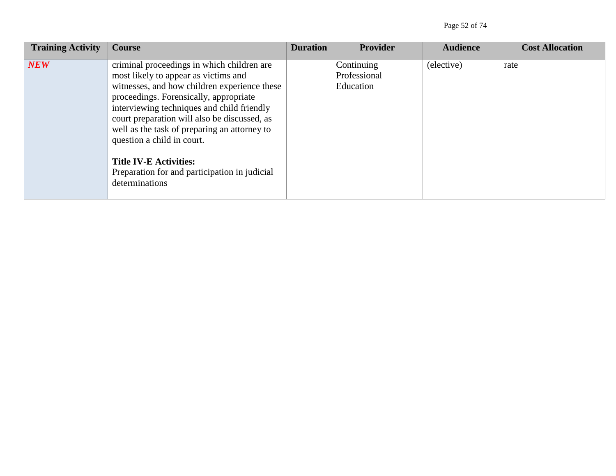Page 52 of 74

| <b>Training Activity</b> | <b>Course</b>                                                                                                                                                                                                                                                                                                                                                                                                                                                | <b>Duration</b> | <b>Provider</b>                         | <b>Audience</b> | <b>Cost Allocation</b> |
|--------------------------|--------------------------------------------------------------------------------------------------------------------------------------------------------------------------------------------------------------------------------------------------------------------------------------------------------------------------------------------------------------------------------------------------------------------------------------------------------------|-----------------|-----------------------------------------|-----------------|------------------------|
| <b>NEW</b>               | criminal proceedings in which children are<br>most likely to appear as victims and<br>witnesses, and how children experience these<br>proceedings. Forensically, appropriate<br>interviewing techniques and child friendly<br>court preparation will also be discussed, as<br>well as the task of preparing an attorney to<br>question a child in court.<br><b>Title IV-E Activities:</b><br>Preparation for and participation in judicial<br>determinations |                 | Continuing<br>Professional<br>Education | (elective)      | rate                   |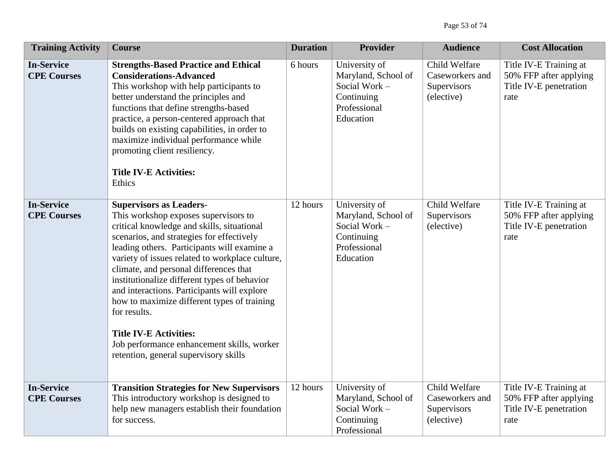| <b>Training Activity</b>                | <b>Course</b>                                                                                                                                                                                                                                                                                                                                                                                                                                                                                                                                                                                       | <b>Duration</b> | <b>Provider</b>                                                                                 | <b>Audience</b>                                               | <b>Cost Allocation</b>                                                             |
|-----------------------------------------|-----------------------------------------------------------------------------------------------------------------------------------------------------------------------------------------------------------------------------------------------------------------------------------------------------------------------------------------------------------------------------------------------------------------------------------------------------------------------------------------------------------------------------------------------------------------------------------------------------|-----------------|-------------------------------------------------------------------------------------------------|---------------------------------------------------------------|------------------------------------------------------------------------------------|
| <b>In-Service</b><br><b>CPE Courses</b> | <b>Strengths-Based Practice and Ethical</b><br><b>Considerations-Advanced</b><br>This workshop with help participants to<br>better understand the principles and<br>functions that define strengths-based<br>practice, a person-centered approach that<br>builds on existing capabilities, in order to<br>maximize individual performance while<br>promoting client resiliency.<br><b>Title IV-E Activities:</b><br>Ethics                                                                                                                                                                          | 6 hours         | University of<br>Maryland, School of<br>Social Work-<br>Continuing<br>Professional<br>Education | Child Welfare<br>Caseworkers and<br>Supervisors<br>(elective) | Title IV-E Training at<br>50% FFP after applying<br>Title IV-E penetration<br>rate |
| <b>In-Service</b><br><b>CPE Courses</b> | <b>Supervisors as Leaders-</b><br>This workshop exposes supervisors to<br>critical knowledge and skills, situational<br>scenarios, and strategies for effectively<br>leading others. Participants will examine a<br>variety of issues related to workplace culture,<br>climate, and personal differences that<br>institutionalize different types of behavior<br>and interactions. Participants will explore<br>how to maximize different types of training<br>for results.<br><b>Title IV-E Activities:</b><br>Job performance enhancement skills, worker<br>retention, general supervisory skills | 12 hours        | University of<br>Maryland, School of<br>Social Work-<br>Continuing<br>Professional<br>Education | Child Welfare<br>Supervisors<br>(elective)                    | Title IV-E Training at<br>50% FFP after applying<br>Title IV-E penetration<br>rate |
| <b>In-Service</b><br><b>CPE Courses</b> | <b>Transition Strategies for New Supervisors</b><br>This introductory workshop is designed to<br>help new managers establish their foundation<br>for success.                                                                                                                                                                                                                                                                                                                                                                                                                                       | 12 hours        | University of<br>Maryland, School of<br>Social Work -<br>Continuing<br>Professional             | Child Welfare<br>Caseworkers and<br>Supervisors<br>(elective) | Title IV-E Training at<br>50% FFP after applying<br>Title IV-E penetration<br>rate |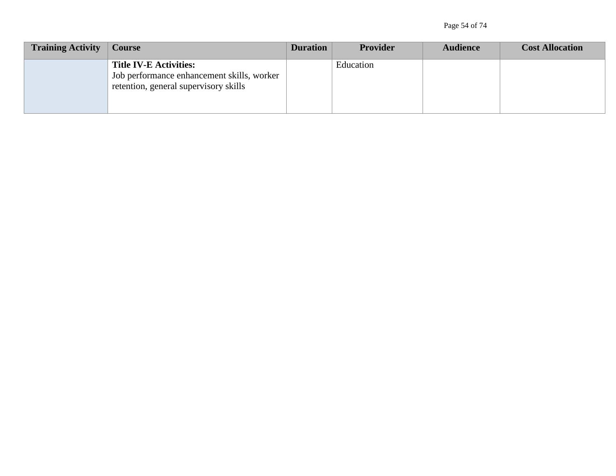Page 54 of 74

| <b>Training Activity</b> | Course                                                                                                               | <b>Duration</b> | <b>Provider</b> | <b>Audience</b> | <b>Cost Allocation</b> |
|--------------------------|----------------------------------------------------------------------------------------------------------------------|-----------------|-----------------|-----------------|------------------------|
|                          | <b>Title IV-E Activities:</b><br>Job performance enhancement skills, worker<br>retention, general supervisory skills |                 | Education       |                 |                        |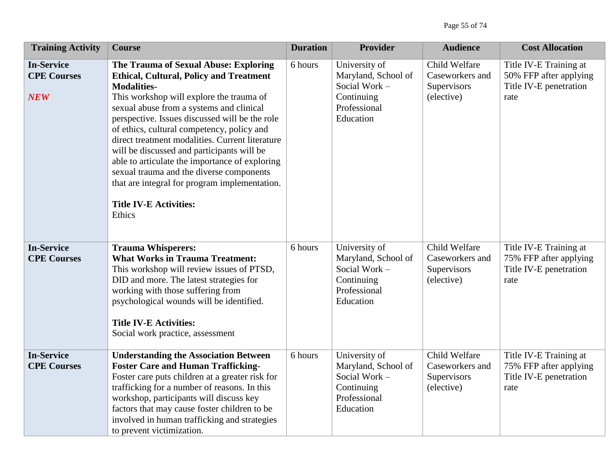| <b>Training Activity</b>                              | <b>Course</b>                                                                                                                                                                                                                                                                                                                                                                                                                                                                                                                                                                                    | <b>Duration</b> | <b>Provider</b>                                                                                  | <b>Audience</b>                                               | <b>Cost Allocation</b>                                                             |
|-------------------------------------------------------|--------------------------------------------------------------------------------------------------------------------------------------------------------------------------------------------------------------------------------------------------------------------------------------------------------------------------------------------------------------------------------------------------------------------------------------------------------------------------------------------------------------------------------------------------------------------------------------------------|-----------------|--------------------------------------------------------------------------------------------------|---------------------------------------------------------------|------------------------------------------------------------------------------------|
| <b>In-Service</b><br><b>CPE Courses</b><br><b>NEW</b> | The Trauma of Sexual Abuse: Exploring<br><b>Ethical, Cultural, Policy and Treatment</b><br><b>Modalities-</b><br>This workshop will explore the trauma of<br>sexual abuse from a systems and clinical<br>perspective. Issues discussed will be the role<br>of ethics, cultural competency, policy and<br>direct treatment modalities. Current literature<br>will be discussed and participants will be<br>able to articulate the importance of exploring<br>sexual trauma and the diverse components<br>that are integral for program implementation.<br><b>Title IV-E Activities:</b><br>Ethics | 6 hours         | University of<br>Maryland, School of<br>Social Work -<br>Continuing<br>Professional<br>Education | Child Welfare<br>Caseworkers and<br>Supervisors<br>(elective) | Title IV-E Training at<br>50% FFP after applying<br>Title IV-E penetration<br>rate |
| <b>In-Service</b><br><b>CPE Courses</b>               | <b>Trauma Whisperers:</b><br><b>What Works in Trauma Treatment:</b><br>This workshop will review issues of PTSD,<br>DID and more. The latest strategies for<br>working with those suffering from<br>psychological wounds will be identified.<br><b>Title IV-E Activities:</b><br>Social work practice, assessment                                                                                                                                                                                                                                                                                | 6 hours         | University of<br>Maryland, School of<br>Social Work -<br>Continuing<br>Professional<br>Education | Child Welfare<br>Caseworkers and<br>Supervisors<br>(elective) | Title IV-E Training at<br>75% FFP after applying<br>Title IV-E penetration<br>rate |
| <b>In-Service</b><br><b>CPE Courses</b>               | <b>Understanding the Association Between</b><br><b>Foster Care and Human Trafficking-</b><br>Foster care puts children at a greater risk for<br>trafficking for a number of reasons. In this<br>workshop, participants will discuss key<br>factors that may cause foster children to be<br>involved in human trafficking and strategies<br>to prevent victimization.                                                                                                                                                                                                                             | 6 hours         | University of<br>Maryland, School of<br>Social Work -<br>Continuing<br>Professional<br>Education | Child Welfare<br>Caseworkers and<br>Supervisors<br>(elective) | Title IV-E Training at<br>75% FFP after applying<br>Title IV-E penetration<br>rate |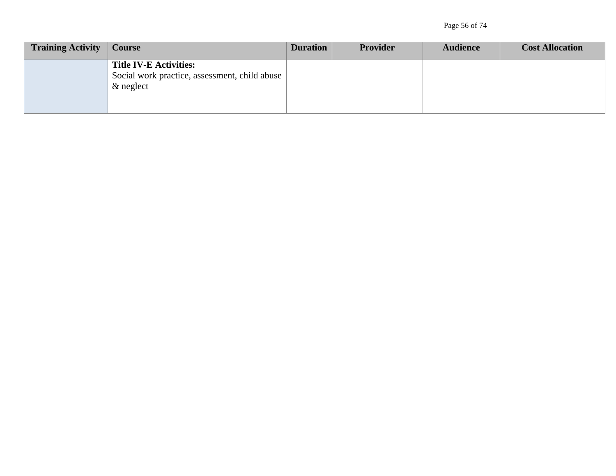| <b>Training Activity</b> | Course                                                                                         | <b>Duration</b> | <b>Provider</b> | <b>Audience</b> | <b>Cost Allocation</b> |
|--------------------------|------------------------------------------------------------------------------------------------|-----------------|-----------------|-----------------|------------------------|
|                          | <b>Title IV-E Activities:</b><br>Social work practice, assessment, child abuse<br>$\&$ neglect |                 |                 |                 |                        |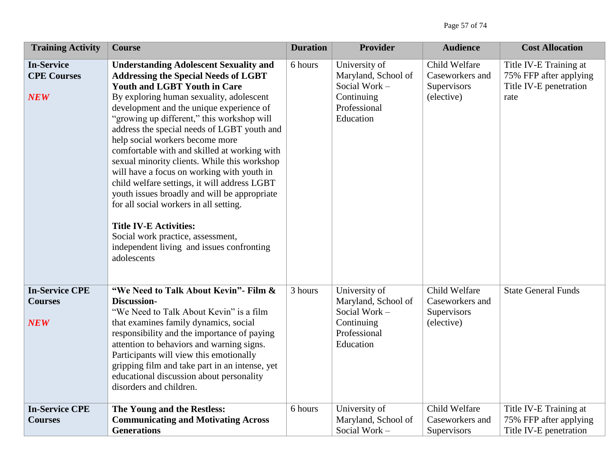| <b>Training Activity</b>                              | <b>Course</b>                                                                                                                                                                                                                                                                                                                                                                                                                                                                                                                                                                                                                                                                                                                                                                         | <b>Duration</b> | <b>Provider</b>                                                                                  | <b>Audience</b>                                               | <b>Cost Allocation</b>                                                             |
|-------------------------------------------------------|---------------------------------------------------------------------------------------------------------------------------------------------------------------------------------------------------------------------------------------------------------------------------------------------------------------------------------------------------------------------------------------------------------------------------------------------------------------------------------------------------------------------------------------------------------------------------------------------------------------------------------------------------------------------------------------------------------------------------------------------------------------------------------------|-----------------|--------------------------------------------------------------------------------------------------|---------------------------------------------------------------|------------------------------------------------------------------------------------|
| <b>In-Service</b><br><b>CPE Courses</b><br><b>NEW</b> | <b>Understanding Adolescent Sexuality and</b><br><b>Addressing the Special Needs of LGBT</b><br><b>Youth and LGBT Youth in Care</b><br>By exploring human sexuality, adolescent<br>development and the unique experience of<br>"growing up different," this workshop will<br>address the special needs of LGBT youth and<br>help social workers become more<br>comfortable with and skilled at working with<br>sexual minority clients. While this workshop<br>will have a focus on working with youth in<br>child welfare settings, it will address LGBT<br>youth issues broadly and will be appropriate<br>for all social workers in all setting.<br><b>Title IV-E Activities:</b><br>Social work practice, assessment,<br>independent living and issues confronting<br>adolescents | 6 hours         | University of<br>Maryland, School of<br>Social Work -<br>Continuing<br>Professional<br>Education | Child Welfare<br>Caseworkers and<br>Supervisors<br>(elective) | Title IV-E Training at<br>75% FFP after applying<br>Title IV-E penetration<br>rate |
| <b>In-Service CPE</b><br><b>Courses</b><br><b>NEW</b> | "We Need to Talk About Kevin" - Film &<br>Discussion-<br>"We Need to Talk About Kevin" is a film<br>that examines family dynamics, social<br>responsibility and the importance of paying<br>attention to behaviors and warning signs.<br>Participants will view this emotionally<br>gripping film and take part in an intense, yet<br>educational discussion about personality<br>disorders and children.                                                                                                                                                                                                                                                                                                                                                                             | 3 hours         | University of<br>Maryland, School of<br>Social Work -<br>Continuing<br>Professional<br>Education | Child Welfare<br>Caseworkers and<br>Supervisors<br>(elective) | <b>State General Funds</b>                                                         |
| <b>In-Service CPE</b><br><b>Courses</b>               | The Young and the Restless:<br><b>Communicating and Motivating Across</b><br><b>Generations</b>                                                                                                                                                                                                                                                                                                                                                                                                                                                                                                                                                                                                                                                                                       | 6 hours         | University of<br>Maryland, School of<br>Social Work -                                            | Child Welfare<br>Caseworkers and<br>Supervisors               | Title IV-E Training at<br>75% FFP after applying<br>Title IV-E penetration         |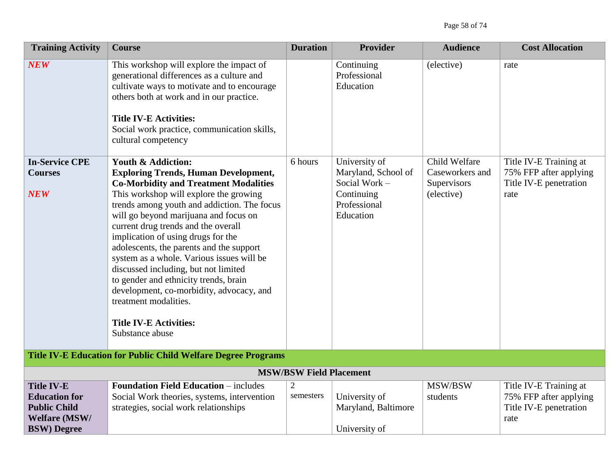| <b>NEW</b>                                                                                                     | This workshop will explore the impact of                                                                                                                                                                                                                                                                                                                                                                                                                                                                                                                                                                                                       |                                |                                                                                                  |                                                               |                                                                                    |
|----------------------------------------------------------------------------------------------------------------|------------------------------------------------------------------------------------------------------------------------------------------------------------------------------------------------------------------------------------------------------------------------------------------------------------------------------------------------------------------------------------------------------------------------------------------------------------------------------------------------------------------------------------------------------------------------------------------------------------------------------------------------|--------------------------------|--------------------------------------------------------------------------------------------------|---------------------------------------------------------------|------------------------------------------------------------------------------------|
|                                                                                                                | generational differences as a culture and<br>cultivate ways to motivate and to encourage<br>others both at work and in our practice.<br><b>Title IV-E Activities:</b><br>Social work practice, communication skills,<br>cultural competency                                                                                                                                                                                                                                                                                                                                                                                                    |                                | Continuing<br>Professional<br>Education                                                          | (elective)                                                    | rate                                                                               |
| <b>In-Service CPE</b><br><b>Courses</b><br><b>NEW</b>                                                          | <b>Youth &amp; Addiction:</b><br><b>Exploring Trends, Human Development,</b><br><b>Co-Morbidity and Treatment Modalities</b><br>This workshop will explore the growing<br>trends among youth and addiction. The focus<br>will go beyond marijuana and focus on<br>current drug trends and the overall<br>implication of using drugs for the<br>adolescents, the parents and the support<br>system as a whole. Various issues will be<br>discussed including, but not limited<br>to gender and ethnicity trends, brain<br>development, co-morbidity, advocacy, and<br>treatment modalities.<br><b>Title IV-E Activities:</b><br>Substance abuse | 6 hours                        | University of<br>Maryland, School of<br>Social Work -<br>Continuing<br>Professional<br>Education | Child Welfare<br>Caseworkers and<br>Supervisors<br>(elective) | Title IV-E Training at<br>75% FFP after applying<br>Title IV-E penetration<br>rate |
|                                                                                                                | <b>Title IV-E Education for Public Child Welfare Degree Programs</b>                                                                                                                                                                                                                                                                                                                                                                                                                                                                                                                                                                           |                                |                                                                                                  |                                                               |                                                                                    |
|                                                                                                                |                                                                                                                                                                                                                                                                                                                                                                                                                                                                                                                                                                                                                                                | <b>MSW/BSW Field Placement</b> |                                                                                                  |                                                               |                                                                                    |
| <b>Title IV-E</b><br><b>Education for</b><br><b>Public Child</b><br><b>Welfare (MSW/</b><br><b>BSW)</b> Degree | <b>Foundation Field Education - includes</b><br>Social Work theories, systems, intervention<br>strategies, social work relationships                                                                                                                                                                                                                                                                                                                                                                                                                                                                                                           | $\overline{2}$<br>semesters    | University of<br>Maryland, Baltimore<br>University of                                            | MSW/BSW<br>students                                           | Title IV-E Training at<br>75% FFP after applying<br>Title IV-E penetration<br>rate |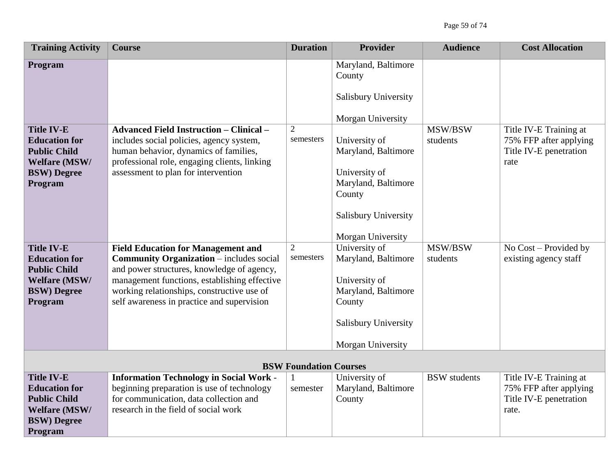| <b>Training Activity</b>                                                                                                  | <b>Course</b>                                                                                                                                                                                                                                                                          | <b>Duration</b>               | Provider                                                                                                                            | <b>Audience</b>     | <b>Cost Allocation</b>                                                              |
|---------------------------------------------------------------------------------------------------------------------------|----------------------------------------------------------------------------------------------------------------------------------------------------------------------------------------------------------------------------------------------------------------------------------------|-------------------------------|-------------------------------------------------------------------------------------------------------------------------------------|---------------------|-------------------------------------------------------------------------------------|
| Program                                                                                                                   |                                                                                                                                                                                                                                                                                        |                               | Maryland, Baltimore<br>County<br><b>Salisbury University</b><br>Morgan University                                                   |                     |                                                                                     |
| <b>Title IV-E</b><br><b>Education for</b><br><b>Public Child</b><br>Welfare (MSW/<br><b>BSW)</b> Degree<br>Program        | <b>Advanced Field Instruction - Clinical -</b><br>includes social policies, agency system,<br>human behavior, dynamics of families,<br>professional role, engaging clients, linking<br>assessment to plan for intervention                                                             | $\overline{2}$<br>semesters   | University of<br>Maryland, Baltimore<br>University of<br>Maryland, Baltimore<br>County<br>Salisbury University<br>Morgan University | MSW/BSW<br>students | Title IV-E Training at<br>75% FFP after applying<br>Title IV-E penetration<br>rate  |
| <b>Title IV-E</b><br><b>Education for</b><br><b>Public Child</b><br><b>Welfare (MSW/</b><br><b>BSW)</b> Degree<br>Program | <b>Field Education for Management and</b><br><b>Community Organization - includes social</b><br>and power structures, knowledge of agency,<br>management functions, establishing effective<br>working relationships, constructive use of<br>self awareness in practice and supervision | $\overline{2}$<br>semesters   | University of<br>Maryland, Baltimore<br>University of<br>Maryland, Baltimore<br>County<br>Salisbury University<br>Morgan University | MSW/BSW<br>students | No Cost - Provided by<br>existing agency staff                                      |
|                                                                                                                           |                                                                                                                                                                                                                                                                                        | <b>BSW Foundation Courses</b> |                                                                                                                                     |                     |                                                                                     |
| <b>Title IV-E</b><br><b>Education for</b><br><b>Public Child</b><br><b>Welfare (MSW/</b><br><b>BSW)</b> Degree<br>Program | <b>Information Technology in Social Work -</b><br>beginning preparation is use of technology<br>for communication, data collection and<br>research in the field of social work                                                                                                         | $\mathbf{1}$<br>semester      | University of<br>Maryland, Baltimore<br>County                                                                                      | <b>BSW</b> students | Title IV-E Training at<br>75% FFP after applying<br>Title IV-E penetration<br>rate. |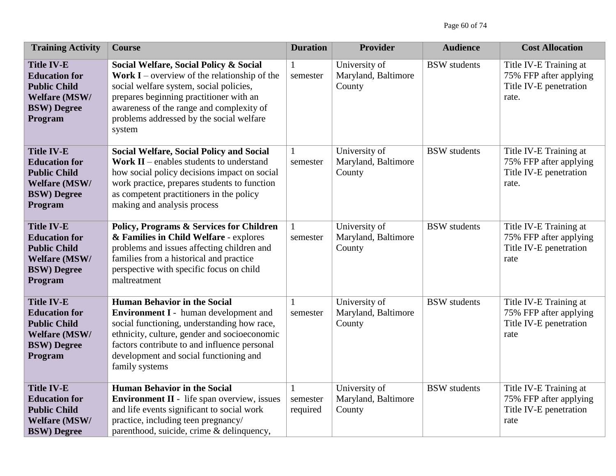| <b>Training Activity</b>                                                                                                  | <b>Course</b>                                                                                                                                                                                                                                                                           | <b>Duration</b>                      | <b>Provider</b>                                | <b>Audience</b>     | <b>Cost Allocation</b>                                                              |
|---------------------------------------------------------------------------------------------------------------------------|-----------------------------------------------------------------------------------------------------------------------------------------------------------------------------------------------------------------------------------------------------------------------------------------|--------------------------------------|------------------------------------------------|---------------------|-------------------------------------------------------------------------------------|
| <b>Title IV-E</b><br><b>Education for</b><br><b>Public Child</b><br><b>Welfare (MSW/</b><br><b>BSW)</b> Degree<br>Program | Social Welfare, Social Policy & Social<br><b>Work I</b> – overview of the relationship of the<br>social welfare system, social policies,<br>prepares beginning practitioner with an<br>awareness of the range and complexity of<br>problems addressed by the social welfare<br>system   | $\mathbf{1}$<br>semester             | University of<br>Maryland, Baltimore<br>County | <b>BSW</b> students | Title IV-E Training at<br>75% FFP after applying<br>Title IV-E penetration<br>rate. |
| <b>Title IV-E</b><br><b>Education for</b><br><b>Public Child</b><br><b>Welfare (MSW/</b><br><b>BSW)</b> Degree<br>Program | <b>Social Welfare, Social Policy and Social</b><br><b>Work II</b> – enables students to understand<br>how social policy decisions impact on social<br>work practice, prepares students to function<br>as competent practitioners in the policy<br>making and analysis process           | $\mathbf{1}$<br>semester             | University of<br>Maryland, Baltimore<br>County | <b>BSW</b> students | Title IV-E Training at<br>75% FFP after applying<br>Title IV-E penetration<br>rate. |
| <b>Title IV-E</b><br><b>Education for</b><br><b>Public Child</b><br><b>Welfare (MSW/</b><br><b>BSW)</b> Degree<br>Program | <b>Policy, Programs &amp; Services for Children</b><br>& Families in Child Welfare - explores<br>problems and issues affecting children and<br>families from a historical and practice<br>perspective with specific focus on child<br>maltreatment                                      | semester                             | University of<br>Maryland, Baltimore<br>County | <b>BSW</b> students | Title IV-E Training at<br>75% FFP after applying<br>Title IV-E penetration<br>rate  |
| <b>Title IV-E</b><br><b>Education for</b><br><b>Public Child</b><br><b>Welfare (MSW/</b><br><b>BSW)</b> Degree<br>Program | <b>Human Behavior in the Social</b><br>Environment I - human development and<br>social functioning, understanding how race,<br>ethnicity, culture, gender and socioeconomic<br>factors contribute to and influence personal<br>development and social functioning and<br>family systems | semester                             | University of<br>Maryland, Baltimore<br>County | <b>BSW</b> students | Title IV-E Training at<br>75% FFP after applying<br>Title IV-E penetration<br>rate  |
| <b>Title IV-E</b><br><b>Education for</b><br><b>Public Child</b><br><b>Welfare (MSW/</b><br><b>BSW)</b> Degree            | <b>Human Behavior in the Social</b><br><b>Environment II</b> - life span overview, issues<br>and life events significant to social work<br>practice, including teen pregnancy/<br>parenthood, suicide, crime & delinquency,                                                             | $\mathbf{1}$<br>semester<br>required | University of<br>Maryland, Baltimore<br>County | <b>BSW</b> students | Title IV-E Training at<br>75% FFP after applying<br>Title IV-E penetration<br>rate  |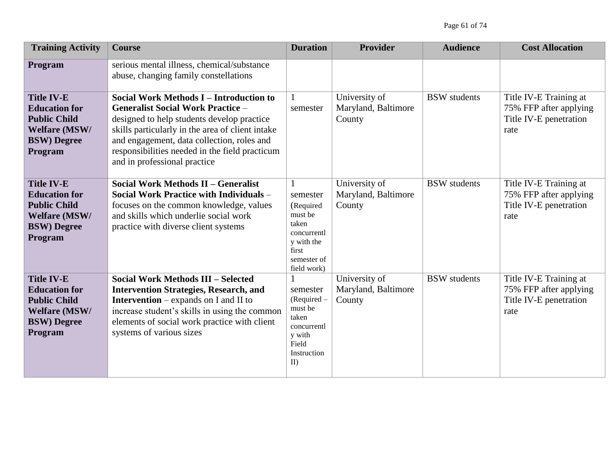| <b>Training Activity</b>                                                                                                  | <b>Course</b>                                                                                                                                                                                                                                                                                                                | <b>Duration</b>                                                                                                               | Provider                                       | <b>Audience</b>     | <b>Cost Allocation</b>                                                             |
|---------------------------------------------------------------------------------------------------------------------------|------------------------------------------------------------------------------------------------------------------------------------------------------------------------------------------------------------------------------------------------------------------------------------------------------------------------------|-------------------------------------------------------------------------------------------------------------------------------|------------------------------------------------|---------------------|------------------------------------------------------------------------------------|
| Program                                                                                                                   | serious mental illness, chemical/substance<br>abuse, changing family constellations                                                                                                                                                                                                                                          |                                                                                                                               |                                                |                     |                                                                                    |
| <b>Title IV-E</b><br><b>Education for</b><br><b>Public Child</b><br><b>Welfare (MSW/</b><br><b>BSW)</b> Degree<br>Program | <b>Social Work Methods I – Introduction to</b><br><b>Generalist Social Work Practice -</b><br>designed to help students develop practice<br>skills particularly in the area of client intake<br>and engagement, data collection, roles and<br>responsibilities needed in the field practicum<br>and in professional practice | 1<br>semester                                                                                                                 | University of<br>Maryland, Baltimore<br>County | <b>BSW</b> students | Title IV-E Training at<br>75% FFP after applying<br>Title IV-E penetration<br>rate |
| <b>Title IV-E</b><br><b>Education for</b><br><b>Public Child</b><br><b>Welfare (MSW/</b><br><b>BSW)</b> Degree<br>Program | Social Work Methods II - Generalist<br>Social Work Practice with Individuals -<br>focuses on the common knowledge, values<br>and skills which underlie social work<br>practice with diverse client systems                                                                                                                   | $\mathbf{1}$<br>semester<br>(Required<br>must be<br>taken<br>concurrentl<br>y with the<br>first<br>semester of<br>field work) | University of<br>Maryland, Baltimore<br>County | <b>BSW</b> students | Title IV-E Training at<br>75% FFP after applying<br>Title IV-E penetration<br>rate |
| <b>Title IV-E</b><br><b>Education for</b><br><b>Public Child</b><br><b>Welfare (MSW/</b><br><b>BSW)</b> Degree<br>Program | <b>Social Work Methods III - Selected</b><br><b>Intervention Strategies, Research, and</b><br><b>Intervention</b> – expands on I and II to<br>increase student's skills in using the common<br>elements of social work practice with client<br>systems of various sizes                                                      | semester<br>(Required -<br>must be<br>taken<br>concurrentl<br>y with<br>Field<br>Instruction<br>II                            | University of<br>Maryland, Baltimore<br>County | <b>BSW</b> students | Title IV-E Training at<br>75% FFP after applying<br>Title IV-E penetration<br>rate |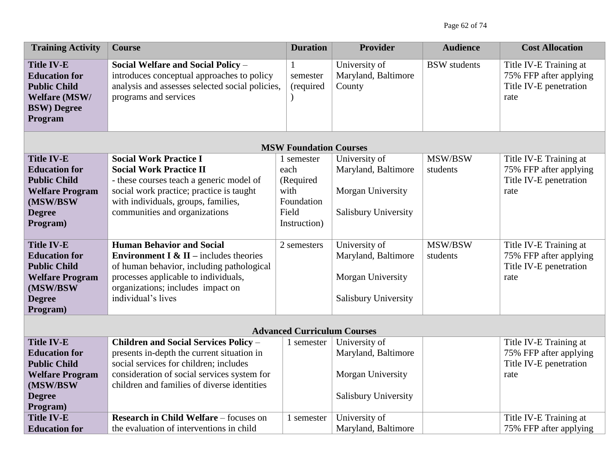| <b>Training Activity</b>                                                                                                                                                                                                                                                   | <b>Course</b>                                                                                                                                                                                                                                                                                                                                                                                                                                                            | <b>Duration</b>                                                                               | <b>Provider</b>                                                                                                                                                               | <b>Audience</b>                            | <b>Cost Allocation</b>                                                                                                                                                   |
|----------------------------------------------------------------------------------------------------------------------------------------------------------------------------------------------------------------------------------------------------------------------------|--------------------------------------------------------------------------------------------------------------------------------------------------------------------------------------------------------------------------------------------------------------------------------------------------------------------------------------------------------------------------------------------------------------------------------------------------------------------------|-----------------------------------------------------------------------------------------------|-------------------------------------------------------------------------------------------------------------------------------------------------------------------------------|--------------------------------------------|--------------------------------------------------------------------------------------------------------------------------------------------------------------------------|
| <b>Title IV-E</b><br><b>Education for</b><br><b>Public Child</b><br><b>Welfare (MSW/</b><br><b>BSW)</b> Degree<br>Program                                                                                                                                                  | Social Welfare and Social Policy -<br>introduces conceptual approaches to policy<br>analysis and assesses selected social policies,<br>programs and services                                                                                                                                                                                                                                                                                                             | $\mathbf{1}$<br>semester<br>(required                                                         | University of<br>Maryland, Baltimore<br>County                                                                                                                                | <b>BSW</b> students                        | Title IV-E Training at<br>75% FFP after applying<br>Title IV-E penetration<br>rate                                                                                       |
|                                                                                                                                                                                                                                                                            |                                                                                                                                                                                                                                                                                                                                                                                                                                                                          | <b>MSW Foundation Courses</b>                                                                 |                                                                                                                                                                               |                                            |                                                                                                                                                                          |
| <b>Title IV-E</b><br><b>Education for</b><br><b>Public Child</b><br><b>Welfare Program</b><br>(MSW/BSW<br><b>Degree</b><br>Program)<br><b>Title IV-E</b><br><b>Education for</b><br><b>Public Child</b><br><b>Welfare Program</b><br>(MSW/BSW<br><b>Degree</b><br>Program) | <b>Social Work Practice I</b><br><b>Social Work Practice II</b><br>- these courses teach a generic model of<br>social work practice; practice is taught<br>with individuals, groups, families,<br>communities and organizations<br><b>Human Behavior and Social</b><br><b>Environment I &amp; II</b> – includes theories<br>of human behavior, including pathological<br>processes applicable to individuals,<br>organizations; includes impact on<br>individual's lives | 1 semester<br>each<br>(Required<br>with<br>Foundation<br>Field<br>Instruction)<br>2 semesters | University of<br>Maryland, Baltimore<br>Morgan University<br><b>Salisbury University</b><br>University of<br>Maryland, Baltimore<br>Morgan University<br>Salisbury University | MSW/BSW<br>students<br>MSW/BSW<br>students | Title IV-E Training at<br>75% FFP after applying<br>Title IV-E penetration<br>rate<br>Title IV-E Training at<br>75% FFP after applying<br>Title IV-E penetration<br>rate |
|                                                                                                                                                                                                                                                                            |                                                                                                                                                                                                                                                                                                                                                                                                                                                                          | <b>Advanced Curriculum Courses</b>                                                            |                                                                                                                                                                               |                                            |                                                                                                                                                                          |
| <b>Title IV-E</b><br><b>Education for</b><br><b>Public Child</b><br><b>Welfare Program</b><br>(MSW/BSW<br><b>Degree</b><br>Program)                                                                                                                                        | <b>Children and Social Services Policy -</b><br>presents in-depth the current situation in<br>social services for children; includes<br>consideration of social services system for<br>children and families of diverse identities                                                                                                                                                                                                                                       | 1 semester                                                                                    | University of<br>Maryland, Baltimore<br>Morgan University<br>Salisbury University                                                                                             |                                            | Title IV-E Training at<br>75% FFP after applying<br>Title IV-E penetration<br>rate                                                                                       |
| <b>Title IV-E</b><br><b>Education for</b>                                                                                                                                                                                                                                  | <b>Research in Child Welfare – focuses on</b><br>the evaluation of interventions in child                                                                                                                                                                                                                                                                                                                                                                                | 1 semester                                                                                    | University of<br>Maryland, Baltimore                                                                                                                                          |                                            | Title IV-E Training at<br>75% FFP after applying                                                                                                                         |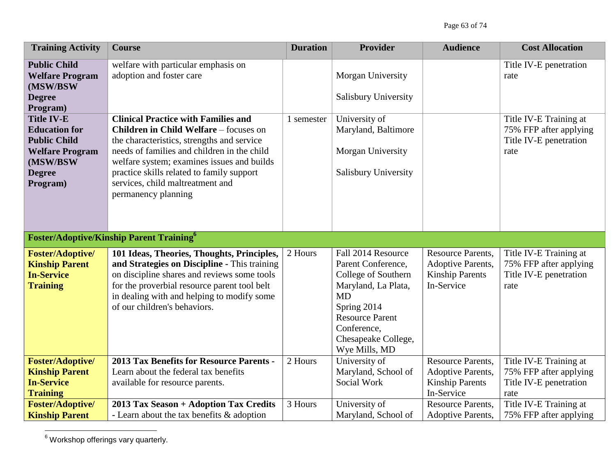| <b>Training Activity</b>                   | <b>Course</b>                                                              | <b>Duration</b> | <b>Provider</b>             | <b>Audience</b>                      | <b>Cost Allocation</b>         |
|--------------------------------------------|----------------------------------------------------------------------------|-----------------|-----------------------------|--------------------------------------|--------------------------------|
| <b>Public Child</b>                        | welfare with particular emphasis on                                        |                 |                             |                                      | Title IV-E penetration         |
| <b>Welfare Program</b>                     | adoption and foster care                                                   |                 | Morgan University           |                                      | rate                           |
| (MSW/BSW                                   |                                                                            |                 |                             |                                      |                                |
| <b>Degree</b>                              |                                                                            |                 | Salisbury University        |                                      |                                |
| Program)<br><b>Title IV-E</b>              | <b>Clinical Practice with Families and</b>                                 | 1 semester      | University of               |                                      | Title IV-E Training at         |
| <b>Education for</b>                       | <b>Children in Child Welfare - focuses on</b>                              |                 | Maryland, Baltimore         |                                      | 75% FFP after applying         |
| <b>Public Child</b>                        | the characteristics, strengths and service                                 |                 |                             |                                      | Title IV-E penetration         |
| <b>Welfare Program</b>                     | needs of families and children in the child                                |                 | Morgan University           |                                      | rate                           |
| (MSW/BSW                                   | welfare system; examines issues and builds                                 |                 |                             |                                      |                                |
| <b>Degree</b>                              | practice skills related to family support                                  |                 | <b>Salisbury University</b> |                                      |                                |
| Program)                                   | services, child maltreatment and                                           |                 |                             |                                      |                                |
|                                            | permanency planning                                                        |                 |                             |                                      |                                |
|                                            |                                                                            |                 |                             |                                      |                                |
|                                            |                                                                            |                 |                             |                                      |                                |
|                                            | <b>Foster/Adoptive/Kinship Parent Training</b> <sup>6</sup>                |                 |                             |                                      |                                |
| <b>Foster/Adoptive/</b>                    | 101 Ideas, Theories, Thoughts, Principles,                                 | 2 Hours         | Fall 2014 Resource          | <b>Resource Parents,</b>             | Title IV-E Training at         |
| <b>Kinship Parent</b>                      | and Strategies on Discipline - This training                               |                 | Parent Conference,          | <b>Adoptive Parents,</b>             | 75% FFP after applying         |
| <b>In-Service</b>                          | on discipline shares and reviews some tools                                |                 | College of Southern         | <b>Kinship Parents</b>               | Title IV-E penetration         |
| <b>Training</b>                            | for the proverbial resource parent tool belt                               |                 | Maryland, La Plata,         | In-Service                           | rate                           |
|                                            | in dealing with and helping to modify some<br>of our children's behaviors. |                 | <b>MD</b><br>Spring 2014    |                                      |                                |
|                                            |                                                                            |                 | <b>Resource Parent</b>      |                                      |                                |
|                                            |                                                                            |                 | Conference,                 |                                      |                                |
|                                            |                                                                            |                 | Chesapeake College,         |                                      |                                |
|                                            |                                                                            |                 | Wye Mills, MD               |                                      |                                |
| <b>Foster/Adoptive/</b>                    | <b>2013 Tax Benefits for Resource Parents -</b>                            | 2 Hours         | University of               | <b>Resource Parents,</b>             | Title IV-E Training at         |
| <b>Kinship Parent</b>                      | Learn about the federal tax benefits                                       |                 | Maryland, School of         | <b>Adoptive Parents,</b>             | 75% FFP after applying         |
| <b>In-Service</b>                          | available for resource parents.                                            |                 | Social Work                 | <b>Kinship Parents</b><br>In-Service | Title IV-E penetration         |
| <b>Training</b><br><b>Foster/Adoptive/</b> | 2013 Tax Season + Adoption Tax Credits                                     | 3 Hours         | University of               | <b>Resource Parents,</b>             | rate<br>Title IV-E Training at |
| <b>Kinship Parent</b>                      | - Learn about the tax benefits $&$ adoption                                |                 | Maryland, School of         | <b>Adoptive Parents,</b>             | 75% FFP after applying         |
|                                            |                                                                            |                 |                             |                                      |                                |

 $\overline{a}$  $6$  Workshop offerings vary quarterly.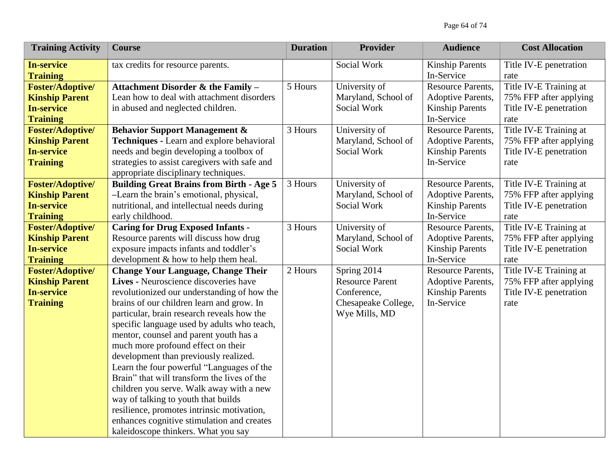| <b>Training Activity</b>                                                                 | <b>Course</b>                                                                                                                                                                                                                                                                                                                                                                                                                                                                                                                                                                                                                                                                                                          | <b>Duration</b> | <b>Provider</b>                                                                              | <b>Audience</b>                                                                              | <b>Cost Allocation</b>                                                             |
|------------------------------------------------------------------------------------------|------------------------------------------------------------------------------------------------------------------------------------------------------------------------------------------------------------------------------------------------------------------------------------------------------------------------------------------------------------------------------------------------------------------------------------------------------------------------------------------------------------------------------------------------------------------------------------------------------------------------------------------------------------------------------------------------------------------------|-----------------|----------------------------------------------------------------------------------------------|----------------------------------------------------------------------------------------------|------------------------------------------------------------------------------------|
| <b>In-service</b><br><b>Training</b>                                                     | tax credits for resource parents.                                                                                                                                                                                                                                                                                                                                                                                                                                                                                                                                                                                                                                                                                      |                 | Social Work                                                                                  | <b>Kinship Parents</b><br>In-Service                                                         | Title IV-E penetration<br>rate                                                     |
| <b>Foster/Adoptive/</b><br><b>Kinship Parent</b><br><b>In-service</b><br><b>Training</b> | Attachment Disorder & the Family -<br>Lean how to deal with attachment disorders<br>in abused and neglected children.                                                                                                                                                                                                                                                                                                                                                                                                                                                                                                                                                                                                  | 5 Hours         | University of<br>Maryland, School of<br>Social Work                                          | <b>Resource Parents,</b><br>Adoptive Parents,<br><b>Kinship Parents</b><br>In-Service        | Title IV-E Training at<br>75% FFP after applying<br>Title IV-E penetration<br>rate |
| <b>Foster/Adoptive/</b><br><b>Kinship Parent</b><br><b>In-service</b><br><b>Training</b> | <b>Behavior Support Management &amp;</b><br>Techniques - Learn and explore behavioral<br>needs and begin developing a toolbox of<br>strategies to assist caregivers with safe and<br>appropriate disciplinary techniques.                                                                                                                                                                                                                                                                                                                                                                                                                                                                                              | 3 Hours         | University of<br>Maryland, School of<br>Social Work                                          | <b>Resource Parents,</b><br><b>Adoptive Parents,</b><br><b>Kinship Parents</b><br>In-Service | Title IV-E Training at<br>75% FFP after applying<br>Title IV-E penetration<br>rate |
| <b>Foster/Adoptive/</b><br><b>Kinship Parent</b><br><b>In-service</b><br><b>Training</b> | <b>Building Great Brains from Birth - Age 5</b><br>-Learn the brain's emotional, physical,<br>nutritional, and intellectual needs during<br>early childhood.                                                                                                                                                                                                                                                                                                                                                                                                                                                                                                                                                           | 3 Hours         | University of<br>Maryland, School of<br>Social Work                                          | <b>Resource Parents,</b><br><b>Adoptive Parents,</b><br><b>Kinship Parents</b><br>In-Service | Title IV-E Training at<br>75% FFP after applying<br>Title IV-E penetration<br>rate |
| <b>Foster/Adoptive/</b><br><b>Kinship Parent</b><br><b>In-service</b><br><b>Training</b> | <b>Caring for Drug Exposed Infants -</b><br>Resource parents will discuss how drug<br>exposure impacts infants and toddler's<br>development & how to help them heal.                                                                                                                                                                                                                                                                                                                                                                                                                                                                                                                                                   | 3 Hours         | University of<br>Maryland, School of<br>Social Work                                          | <b>Resource Parents,</b><br>Adoptive Parents,<br><b>Kinship Parents</b><br>In-Service        | Title IV-E Training at<br>75% FFP after applying<br>Title IV-E penetration<br>rate |
| <b>Foster/Adoptive/</b><br><b>Kinship Parent</b><br><b>In-service</b><br><b>Training</b> | <b>Change Your Language, Change Their</b><br>Lives - Neuroscience discoveries have<br>revolutionized our understanding of how the<br>brains of our children learn and grow. In<br>particular, brain research reveals how the<br>specific language used by adults who teach,<br>mentor, counsel and parent youth has a<br>much more profound effect on their<br>development than previously realized.<br>Learn the four powerful "Languages of the<br>Brain" that will transform the lives of the<br>children you serve. Walk away with a new<br>way of talking to youth that builds<br>resilience, promotes intrinsic motivation,<br>enhances cognitive stimulation and creates<br>kaleidoscope thinkers. What you say | 2 Hours         | Spring 2014<br><b>Resource Parent</b><br>Conference,<br>Chesapeake College,<br>Wye Mills, MD | <b>Resource Parents,</b><br>Adoptive Parents,<br><b>Kinship Parents</b><br>In-Service        | Title IV-E Training at<br>75% FFP after applying<br>Title IV-E penetration<br>rate |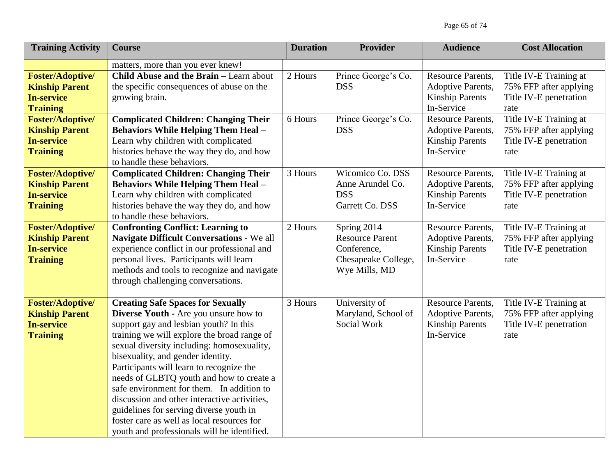| <b>Training Activity</b>                                                                 | <b>Course</b>                                                                                                                                                                                                                                                                                                                                                                                                                                                                                                                                                                              | <b>Duration</b> | <b>Provider</b>                                                                              | <b>Audience</b>                                                                       | <b>Cost Allocation</b>                                                             |
|------------------------------------------------------------------------------------------|--------------------------------------------------------------------------------------------------------------------------------------------------------------------------------------------------------------------------------------------------------------------------------------------------------------------------------------------------------------------------------------------------------------------------------------------------------------------------------------------------------------------------------------------------------------------------------------------|-----------------|----------------------------------------------------------------------------------------------|---------------------------------------------------------------------------------------|------------------------------------------------------------------------------------|
|                                                                                          | matters, more than you ever knew!                                                                                                                                                                                                                                                                                                                                                                                                                                                                                                                                                          |                 |                                                                                              |                                                                                       |                                                                                    |
| <b>Foster/Adoptive/</b><br><b>Kinship Parent</b><br><b>In-service</b><br><b>Training</b> | Child Abuse and the Brain - Learn about<br>the specific consequences of abuse on the<br>growing brain.                                                                                                                                                                                                                                                                                                                                                                                                                                                                                     | 2 Hours         | Prince George's Co.<br><b>DSS</b>                                                            | <b>Resource Parents,</b><br>Adoptive Parents,<br><b>Kinship Parents</b><br>In-Service | Title IV-E Training at<br>75% FFP after applying<br>Title IV-E penetration<br>rate |
| <b>Foster/Adoptive/</b><br><b>Kinship Parent</b><br><b>In-service</b><br><b>Training</b> | <b>Complicated Children: Changing Their</b><br><b>Behaviors While Helping Them Heal -</b><br>Learn why children with complicated<br>histories behave the way they do, and how<br>to handle these behaviors.                                                                                                                                                                                                                                                                                                                                                                                | 6 Hours         | Prince George's Co.<br><b>DSS</b>                                                            | <b>Resource Parents,</b><br>Adoptive Parents,<br><b>Kinship Parents</b><br>In-Service | Title IV-E Training at<br>75% FFP after applying<br>Title IV-E penetration<br>rate |
| <b>Foster/Adoptive/</b><br><b>Kinship Parent</b><br><b>In-service</b><br><b>Training</b> | <b>Complicated Children: Changing Their</b><br><b>Behaviors While Helping Them Heal -</b><br>Learn why children with complicated<br>histories behave the way they do, and how<br>to handle these behaviors.                                                                                                                                                                                                                                                                                                                                                                                | 3 Hours         | Wicomico Co. DSS<br>Anne Arundel Co.<br><b>DSS</b><br>Garrett Co. DSS                        | Resource Parents,<br>Adoptive Parents,<br><b>Kinship Parents</b><br>In-Service        | Title IV-E Training at<br>75% FFP after applying<br>Title IV-E penetration<br>rate |
| <b>Foster/Adoptive/</b><br><b>Kinship Parent</b><br><b>In-service</b><br><b>Training</b> | <b>Confronting Conflict: Learning to</b><br><b>Navigate Difficult Conversations - We all</b><br>experience conflict in our professional and<br>personal lives. Participants will learn<br>methods and tools to recognize and navigate<br>through challenging conversations.                                                                                                                                                                                                                                                                                                                | 2 Hours         | Spring 2014<br><b>Resource Parent</b><br>Conference,<br>Chesapeake College,<br>Wye Mills, MD | <b>Resource Parents,</b><br>Adoptive Parents,<br><b>Kinship Parents</b><br>In-Service | Title IV-E Training at<br>75% FFP after applying<br>Title IV-E penetration<br>rate |
| <b>Foster/Adoptive/</b><br><b>Kinship Parent</b><br><b>In-service</b><br><b>Training</b> | <b>Creating Safe Spaces for Sexually</b><br>Diverse Youth - Are you unsure how to<br>support gay and lesbian youth? In this<br>training we will explore the broad range of<br>sexual diversity including: homosexuality,<br>bisexuality, and gender identity.<br>Participants will learn to recognize the<br>needs of GLBTQ youth and how to create a<br>safe environment for them. In addition to<br>discussion and other interactive activities,<br>guidelines for serving diverse youth in<br>foster care as well as local resources for<br>youth and professionals will be identified. | 3 Hours         | University of<br>Maryland, School of<br>Social Work                                          | <b>Resource Parents,</b><br>Adoptive Parents,<br><b>Kinship Parents</b><br>In-Service | Title IV-E Training at<br>75% FFP after applying<br>Title IV-E penetration<br>rate |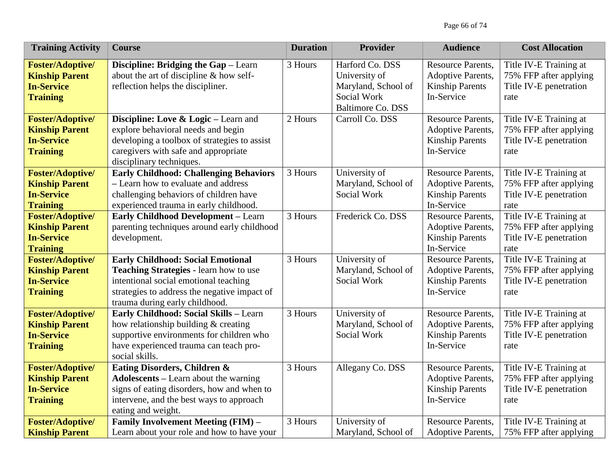| <b>Training Activity</b>                                                                 | <b>Course</b>                                                                                                                                                                                                 | <b>Duration</b> | <b>Provider</b>                                                                                    | <b>Audience</b>                                                                              | <b>Cost Allocation</b>                                                             |
|------------------------------------------------------------------------------------------|---------------------------------------------------------------------------------------------------------------------------------------------------------------------------------------------------------------|-----------------|----------------------------------------------------------------------------------------------------|----------------------------------------------------------------------------------------------|------------------------------------------------------------------------------------|
| <b>Foster/Adoptive/</b><br><b>Kinship Parent</b><br><b>In-Service</b><br><b>Training</b> | Discipline: Bridging the Gap - Learn<br>about the art of discipline & how self-<br>reflection helps the discipliner.                                                                                          | 3 Hours         | Harford Co. DSS<br>University of<br>Maryland, School of<br>Social Work<br><b>Baltimore Co. DSS</b> | <b>Resource Parents,</b><br>Adoptive Parents,<br><b>Kinship Parents</b><br>In-Service        | Title IV-E Training at<br>75% FFP after applying<br>Title IV-E penetration<br>rate |
| <b>Foster/Adoptive/</b><br><b>Kinship Parent</b><br><b>In-Service</b><br><b>Training</b> | Discipline: Love & Logic – Learn and<br>explore behavioral needs and begin<br>developing a toolbox of strategies to assist<br>caregivers with safe and appropriate<br>disciplinary techniques.                | 2 Hours         | Carroll Co. DSS                                                                                    | <b>Resource Parents,</b><br>Adoptive Parents,<br><b>Kinship Parents</b><br>In-Service        | Title IV-E Training at<br>75% FFP after applying<br>Title IV-E penetration<br>rate |
| <b>Foster/Adoptive/</b><br><b>Kinship Parent</b><br><b>In-Service</b><br><b>Training</b> | <b>Early Childhood: Challenging Behaviors</b><br>- Learn how to evaluate and address<br>challenging behaviors of children have<br>experienced trauma in early childhood.                                      | 3 Hours         | University of<br>Maryland, School of<br>Social Work                                                | <b>Resource Parents,</b><br>Adoptive Parents,<br><b>Kinship Parents</b><br>In-Service        | Title IV-E Training at<br>75% FFP after applying<br>Title IV-E penetration<br>rate |
| <b>Foster/Adoptive/</b><br><b>Kinship Parent</b><br><b>In-Service</b><br><b>Training</b> | <b>Early Childhood Development - Learn</b><br>parenting techniques around early childhood<br>development.                                                                                                     | 3 Hours         | Frederick Co. DSS                                                                                  | <b>Resource Parents,</b><br><b>Adoptive Parents,</b><br><b>Kinship Parents</b><br>In-Service | Title IV-E Training at<br>75% FFP after applying<br>Title IV-E penetration<br>rate |
| <b>Foster/Adoptive/</b><br><b>Kinship Parent</b><br><b>In-Service</b><br><b>Training</b> | <b>Early Childhood: Social Emotional</b><br>Teaching Strategies - learn how to use<br>intentional social emotional teaching<br>strategies to address the negative impact of<br>trauma during early childhood. | 3 Hours         | University of<br>Maryland, School of<br>Social Work                                                | <b>Resource Parents,</b><br><b>Adoptive Parents,</b><br><b>Kinship Parents</b><br>In-Service | Title IV-E Training at<br>75% FFP after applying<br>Title IV-E penetration<br>rate |
| <b>Foster/Adoptive/</b><br><b>Kinship Parent</b><br><b>In-Service</b><br><b>Training</b> | Early Childhood: Social Skills - Learn<br>how relationship building & creating<br>supportive environments for children who<br>have experienced trauma can teach pro-<br>social skills.                        | 3 Hours         | University of<br>Maryland, School of<br>Social Work                                                | <b>Resource Parents,</b><br><b>Adoptive Parents,</b><br><b>Kinship Parents</b><br>In-Service | Title IV-E Training at<br>75% FFP after applying<br>Title IV-E penetration<br>rate |
| <b>Foster/Adoptive/</b><br><b>Kinship Parent</b><br><b>In-Service</b><br><b>Training</b> | Eating Disorders, Children &<br><b>Adolescents</b> – Learn about the warning<br>signs of eating disorders, how and when to<br>intervene, and the best ways to approach<br>eating and weight.                  | 3 Hours         | Allegany Co. DSS                                                                                   | <b>Resource Parents,</b><br>Adoptive Parents,<br><b>Kinship Parents</b><br>In-Service        | Title IV-E Training at<br>75% FFP after applying<br>Title IV-E penetration<br>rate |
| <b>Foster/Adoptive/</b><br><b>Kinship Parent</b>                                         | <b>Family Involvement Meeting (FIM) –</b><br>Learn about your role and how to have your                                                                                                                       | 3 Hours         | University of<br>Maryland, School of                                                               | <b>Resource Parents,</b><br>Adoptive Parents,                                                | Title IV-E Training at<br>75% FFP after applying                                   |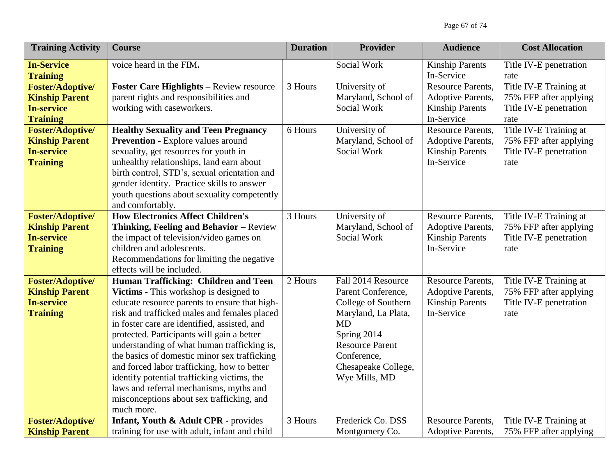| <b>Training Activity</b>                                                                 | <b>Course</b>                                                                                                                                                                                                                                                                                                                                                                                                                                                                                                                                                                    | <b>Duration</b> | <b>Provider</b>                                                                                                                                                                                     | <b>Audience</b>                                                                              | <b>Cost Allocation</b>                                                             |
|------------------------------------------------------------------------------------------|----------------------------------------------------------------------------------------------------------------------------------------------------------------------------------------------------------------------------------------------------------------------------------------------------------------------------------------------------------------------------------------------------------------------------------------------------------------------------------------------------------------------------------------------------------------------------------|-----------------|-----------------------------------------------------------------------------------------------------------------------------------------------------------------------------------------------------|----------------------------------------------------------------------------------------------|------------------------------------------------------------------------------------|
| <b>In-Service</b><br><b>Training</b>                                                     | voice heard in the FIM.                                                                                                                                                                                                                                                                                                                                                                                                                                                                                                                                                          |                 | Social Work                                                                                                                                                                                         | <b>Kinship Parents</b><br>In-Service                                                         | Title IV-E penetration<br>rate                                                     |
| <b>Foster/Adoptive/</b><br><b>Kinship Parent</b><br><b>In-service</b><br><b>Training</b> | <b>Foster Care Highlights - Review resource</b><br>parent rights and responsibilities and<br>working with caseworkers.                                                                                                                                                                                                                                                                                                                                                                                                                                                           | 3 Hours         | University of<br>Maryland, School of<br>Social Work                                                                                                                                                 | <b>Resource Parents,</b><br><b>Adoptive Parents,</b><br><b>Kinship Parents</b><br>In-Service | Title IV-E Training at<br>75% FFP after applying<br>Title IV-E penetration<br>rate |
| <b>Foster/Adoptive/</b><br><b>Kinship Parent</b><br><b>In-service</b><br><b>Training</b> | <b>Healthy Sexuality and Teen Pregnancy</b><br><b>Prevention - Explore values around</b><br>sexuality, get resources for youth in<br>unhealthy relationships, land earn about<br>birth control, STD's, sexual orientation and<br>gender identity. Practice skills to answer<br>youth questions about sexuality competently<br>and comfortably.                                                                                                                                                                                                                                   | 6 Hours         | University of<br>Maryland, School of<br>Social Work                                                                                                                                                 | Resource Parents,<br>Adoptive Parents,<br><b>Kinship Parents</b><br>In-Service               | Title IV-E Training at<br>75% FFP after applying<br>Title IV-E penetration<br>rate |
| <b>Foster/Adoptive/</b><br><b>Kinship Parent</b><br><b>In-service</b><br><b>Training</b> | <b>How Electronics Affect Children's</b><br>Thinking, Feeling and Behavior - Review<br>the impact of television/video games on<br>children and adolescents.<br>Recommendations for limiting the negative<br>effects will be included.                                                                                                                                                                                                                                                                                                                                            | 3 Hours         | University of<br>Maryland, School of<br>Social Work                                                                                                                                                 | <b>Resource Parents,</b><br><b>Adoptive Parents,</b><br><b>Kinship Parents</b><br>In-Service | Title IV-E Training at<br>75% FFP after applying<br>Title IV-E penetration<br>rate |
| <b>Foster/Adoptive/</b><br><b>Kinship Parent</b><br><b>In-service</b><br><b>Training</b> | Human Trafficking: Children and Teen<br>Victims - This workshop is designed to<br>educate resource parents to ensure that high-<br>risk and trafficked males and females placed<br>in foster care are identified, assisted, and<br>protected. Participants will gain a better<br>understanding of what human trafficking is,<br>the basics of domestic minor sex trafficking<br>and forced labor trafficking, how to better<br>identify potential trafficking victims, the<br>laws and referral mechanisms, myths and<br>misconceptions about sex trafficking, and<br>much more. | 2 Hours         | Fall 2014 Resource<br>Parent Conference,<br>College of Southern<br>Maryland, La Plata,<br><b>MD</b><br>Spring 2014<br><b>Resource Parent</b><br>Conference,<br>Chesapeake College,<br>Wye Mills, MD | <b>Resource Parents,</b><br>Adoptive Parents,<br><b>Kinship Parents</b><br>In-Service        | Title IV-E Training at<br>75% FFP after applying<br>Title IV-E penetration<br>rate |
| <b>Foster/Adoptive/</b><br><b>Kinship Parent</b>                                         | Infant, Youth & Adult CPR - provides<br>training for use with adult, infant and child                                                                                                                                                                                                                                                                                                                                                                                                                                                                                            | 3 Hours         | Frederick Co. DSS<br>Montgomery Co.                                                                                                                                                                 | <b>Resource Parents,</b><br><b>Adoptive Parents,</b>                                         | Title IV-E Training at<br>75% FFP after applying                                   |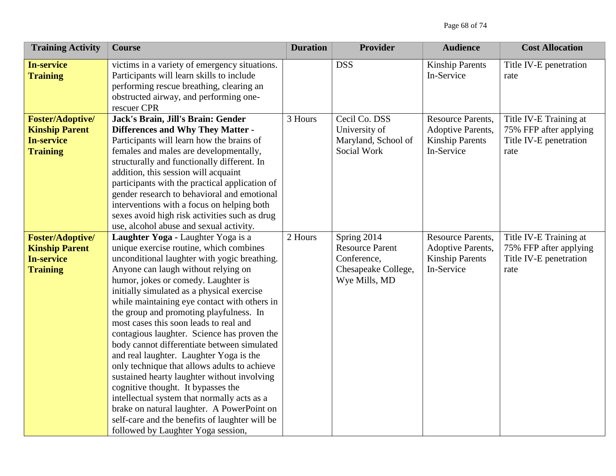| <b>Training Activity</b>                                                                 | <b>Course</b>                                                                                                                                                                                                                                                                                                                                                                                                                                                                                                                                                                                                                                                                                                                                                                                                                                                     | <b>Duration</b> | <b>Provider</b>                                                                              | <b>Audience</b>                                                                              | <b>Cost Allocation</b>                                                             |
|------------------------------------------------------------------------------------------|-------------------------------------------------------------------------------------------------------------------------------------------------------------------------------------------------------------------------------------------------------------------------------------------------------------------------------------------------------------------------------------------------------------------------------------------------------------------------------------------------------------------------------------------------------------------------------------------------------------------------------------------------------------------------------------------------------------------------------------------------------------------------------------------------------------------------------------------------------------------|-----------------|----------------------------------------------------------------------------------------------|----------------------------------------------------------------------------------------------|------------------------------------------------------------------------------------|
| <b>In-service</b><br><b>Training</b>                                                     | victims in a variety of emergency situations.<br>Participants will learn skills to include<br>performing rescue breathing, clearing an<br>obstructed airway, and performing one-<br>rescuer CPR                                                                                                                                                                                                                                                                                                                                                                                                                                                                                                                                                                                                                                                                   |                 | <b>DSS</b>                                                                                   | <b>Kinship Parents</b><br>In-Service                                                         | Title IV-E penetration<br>rate                                                     |
| <b>Foster/Adoptive/</b><br><b>Kinship Parent</b><br><b>In-service</b><br><b>Training</b> | Jack's Brain, Jill's Brain: Gender<br><b>Differences and Why They Matter -</b><br>Participants will learn how the brains of<br>females and males are developmentally,<br>structurally and functionally different. In<br>addition, this session will acquaint<br>participants with the practical application of<br>gender research to behavioral and emotional<br>interventions with a focus on helping both<br>sexes avoid high risk activities such as drug<br>use, alcohol abuse and sexual activity.                                                                                                                                                                                                                                                                                                                                                           | 3 Hours         | Cecil Co. DSS<br>University of<br>Maryland, School of<br>Social Work                         | <b>Resource Parents,</b><br>Adoptive Parents,<br><b>Kinship Parents</b><br>In-Service        | Title IV-E Training at<br>75% FFP after applying<br>Title IV-E penetration<br>rate |
| <b>Foster/Adoptive/</b><br><b>Kinship Parent</b><br><b>In-service</b><br><b>Training</b> | Laughter Yoga - Laughter Yoga is a<br>unique exercise routine, which combines<br>unconditional laughter with yogic breathing.<br>Anyone can laugh without relying on<br>humor, jokes or comedy. Laughter is<br>initially simulated as a physical exercise<br>while maintaining eye contact with others in<br>the group and promoting playfulness. In<br>most cases this soon leads to real and<br>contagious laughter. Science has proven the<br>body cannot differentiate between simulated<br>and real laughter. Laughter Yoga is the<br>only technique that allows adults to achieve<br>sustained hearty laughter without involving<br>cognitive thought. It bypasses the<br>intellectual system that normally acts as a<br>brake on natural laughter. A PowerPoint on<br>self-care and the benefits of laughter will be<br>followed by Laughter Yoga session, | 2 Hours         | Spring 2014<br><b>Resource Parent</b><br>Conference,<br>Chesapeake College,<br>Wye Mills, MD | <b>Resource Parents,</b><br><b>Adoptive Parents,</b><br><b>Kinship Parents</b><br>In-Service | Title IV-E Training at<br>75% FFP after applying<br>Title IV-E penetration<br>rate |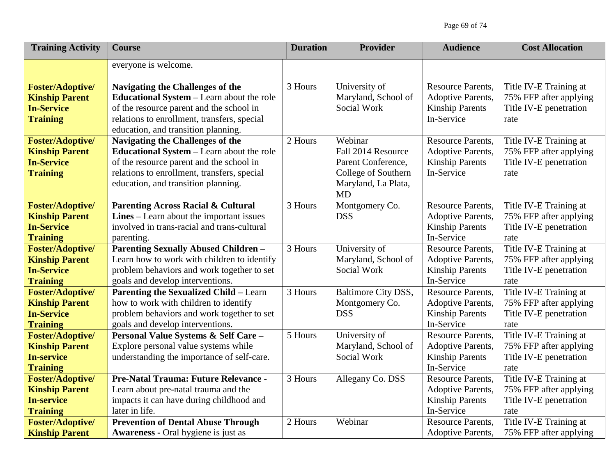| <b>Training Activity</b>                                                                 | <b>Course</b>                                                                                                                                                                                                                 | <b>Duration</b> | <b>Provider</b>                                                                                                | <b>Audience</b>                                                                              | <b>Cost Allocation</b>                                                             |
|------------------------------------------------------------------------------------------|-------------------------------------------------------------------------------------------------------------------------------------------------------------------------------------------------------------------------------|-----------------|----------------------------------------------------------------------------------------------------------------|----------------------------------------------------------------------------------------------|------------------------------------------------------------------------------------|
|                                                                                          | everyone is welcome.                                                                                                                                                                                                          |                 |                                                                                                                |                                                                                              |                                                                                    |
| <b>Foster/Adoptive/</b><br><b>Kinship Parent</b><br><b>In-Service</b><br><b>Training</b> | <b>Navigating the Challenges of the</b><br><b>Educational System - Learn about the role</b><br>of the resource parent and the school in<br>relations to enrollment, transfers, special<br>education, and transition planning. | 3 Hours         | University of<br>Maryland, School of<br>Social Work                                                            | <b>Resource Parents,</b><br>Adoptive Parents,<br><b>Kinship Parents</b><br>In-Service        | Title IV-E Training at<br>75% FFP after applying<br>Title IV-E penetration<br>rate |
| <b>Foster/Adoptive/</b><br><b>Kinship Parent</b><br><b>In-Service</b><br><b>Training</b> | Navigating the Challenges of the<br><b>Educational System - Learn about the role</b><br>of the resource parent and the school in<br>relations to enrollment, transfers, special<br>education, and transition planning.        | 2 Hours         | Webinar<br>Fall 2014 Resource<br>Parent Conference,<br>College of Southern<br>Maryland, La Plata,<br><b>MD</b> | <b>Resource Parents,</b><br><b>Adoptive Parents,</b><br><b>Kinship Parents</b><br>In-Service | Title IV-E Training at<br>75% FFP after applying<br>Title IV-E penetration<br>rate |
| <b>Foster/Adoptive/</b><br><b>Kinship Parent</b><br><b>In-Service</b><br><b>Training</b> | <b>Parenting Across Racial &amp; Cultural</b><br>Lines – Learn about the important issues<br>involved in trans-racial and trans-cultural<br>parenting.                                                                        | 3 Hours         | Montgomery Co.<br><b>DSS</b>                                                                                   | <b>Resource Parents,</b><br>Adoptive Parents,<br><b>Kinship Parents</b><br>In-Service        | Title IV-E Training at<br>75% FFP after applying<br>Title IV-E penetration<br>rate |
| <b>Foster/Adoptive/</b><br><b>Kinship Parent</b><br><b>In-Service</b><br><b>Training</b> | <b>Parenting Sexually Abused Children -</b><br>Learn how to work with children to identify<br>problem behaviors and work together to set<br>goals and develop interventions.                                                  | 3 Hours         | University of<br>Maryland, School of<br>Social Work                                                            | <b>Resource Parents,</b><br><b>Adoptive Parents,</b><br><b>Kinship Parents</b><br>In-Service | Title IV-E Training at<br>75% FFP after applying<br>Title IV-E penetration<br>rate |
| <b>Foster/Adoptive/</b><br><b>Kinship Parent</b><br><b>In-Service</b><br><b>Training</b> | <b>Parenting the Sexualized Child - Learn</b><br>how to work with children to identify<br>problem behaviors and work together to set<br>goals and develop interventions.                                                      | 3 Hours         | Baltimore City DSS,<br>Montgomery Co.<br><b>DSS</b>                                                            | <b>Resource Parents,</b><br>Adoptive Parents,<br><b>Kinship Parents</b><br>In-Service        | Title IV-E Training at<br>75% FFP after applying<br>Title IV-E penetration<br>rate |
| <b>Foster/Adoptive/</b><br><b>Kinship Parent</b><br><b>In-service</b><br><b>Training</b> | Personal Value Systems & Self Care-<br>Explore personal value systems while<br>understanding the importance of self-care.                                                                                                     | 5 Hours         | University of<br>Maryland, School of<br>Social Work                                                            | <b>Resource Parents,</b><br>Adoptive Parents,<br><b>Kinship Parents</b><br>In-Service        | Title IV-E Training at<br>75% FFP after applying<br>Title IV-E penetration<br>rate |
| <b>Foster/Adoptive/</b><br><b>Kinship Parent</b><br><b>In-service</b><br><b>Training</b> | Pre-Natal Trauma: Future Relevance -<br>Learn about pre-natal trauma and the<br>impacts it can have during childhood and<br>later in life.                                                                                    | 3 Hours         | Allegany Co. DSS                                                                                               | <b>Resource Parents,</b><br>Adoptive Parents,<br><b>Kinship Parents</b><br>In-Service        | Title IV-E Training at<br>75% FFP after applying<br>Title IV-E penetration<br>rate |
| <b>Foster/Adoptive/</b><br><b>Kinship Parent</b>                                         | <b>Prevention of Dental Abuse Through</b><br><b>Awareness - Oral hygiene is just as</b>                                                                                                                                       | 2 Hours         | Webinar                                                                                                        | <b>Resource Parents,</b><br>Adoptive Parents,                                                | Title IV-E Training at<br>75% FFP after applying                                   |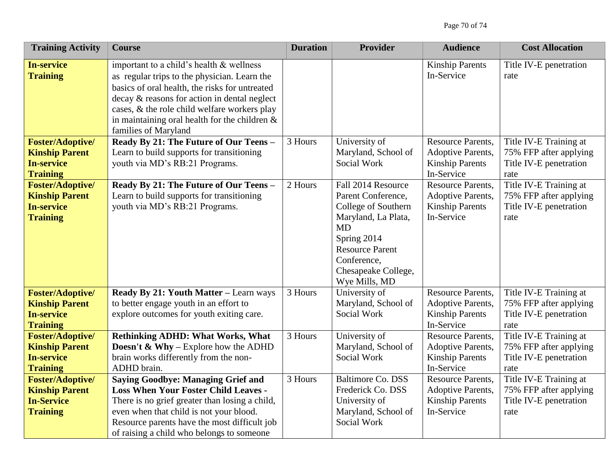| <b>Training Activity</b>                                                                 | <b>Course</b>                                                                                                                                                                                                                                                                                                       | <b>Duration</b> | <b>Provider</b>                                                                                                                                                                                     | <b>Audience</b>                                                                       | <b>Cost Allocation</b>                                                             |
|------------------------------------------------------------------------------------------|---------------------------------------------------------------------------------------------------------------------------------------------------------------------------------------------------------------------------------------------------------------------------------------------------------------------|-----------------|-----------------------------------------------------------------------------------------------------------------------------------------------------------------------------------------------------|---------------------------------------------------------------------------------------|------------------------------------------------------------------------------------|
| <b>In-service</b><br><b>Training</b>                                                     | important to a child's health & wellness<br>as regular trips to the physician. Learn the<br>basics of oral health, the risks for untreated<br>decay & reasons for action in dental neglect<br>cases, & the role child welfare workers play<br>in maintaining oral health for the children &<br>families of Maryland |                 |                                                                                                                                                                                                     | <b>Kinship Parents</b><br>In-Service                                                  | Title IV-E penetration<br>rate                                                     |
| <b>Foster/Adoptive/</b><br><b>Kinship Parent</b><br><b>In-service</b><br><b>Training</b> | Ready By 21: The Future of Our Teens -<br>Learn to build supports for transitioning<br>youth via MD's RB:21 Programs.                                                                                                                                                                                               | 3 Hours         | University of<br>Maryland, School of<br>Social Work                                                                                                                                                 | <b>Resource Parents,</b><br>Adoptive Parents,<br><b>Kinship Parents</b><br>In-Service | Title IV-E Training at<br>75% FFP after applying<br>Title IV-E penetration<br>rate |
| <b>Foster/Adoptive/</b><br><b>Kinship Parent</b><br><b>In-service</b><br><b>Training</b> | Ready By 21: The Future of Our Teens -<br>Learn to build supports for transitioning<br>youth via MD's RB:21 Programs.                                                                                                                                                                                               | 2 Hours         | Fall 2014 Resource<br>Parent Conference,<br>College of Southern<br>Maryland, La Plata,<br><b>MD</b><br>Spring 2014<br><b>Resource Parent</b><br>Conference,<br>Chesapeake College,<br>Wye Mills, MD | <b>Resource Parents,</b><br>Adoptive Parents,<br><b>Kinship Parents</b><br>In-Service | Title IV-E Training at<br>75% FFP after applying<br>Title IV-E penetration<br>rate |
| <b>Foster/Adoptive/</b><br><b>Kinship Parent</b><br><b>In-service</b><br><b>Training</b> | Ready By 21: Youth Matter - Learn ways<br>to better engage youth in an effort to<br>explore outcomes for youth exiting care.                                                                                                                                                                                        | 3 Hours         | University of<br>Maryland, School of<br>Social Work                                                                                                                                                 | <b>Resource Parents,</b><br>Adoptive Parents,<br><b>Kinship Parents</b><br>In-Service | Title IV-E Training at<br>75% FFP after applying<br>Title IV-E penetration<br>rate |
| <b>Foster/Adoptive/</b><br><b>Kinship Parent</b><br><b>In-service</b><br><b>Training</b> | <b>Rethinking ADHD: What Works, What</b><br><b>Doesn't &amp; Why</b> – Explore how the ADHD<br>brain works differently from the non-<br>ADHD brain.                                                                                                                                                                 | 3 Hours         | University of<br>Maryland, School of<br>Social Work                                                                                                                                                 | Resource Parents,<br><b>Adoptive Parents,</b><br><b>Kinship Parents</b><br>In-Service | Title IV-E Training at<br>75% FFP after applying<br>Title IV-E penetration<br>rate |
| <b>Foster/Adoptive/</b><br><b>Kinship Parent</b><br><b>In-Service</b><br><b>Training</b> | <b>Saying Goodbye: Managing Grief and</b><br><b>Loss When Your Foster Child Leaves -</b><br>There is no grief greater than losing a child,<br>even when that child is not your blood.<br>Resource parents have the most difficult job<br>of raising a child who belongs to someone                                  | 3 Hours         | Baltimore Co. DSS<br>Frederick Co. DSS<br>University of<br>Maryland, School of<br>Social Work                                                                                                       | <b>Resource Parents,</b><br>Adoptive Parents,<br><b>Kinship Parents</b><br>In-Service | Title IV-E Training at<br>75% FFP after applying<br>Title IV-E penetration<br>rate |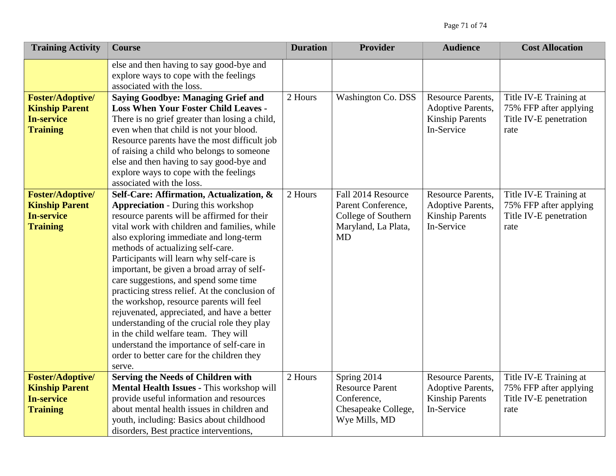| <b>Training Activity</b>                                                                 | <b>Course</b>                                                                                                                                                                                                                                                                                                                                                                                                                                                                                                                                                                                                                                                                                                                                    | <b>Duration</b> | <b>Provider</b>                                                                              | <b>Audience</b>                                                                              | <b>Cost Allocation</b>                                                             |
|------------------------------------------------------------------------------------------|--------------------------------------------------------------------------------------------------------------------------------------------------------------------------------------------------------------------------------------------------------------------------------------------------------------------------------------------------------------------------------------------------------------------------------------------------------------------------------------------------------------------------------------------------------------------------------------------------------------------------------------------------------------------------------------------------------------------------------------------------|-----------------|----------------------------------------------------------------------------------------------|----------------------------------------------------------------------------------------------|------------------------------------------------------------------------------------|
|                                                                                          | else and then having to say good-bye and<br>explore ways to cope with the feelings<br>associated with the loss.                                                                                                                                                                                                                                                                                                                                                                                                                                                                                                                                                                                                                                  |                 |                                                                                              |                                                                                              |                                                                                    |
| <b>Foster/Adoptive/</b><br><b>Kinship Parent</b><br><b>In-service</b><br><b>Training</b> | <b>Saying Goodbye: Managing Grief and</b><br><b>Loss When Your Foster Child Leaves -</b><br>There is no grief greater than losing a child,<br>even when that child is not your blood.<br>Resource parents have the most difficult job<br>of raising a child who belongs to someone<br>else and then having to say good-bye and<br>explore ways to cope with the feelings<br>associated with the loss.                                                                                                                                                                                                                                                                                                                                            | 2 Hours         | <b>Washington Co. DSS</b>                                                                    | <b>Resource Parents,</b><br><b>Adoptive Parents,</b><br><b>Kinship Parents</b><br>In-Service | Title IV-E Training at<br>75% FFP after applying<br>Title IV-E penetration<br>rate |
| <b>Foster/Adoptive/</b><br><b>Kinship Parent</b><br><b>In-service</b><br><b>Training</b> | Self-Care: Affirmation, Actualization, &<br><b>Appreciation - During this workshop</b><br>resource parents will be affirmed for their<br>vital work with children and families, while<br>also exploring immediate and long-term<br>methods of actualizing self-care.<br>Participants will learn why self-care is<br>important, be given a broad array of self-<br>care suggestions, and spend some time<br>practicing stress relief. At the conclusion of<br>the workshop, resource parents will feel<br>rejuvenated, appreciated, and have a better<br>understanding of the crucial role they play<br>in the child welfare team. They will<br>understand the importance of self-care in<br>order to better care for the children they<br>serve. | 2 Hours         | Fall 2014 Resource<br>Parent Conference,<br>College of Southern<br>Maryland, La Plata,<br>MD | <b>Resource Parents,</b><br><b>Adoptive Parents,</b><br><b>Kinship Parents</b><br>In-Service | Title IV-E Training at<br>75% FFP after applying<br>Title IV-E penetration<br>rate |
| <b>Foster/Adoptive/</b><br><b>Kinship Parent</b><br><b>In-service</b><br><b>Training</b> | <b>Serving the Needs of Children with</b><br>Mental Health Issues - This workshop will<br>provide useful information and resources<br>about mental health issues in children and<br>youth, including: Basics about childhood<br>disorders, Best practice interventions,                                                                                                                                                                                                                                                                                                                                                                                                                                                                          | 2 Hours         | Spring 2014<br><b>Resource Parent</b><br>Conference,<br>Chesapeake College,<br>Wye Mills, MD | <b>Resource Parents,</b><br><b>Adoptive Parents,</b><br><b>Kinship Parents</b><br>In-Service | Title IV-E Training at<br>75% FFP after applying<br>Title IV-E penetration<br>rate |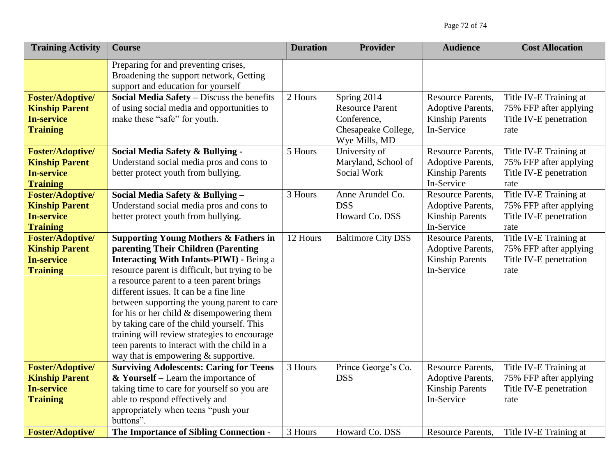| <b>Training Activity</b>                                                                 | <b>Course</b>                                                                                                                                                                                                                                                                                                                                                                                                                                                                                                                                                            | <b>Duration</b> | <b>Provider</b>                                                                              | <b>Audience</b>                                                                              | <b>Cost Allocation</b>                                                             |
|------------------------------------------------------------------------------------------|--------------------------------------------------------------------------------------------------------------------------------------------------------------------------------------------------------------------------------------------------------------------------------------------------------------------------------------------------------------------------------------------------------------------------------------------------------------------------------------------------------------------------------------------------------------------------|-----------------|----------------------------------------------------------------------------------------------|----------------------------------------------------------------------------------------------|------------------------------------------------------------------------------------|
|                                                                                          | Preparing for and preventing crises,<br>Broadening the support network, Getting<br>support and education for yourself                                                                                                                                                                                                                                                                                                                                                                                                                                                    |                 |                                                                                              |                                                                                              |                                                                                    |
| <b>Foster/Adoptive/</b><br><b>Kinship Parent</b><br><b>In-service</b><br><b>Training</b> | Social Media Safety - Discuss the benefits<br>of using social media and opportunities to<br>make these "safe" for youth.                                                                                                                                                                                                                                                                                                                                                                                                                                                 | 2 Hours         | Spring 2014<br><b>Resource Parent</b><br>Conference,<br>Chesapeake College,<br>Wye Mills, MD | <b>Resource Parents,</b><br><b>Adoptive Parents,</b><br><b>Kinship Parents</b><br>In-Service | Title IV-E Training at<br>75% FFP after applying<br>Title IV-E penetration<br>rate |
| <b>Foster/Adoptive/</b><br><b>Kinship Parent</b><br><b>In-service</b><br><b>Training</b> | Social Media Safety & Bullying -<br>Understand social media pros and cons to<br>better protect youth from bullying.                                                                                                                                                                                                                                                                                                                                                                                                                                                      | 5 Hours         | University of<br>Maryland, School of<br>Social Work                                          | <b>Resource Parents,</b><br><b>Adoptive Parents,</b><br><b>Kinship Parents</b><br>In-Service | Title IV-E Training at<br>75% FFP after applying<br>Title IV-E penetration<br>rate |
| <b>Foster/Adoptive/</b><br><b>Kinship Parent</b><br><b>In-service</b><br><b>Training</b> | Social Media Safety & Bullying -<br>Understand social media pros and cons to<br>better protect youth from bullying.                                                                                                                                                                                                                                                                                                                                                                                                                                                      | 3 Hours         | Anne Arundel Co.<br><b>DSS</b><br>Howard Co. DSS                                             | <b>Resource Parents,</b><br><b>Adoptive Parents,</b><br><b>Kinship Parents</b><br>In-Service | Title IV-E Training at<br>75% FFP after applying<br>Title IV-E penetration<br>rate |
| <b>Foster/Adoptive/</b><br><b>Kinship Parent</b><br><b>In-service</b><br><b>Training</b> | <b>Supporting Young Mothers &amp; Fathers in</b><br>parenting Their Children (Parenting<br><b>Interacting With Infants-PIWI) - Being a</b><br>resource parent is difficult, but trying to be<br>a resource parent to a teen parent brings<br>different issues. It can be a fine line<br>between supporting the young parent to care<br>for his or her child $&$ disempowering them<br>by taking care of the child yourself. This<br>training will review strategies to encourage<br>teen parents to interact with the child in a<br>way that is empowering & supportive. | 12 Hours        | <b>Baltimore City DSS</b>                                                                    | <b>Resource Parents,</b><br>Adoptive Parents,<br><b>Kinship Parents</b><br>In-Service        | Title IV-E Training at<br>75% FFP after applying<br>Title IV-E penetration<br>rate |
| <b>Foster/Adoptive/</b><br><b>Kinship Parent</b><br><b>In-service</b><br><b>Training</b> | <b>Surviving Adolescents: Caring for Teens</b><br>$&$ Yourself – Learn the importance of<br>taking time to care for yourself so you are<br>able to respond effectively and<br>appropriately when teens "push your<br>buttons".                                                                                                                                                                                                                                                                                                                                           | 3 Hours         | Prince George's Co.<br><b>DSS</b>                                                            | <b>Resource Parents,</b><br>Adoptive Parents,<br><b>Kinship Parents</b><br>In-Service        | Title IV-E Training at<br>75% FFP after applying<br>Title IV-E penetration<br>rate |
| <b>Foster/Adoptive/</b>                                                                  | The Importance of Sibling Connection -                                                                                                                                                                                                                                                                                                                                                                                                                                                                                                                                   | 3 Hours         | Howard Co. DSS                                                                               | <b>Resource Parents,</b>                                                                     | Title IV-E Training at                                                             |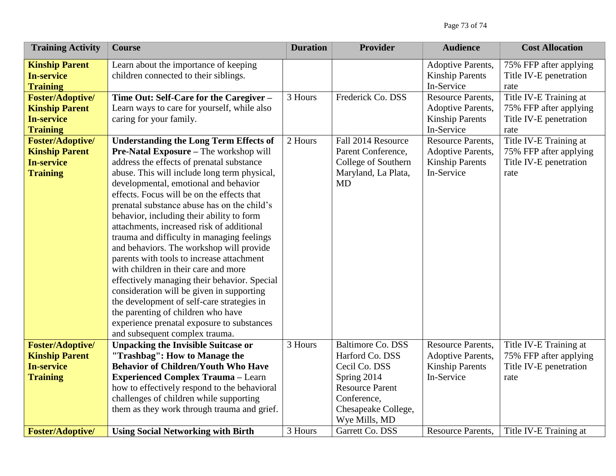| <b>Training Activity</b> | <b>Course</b>                                                                       | <b>Duration</b> | <b>Provider</b>                  | <b>Audience</b>          | <b>Cost Allocation</b> |
|--------------------------|-------------------------------------------------------------------------------------|-----------------|----------------------------------|--------------------------|------------------------|
| <b>Kinship Parent</b>    | Learn about the importance of keeping                                               |                 |                                  | Adoptive Parents,        | 75% FFP after applying |
| <b>In-service</b>        | children connected to their siblings.                                               |                 |                                  | <b>Kinship Parents</b>   | Title IV-E penetration |
| <b>Training</b>          |                                                                                     |                 |                                  | In-Service               | rate                   |
| <b>Foster/Adoptive/</b>  | Time Out: Self-Care for the Caregiver -                                             | 3 Hours         | Frederick Co. DSS                | <b>Resource Parents,</b> | Title IV-E Training at |
| <b>Kinship Parent</b>    | Learn ways to care for yourself, while also                                         |                 |                                  | <b>Adoptive Parents,</b> | 75% FFP after applying |
| <b>In-service</b>        | caring for your family.                                                             |                 |                                  | <b>Kinship Parents</b>   | Title IV-E penetration |
| <b>Training</b>          |                                                                                     |                 |                                  | In-Service               | rate                   |
| <b>Foster/Adoptive/</b>  | <b>Understanding the Long Term Effects of</b>                                       | 2 Hours         | Fall 2014 Resource               | <b>Resource Parents,</b> | Title IV-E Training at |
| <b>Kinship Parent</b>    | Pre-Natal Exposure - The workshop will                                              |                 | Parent Conference,               | Adoptive Parents,        | 75% FFP after applying |
| <b>In-service</b>        | address the effects of prenatal substance                                           |                 | College of Southern              | <b>Kinship Parents</b>   | Title IV-E penetration |
| <b>Training</b>          | abuse. This will include long term physical,                                        |                 | Maryland, La Plata,<br><b>MD</b> | In-Service               | rate                   |
|                          | developmental, emotional and behavior<br>effects. Focus will be on the effects that |                 |                                  |                          |                        |
|                          | prenatal substance abuse has on the child's                                         |                 |                                  |                          |                        |
|                          | behavior, including their ability to form                                           |                 |                                  |                          |                        |
|                          | attachments, increased risk of additional                                           |                 |                                  |                          |                        |
|                          | trauma and difficulty in managing feelings                                          |                 |                                  |                          |                        |
|                          | and behaviors. The workshop will provide                                            |                 |                                  |                          |                        |
|                          | parents with tools to increase attachment                                           |                 |                                  |                          |                        |
|                          | with children in their care and more                                                |                 |                                  |                          |                        |
|                          | effectively managing their behavior. Special                                        |                 |                                  |                          |                        |
|                          | consideration will be given in supporting                                           |                 |                                  |                          |                        |
|                          | the development of self-care strategies in                                          |                 |                                  |                          |                        |
|                          | the parenting of children who have                                                  |                 |                                  |                          |                        |
|                          | experience prenatal exposure to substances                                          |                 |                                  |                          |                        |
|                          | and subsequent complex trauma.                                                      |                 |                                  |                          |                        |
| <b>Foster/Adoptive/</b>  | <b>Unpacking the Invisible Suitcase or</b>                                          | 3 Hours         | <b>Baltimore Co. DSS</b>         | <b>Resource Parents,</b> | Title IV-E Training at |
| <b>Kinship Parent</b>    | "Trashbag": How to Manage the                                                       |                 | Harford Co. DSS                  | <b>Adoptive Parents,</b> | 75% FFP after applying |
| <b>In-service</b>        | <b>Behavior of Children/Youth Who Have</b>                                          |                 | Cecil Co. DSS                    | <b>Kinship Parents</b>   | Title IV-E penetration |
| <b>Training</b>          | <b>Experienced Complex Trauma - Learn</b>                                           |                 | Spring 2014                      | In-Service               | rate                   |
|                          | how to effectively respond to the behavioral                                        |                 | <b>Resource Parent</b>           |                          |                        |
|                          | challenges of children while supporting                                             |                 | Conference,                      |                          |                        |
|                          | them as they work through trauma and grief.                                         |                 | Chesapeake College,              |                          |                        |
|                          |                                                                                     |                 | Wye Mills, MD                    |                          |                        |
| <b>Foster/Adoptive/</b>  | <b>Using Social Networking with Birth</b>                                           | 3 Hours         | Garrett Co. DSS                  | <b>Resource Parents,</b> | Title IV-E Training at |